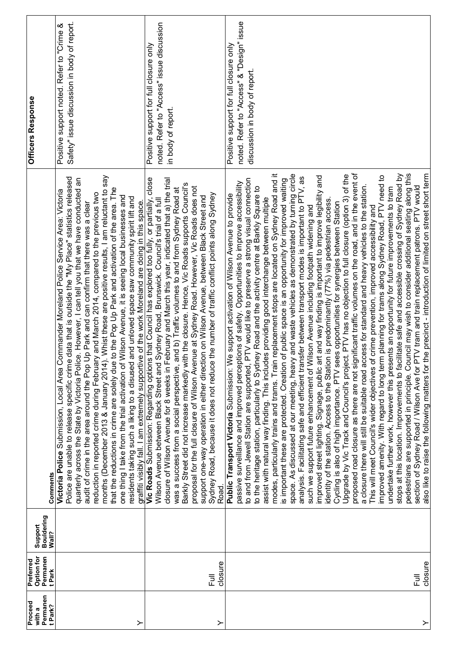| Permanen<br>Proceed<br>t Park? | Permanen<br>Option for<br>Preferred<br>t Park | Support<br>Bouldering<br>Wall? | Comments                                                                                                                                                                                                                                                                                                                                                                                                                                                                                                                                                                                                                                                                                                                                                                                                                                                                                                                                                                                                                                                                                                                                                                                                                                                                                                                                                                                                                                                                                                                                                                                                                                                                                                                                                                                                                                                                                                                                                                                                                                                                                                                                                                                                                             | Officers Response                                                                                                   |
|--------------------------------|-----------------------------------------------|--------------------------------|--------------------------------------------------------------------------------------------------------------------------------------------------------------------------------------------------------------------------------------------------------------------------------------------------------------------------------------------------------------------------------------------------------------------------------------------------------------------------------------------------------------------------------------------------------------------------------------------------------------------------------------------------------------------------------------------------------------------------------------------------------------------------------------------------------------------------------------------------------------------------------------------------------------------------------------------------------------------------------------------------------------------------------------------------------------------------------------------------------------------------------------------------------------------------------------------------------------------------------------------------------------------------------------------------------------------------------------------------------------------------------------------------------------------------------------------------------------------------------------------------------------------------------------------------------------------------------------------------------------------------------------------------------------------------------------------------------------------------------------------------------------------------------------------------------------------------------------------------------------------------------------------------------------------------------------------------------------------------------------------------------------------------------------------------------------------------------------------------------------------------------------------------------------------------------------------------------------------------------------|---------------------------------------------------------------------------------------------------------------------|
|                                |                                               |                                | Whist these are positive results, I am reluctant to say<br>Police are unable to release specific crime data that is outside the "My Place" statistics released<br>quarterly across the State by Victoria Police. However, I can tell you that we have conducted an<br>to the Pop Up Park and activation of the area. The<br>Victoria Police Submission, Local Area Commander Moreland Police Service Area: Victoria<br>reduction in reported crime during February and March 2014, compared to the previous two<br>one thing I take from the trial activation of Wilson Avenue, it is seeing local businesses and<br>residents taking such a liking to a disused and unloved space saw community spirit lift and<br>p Park and can confirm that there was a clear<br>graffiti visibly fall. I am extremely supportive of the work Moreland are doing in this space<br>audit of crime in the area around the Pop U<br>that the reductions in crime are solely due<br>months (December 2013 & January 2014).                                                                                                                                                                                                                                                                                                                                                                                                                                                                                                                                                                                                                                                                                                                                                                                                                                                                                                                                                                                                                                                                                                                                                                                                                           | Safety" issue discussion in body of report.<br>Positive support noted. Refer to "Crime &                            |
|                                | closure<br>言                                  |                                | close<br>closure of Wilson Avenue for 8 weeks in February and March this year, indicated that a) the trial<br>Barkly Street did not increase markedly with the closure. Hence, Vic Roads supports Council's<br>proposal for the full closure of Wilson Avenue at Sydney Road. However, Vic Roads does not<br>was a success from a social perspective, and b) Traffic volumes to and from Sydney Road at<br>the number of traffic conflict points along Sydney<br>support one-way operation in either direction on Wilson Avenue, between Black Street and<br>Vic Roads Submission: Regarding options that Council has explored too fully, or partially,<br>Wilson Avenue between Black Street and Sydney Road, Brunswick. Council's trial of a full<br>Sydney Road, because it does not reduce<br>Road.                                                                                                                                                                                                                                                                                                                                                                                                                                                                                                                                                                                                                                                                                                                                                                                                                                                                                                                                                                                                                                                                                                                                                                                                                                                                                                                                                                                                                              | noted. Refer to "Access" issue discussion<br>Positive support for full closure only<br>in body of report.           |
|                                | 言                                             |                                | proposed road closure as there are not significant traffic volumes on the road, and in the event of<br>pedestrians are supported in principle. Council may wish to consider additional seating along this<br>modes, particularly trains and trams. Train replacement stops are located on Sydney Road and it<br>and waste vehicles as demonstrated by turning circle<br>stops at this location. Improvements to facilitate safe and accessible crossing of Sydney Road by<br>Upgrade by Vic Track and Council's project. PTV has no objection to full closure (option 3) of the<br>improved amenity. With regard to long term planning for trams along Sydney Road, PTV need to<br>improved street lighting. Signage, public art and way finding is important to improve legibility and<br>analysis. Facilitating safe and efficient transfer between transport modes is important to PTV, as<br>to and from Jewell Station are supported, PTV would like to preserve a strong visual connection<br>is important these are protected. Creation of public space is an opportunity for improved waiting<br>passive surveillance and improved perceptions of safety. Opportunities to improve accessibility<br>section of Sydney Road / Wilson Ave for PTV tram and train replacement patrons. PTV would<br>to the heritage station, particularly to Sydney Road and the activity centre at Barkly Square to<br>a closure there will still be suitable road access for standard and heavy vehicles to the station.<br>undertake further work, however this presents an opportunity for future improvements to tram<br>Public Transport Victoria Submission: We support activation of Wilson Avenue to provide<br>assist with natural way finding. This includes providing good interchange between multiple<br>identity of the station. Access to the Station is predominantly (77%) via pedestrian access<br>Cycling is also of high importance. PTV sees opportunities for synergies between Station<br>such we support future enhancement of Wilson Avenue including footpath widening and<br>This will meet Council's wider objectives of crime prevention, improved accessibility and<br>space. As discussed at our meeting, heavy | noted. Refer to "Access" & "Design" issue<br>Positive support for full closure only<br>discussion in body of report |
|                                | closure                                       |                                | also like to raise the following matters for the precinct - introduction of limited on street short term                                                                                                                                                                                                                                                                                                                                                                                                                                                                                                                                                                                                                                                                                                                                                                                                                                                                                                                                                                                                                                                                                                                                                                                                                                                                                                                                                                                                                                                                                                                                                                                                                                                                                                                                                                                                                                                                                                                                                                                                                                                                                                                             |                                                                                                                     |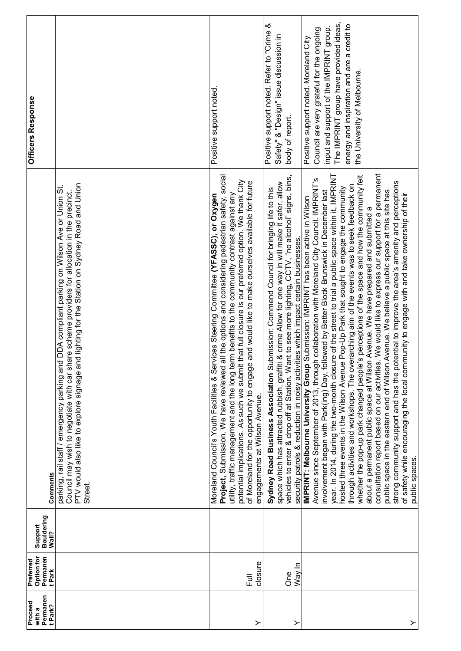| Permanen<br>Proceed<br>t Park?<br>with a | Option for<br>Permanen<br>Preferred<br>t Park | Support<br>Bouldering<br>Wall? | Comments                                                                                                                                                                                                                                                                                                                                                                                                                                                                                                                                                                                                                                                                                                                                                                                                                                                                                                                                                                                                                                                                                                                                                                                             | Officers Response                                                                                                                                                                                                                                     |
|------------------------------------------|-----------------------------------------------|--------------------------------|------------------------------------------------------------------------------------------------------------------------------------------------------------------------------------------------------------------------------------------------------------------------------------------------------------------------------------------------------------------------------------------------------------------------------------------------------------------------------------------------------------------------------------------------------------------------------------------------------------------------------------------------------------------------------------------------------------------------------------------------------------------------------------------------------------------------------------------------------------------------------------------------------------------------------------------------------------------------------------------------------------------------------------------------------------------------------------------------------------------------------------------------------------------------------------------------------|-------------------------------------------------------------------------------------------------------------------------------------------------------------------------------------------------------------------------------------------------------|
|                                          |                                               |                                | PTV would also like to explore signage and lighting for the Station on Sydney Road and Union<br>DDA compliant parking on Wilson Ave or Union St.<br>Council may wish to negotiate with car share scheme providers for allocation in the precinct.<br>parking, rail staff / emergency parking and<br>Street.                                                                                                                                                                                                                                                                                                                                                                                                                                                                                                                                                                                                                                                                                                                                                                                                                                                                                          |                                                                                                                                                                                                                                                       |
| ≻                                        | closure<br>巨                                  |                                | Project, Submission. We have reviewed all the options and considering pedestrian safety, social<br>potential implications. As such we submit that full closure is our preferred option. We thank City<br>and would like to make ourselves available for future<br>utility, traffic management and the long term benefits to the community contrast against any<br>Moreland Council's Youth Facilities & Services Steering Committee (YFASSC), or Oxygen<br>of Moreland for the opportunity to engage<br>engagements at Wilson Avenue.                                                                                                                                                                                                                                                                                                                                                                                                                                                                                                                                                                                                                                                                | Positive support noted.                                                                                                                                                                                                                               |
| ≻                                        | May In<br>One                                 |                                | vehicles to enter & drop off at Station. Want to see more lighting, CCTV, "no alcohol" signs, bins,<br>space which has attracted rubbish, graffiti & crime Allow for one way in will make it safer, allow<br>Sydney Road Business Association Submission: Commend Council for bringing life to this<br>security patrols & reduction in noisy activities which impact certain businesses.                                                                                                                                                                                                                                                                                                                                                                                                                                                                                                                                                                                                                                                                                                                                                                                                             | Positive support noted. Refer to "Crime &<br>Safety" & "Design" issue discussion in<br>body of report.                                                                                                                                                |
| ≻                                        |                                               |                                | consultation report based on our activities. We would like to express our support for a permanent<br>e of the street to trial a public space within it, IMPRINT<br>whether the pop-up park changed people's perceptions of the space and how the community felt<br>Avenue since September of 2013, through collaboration with Moreland City Council. IMPRINT's<br>strong community support and has the potential to improve the area's amenity and perceptions<br>through activities and workshops. The overarching aim of the events was to seek feedback on<br>Pop-Up Park that sought to engage the community<br>involvement began with Park(ing) Day, followed by Better Block Brunswick in December last<br>public space in the eastern end of Wilson Avenue. We believe a public space at this site has<br>of safety while encouraging the local community to engage with and take ownership of their<br>IMPRINT: Melbourne University Group Submission: IMPRINT has been active in Wilson<br>Avenue. We have prepared and submitted a<br>year. In 2014, during the two-month closur<br>hosted three events in the Wilson Avenue<br>about a permanent public space at Wilson<br>public spaces. | The IMPRINT group have provided ideas,<br>energy and inspiration and are a credit to<br>input and support of the IMPRINT group.<br>Council are very grateful for the ongoing<br>Positive support noted. Moreland City<br>the University of Melbourne. |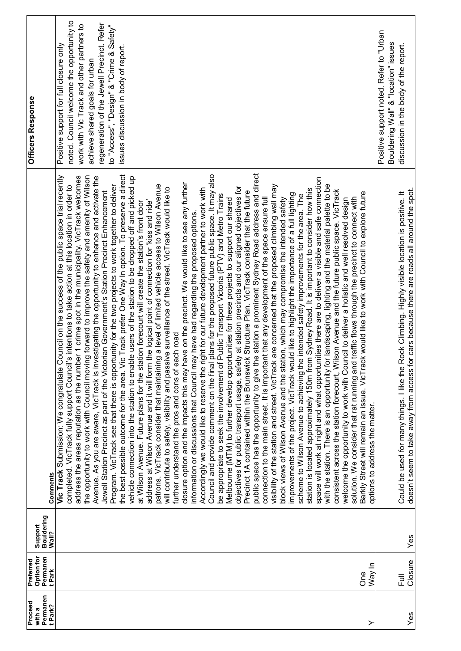| Officers Response                             | noted. Council welcome the opportunity to<br>regeneration of the Jewell Precinct. Refer<br>work with Vic Track and other partners to<br>to "Access", "Design" & "Crime & Safety"<br>Positive support for full closure only<br>issues discussion in body of report<br>achieve shared goals for urban                                                                                                                                                                                                                                                                                                                                                                                                                                                                                                                                                                                                                                                                                                                                                                                                                                                                                                                                                                                                                                                                                                                                                                                                                                                                                                                                                                                                                                                                                                                                                                                                                                                                                                                                                                                                                                                                                                                                                                                                                                                                                                                                                                                                                                                                                                                                                                                                                                                                                                                                                                                                                                                                                                                                                                                                                                                                                                                                                                                                                                                                                                                                                                                                                                                  | Positive support noted. Refer to "Urban<br>Bouldering Wall" & "location" issues<br>discussion in the body of the report.                                                                        |
|-----------------------------------------------|------------------------------------------------------------------------------------------------------------------------------------------------------------------------------------------------------------------------------------------------------------------------------------------------------------------------------------------------------------------------------------------------------------------------------------------------------------------------------------------------------------------------------------------------------------------------------------------------------------------------------------------------------------------------------------------------------------------------------------------------------------------------------------------------------------------------------------------------------------------------------------------------------------------------------------------------------------------------------------------------------------------------------------------------------------------------------------------------------------------------------------------------------------------------------------------------------------------------------------------------------------------------------------------------------------------------------------------------------------------------------------------------------------------------------------------------------------------------------------------------------------------------------------------------------------------------------------------------------------------------------------------------------------------------------------------------------------------------------------------------------------------------------------------------------------------------------------------------------------------------------------------------------------------------------------------------------------------------------------------------------------------------------------------------------------------------------------------------------------------------------------------------------------------------------------------------------------------------------------------------------------------------------------------------------------------------------------------------------------------------------------------------------------------------------------------------------------------------------------------------------------------------------------------------------------------------------------------------------------------------------------------------------------------------------------------------------------------------------------------------------------------------------------------------------------------------------------------------------------------------------------------------------------------------------------------------------------------------------------------------------------------------------------------------------------------------------------------------------------------------------------------------------------------------------------------------------------------------------------------------------------------------------------------------------------------------------------------------------------------------------------------------------------------------------------------------------------------------------------------------------------------------------------------------------|-------------------------------------------------------------------------------------------------------------------------------------------------------------------------------------------------|
| Comments                                      | public space has the opportunity to give the station a prominent Sydney Road address and direct<br>the best possible outcome for the area. Vic Track prefer One Way In option. To preserve a direct<br>plans for the proposed future public space. It may also<br>Vic Track Submission: We congratulate Council on the success of the public space trial recently<br>address the areas reputation as the number 1 crime spot in the municipality. VicTrack welcomes<br>the opportunity to work with Council moving forward to improve the safety and amenity of Wilson<br>vehicle connection into the station to enable users of the station to be dropped off and picked up<br>Avenue. As you are aware, VicTrack is investigating the opportunity to enhance and activate the<br>space will work at night and what opportunities there are to deliver a visible and safe connection<br>closure option and the impacts this may have on the precinct. We would like to see any further<br>with the station. There is an opportunity for landscaping, lighting and the material palette to be<br>Program. VicTrack see that there is opportunity for the two projects to work together to deliver<br>patrons. VicTrack consider that maintaining a level of limited vehicle access to Wilson Avenue<br>completed. VicTrack fully support Council's intentions to take action at this location in order to<br>are concerned that the proposed climbing wall may<br>objectives for public transport usage, safety at station precincts and our aligned objectives for<br>will contribute to safety, visibility and passive surveillance of the street. VicTrack would like to<br>Sydney Road. It is important to consider how this<br>Accordingly we would like to reserve the right for our future development partner to work with<br>consistent across the station forecourt, Wilson Avenue and the future public space. VicTrack<br>Jewell Station Precinct as part of the Victorian Government's Station Precinct Enhancement<br>Precinct 1A contained within the Brunswick Structure Plan. VicTrack consider that the future<br>Barkly Street will remain an issue. VicTrack would like to work with Council to explore future<br>improvements of the project. VicTrack would like to highlight the importance of a full lighting<br>be appropriate to seek the involvement of Public Transport Victoria (PTV) and Metro Trains<br>scheme to Wilson Avenue to achieving the intended safety improvements for the area. The<br>solution. We consider that rat running and traffic flows through the precinct to connect with<br>welcome the opportunity to work with Council to deliver a holistic and well resolved design<br>connection to the main street. It is important that any development of the space ensure full<br>Melbourne (MTM) to further develop opportunities for these projects to support our shared<br>block views of Wilson Avenue and the station, which may compromise the intended safety<br>address at Wilson Avenue and it will form the logical point of connection for 'kiss and ride'<br>at Wilson Avenue. Future plans for the station forecourt will create the station's front door<br>information or discussions that Council may have had regarding the proposed options.<br>further understand the pros and cons of each road<br>station is located approximately 150m from<br>Council and provide comment on the final p<br>visibility of the station and street. VicTrack<br>options to address the matter. | doesn't seem to take away from access for cars because there are roads all around the spot.<br>Could be used for many things. I like the Rock Climbing. Highly visible location is positive. It |
| Support<br>Bouldering<br>Wall?                |                                                                                                                                                                                                                                                                                                                                                                                                                                                                                                                                                                                                                                                                                                                                                                                                                                                                                                                                                                                                                                                                                                                                                                                                                                                                                                                                                                                                                                                                                                                                                                                                                                                                                                                                                                                                                                                                                                                                                                                                                                                                                                                                                                                                                                                                                                                                                                                                                                                                                                                                                                                                                                                                                                                                                                                                                                                                                                                                                                                                                                                                                                                                                                                                                                                                                                                                                                                                                                                                                                                                                      | Yes                                                                                                                                                                                             |
| Permanen<br>Option for<br>Preferred<br>t Park | Way In<br>one                                                                                                                                                                                                                                                                                                                                                                                                                                                                                                                                                                                                                                                                                                                                                                                                                                                                                                                                                                                                                                                                                                                                                                                                                                                                                                                                                                                                                                                                                                                                                                                                                                                                                                                                                                                                                                                                                                                                                                                                                                                                                                                                                                                                                                                                                                                                                                                                                                                                                                                                                                                                                                                                                                                                                                                                                                                                                                                                                                                                                                                                                                                                                                                                                                                                                                                                                                                                                                                                                                                                        | Closure<br>Tull                                                                                                                                                                                 |
| Permanen<br>Proceed<br>t Park?<br>with a      | ≻                                                                                                                                                                                                                                                                                                                                                                                                                                                                                                                                                                                                                                                                                                                                                                                                                                                                                                                                                                                                                                                                                                                                                                                                                                                                                                                                                                                                                                                                                                                                                                                                                                                                                                                                                                                                                                                                                                                                                                                                                                                                                                                                                                                                                                                                                                                                                                                                                                                                                                                                                                                                                                                                                                                                                                                                                                                                                                                                                                                                                                                                                                                                                                                                                                                                                                                                                                                                                                                                                                                                                    | Yes                                                                                                                                                                                             |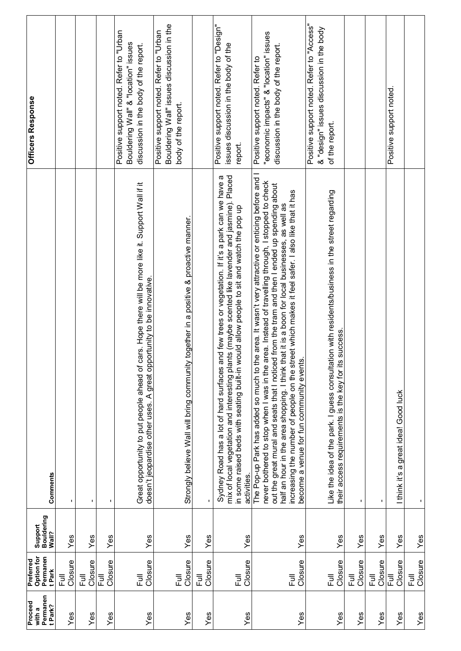| Permanen<br>Proceed<br>t Park?<br>with a | Option for<br>Permanen<br>Preferred<br>t Park | Bouldering<br>Support<br>Wall? | Comments                                                                                                                                                                                                                                                                                                                                                                                                                                                                                                                                                | Officers Response                                                                                                        |
|------------------------------------------|-----------------------------------------------|--------------------------------|---------------------------------------------------------------------------------------------------------------------------------------------------------------------------------------------------------------------------------------------------------------------------------------------------------------------------------------------------------------------------------------------------------------------------------------------------------------------------------------------------------------------------------------------------------|--------------------------------------------------------------------------------------------------------------------------|
| Yes                                      | Closure<br>巨                                  | Yes                            | I.                                                                                                                                                                                                                                                                                                                                                                                                                                                                                                                                                      |                                                                                                                          |
| Yes                                      | Closure<br>$\bar{\Xi}$                        | Yes                            | $\mathbf I$                                                                                                                                                                                                                                                                                                                                                                                                                                                                                                                                             |                                                                                                                          |
| Yes                                      | Closure<br>豆                                  | Yes                            | $\mathbf{I}$                                                                                                                                                                                                                                                                                                                                                                                                                                                                                                                                            |                                                                                                                          |
| Yes                                      | Closure<br>言                                  | Yes                            | Great opportunity to put people ahead of cars. Hope there will be more like it. Support Wall if it<br>doesn't jeopardise other uses. A great opportunity to be innovative.                                                                                                                                                                                                                                                                                                                                                                              | Positive support noted. Refer to "Urban<br>Bouldering Wall" & "location" issues<br>discussion in the body of the report. |
| Yes                                      | Closure<br>巨                                  | Yes                            | Strongly believe Wall will bring community together in a positive & proactive manner.                                                                                                                                                                                                                                                                                                                                                                                                                                                                   | Bouldering Wall" issues discussion in the<br>Positive support noted. Refer to "Urban<br>body of the report.              |
| Yes                                      | Closure<br>$\bar{p}$                          | Yes                            |                                                                                                                                                                                                                                                                                                                                                                                                                                                                                                                                                         |                                                                                                                          |
| Yes                                      | Closure<br>巨                                  | Yes                            | mix of local vegetation and interesting plants (maybe scented like lavender and jasmine). Placed<br>Sydney Road has a lot of hard surfaces and few trees or vegetation. If it's a park can we have a<br>in some raised beds with seating built-in would allow people to sit and watch the pop up<br>activities.                                                                                                                                                                                                                                         | Positive support noted. Refer to "Design"<br>issues discussion in the body of the<br>report.                             |
| Yes                                      | Closure<br>言                                  | Yes                            | The Pop-up Park has added so much to the area. It wasn't very attractive or enticing before and I<br>never bothered to stop when I was in the area. Instead of travelling through, I stopped to check<br>out the great mural and seats that I noticed from the tram and then I ended up spending about<br>increasing the number of people on the street which makes it feel safer. I also like that it has<br>half an hour in the area shopping. I think that it is a boon for local businesses, as well as<br>become a venue for fun community events. | "economic impacts" & "location" issues<br>discussion in the body of the report.<br>Positive support noted. Refer to      |
| Yes                                      | Closure<br>言                                  | Yes                            | Like the idea of the park. I guess consultation with residents/business in the street regarding<br>their access requirements is the key for its success.                                                                                                                                                                                                                                                                                                                                                                                                | Positive support noted. Refer to "Access"<br>& "design" issues discussion in the body<br>of the report.                  |
| Yes                                      | Closure<br>$\bar{E}$                          | Yes                            | $\mathbf{L}$                                                                                                                                                                                                                                                                                                                                                                                                                                                                                                                                            |                                                                                                                          |
| Yes                                      | Closure<br>$\overline{E}$                     | Yes                            | T.                                                                                                                                                                                                                                                                                                                                                                                                                                                                                                                                                      |                                                                                                                          |
| Yes                                      | Closure<br>巨                                  | Yes                            | I think it's a great idea! Good luck                                                                                                                                                                                                                                                                                                                                                                                                                                                                                                                    | Positive support noted.                                                                                                  |
| Yes                                      | Closure<br>言                                  | Yes                            | $\blacksquare$                                                                                                                                                                                                                                                                                                                                                                                                                                                                                                                                          |                                                                                                                          |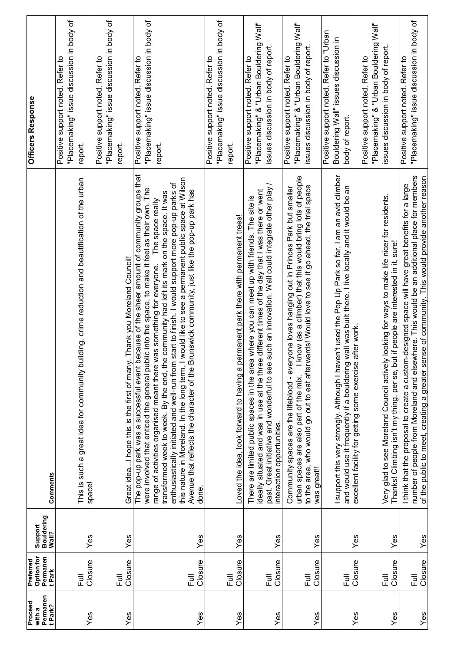| Permanen<br>Proceed<br>t Park?<br>with a | Permanen<br>Option for<br>Preferred<br>t Park | Support<br>Bouldering<br>Wall? | Comments                                                                                                                                                                                                                                                                                                                                                                                                                                                                                                                                                                                                                                                                                                       | Officers Response                                                                                                   |
|------------------------------------------|-----------------------------------------------|--------------------------------|----------------------------------------------------------------------------------------------------------------------------------------------------------------------------------------------------------------------------------------------------------------------------------------------------------------------------------------------------------------------------------------------------------------------------------------------------------------------------------------------------------------------------------------------------------------------------------------------------------------------------------------------------------------------------------------------------------------|---------------------------------------------------------------------------------------------------------------------|
| Yes                                      | Closure<br>$\overline{E}$                     | Yes                            | This is such a great idea for community building, crime reduction and beautification of the urban<br>space!                                                                                                                                                                                                                                                                                                                                                                                                                                                                                                                                                                                                    | "Placemaking" issue discussion in body of<br>Positive support noted. Refer to<br>report.                            |
| Yes                                      | Closure<br>言                                  | Yes                            | Great ideaI hope this is the first of many. Thank you Moreland Council!                                                                                                                                                                                                                                                                                                                                                                                                                                                                                                                                                                                                                                        | "Placemaking" issue discussion in body of<br>Positive support noted. Refer to<br>report.                            |
| Yes                                      | Closure<br>Full                               | Yes                            | The pop-up park was a successful event because of the sheer amount of community groups that<br>this nature in Moreland. In the long term, I would like to see a permanent public space at Wilson<br>Avenue that reflects the character of the Brunswick community, just like the pop-up park has<br>start to finish. I would support more pop-up parks of<br>were involved that enticed the general public into the space, to make it feel as their own. The<br>transformed week to week. By the end, the community had left its mark on the space. It was<br>range of activities organised meant there was something for everyone.  The space really<br>enthusiastically initiated and well-run from<br>done. | "Placemaking" issue discussion in body of<br>Positive support noted. Refer to<br>report.                            |
| Yes                                      | Closure<br>言                                  | Yes                            | Loved the idea, look forward to having a permanent park there with permanent trees!                                                                                                                                                                                                                                                                                                                                                                                                                                                                                                                                                                                                                            | "Placemaking" issue discussion in body of<br>Positive support noted. Refer to<br>report.                            |
| Yes                                      | Full<br>Closure                               | Yes                            | such an innovation. Wall could integrate other play /<br>ideally situated and was in use at the three different times of the day that I was there or went<br>There are limited public spaces in the area where you can meet up with friends. The site is<br>past. Great initiative and wonderful to see<br>interaction opportunities.                                                                                                                                                                                                                                                                                                                                                                          | "Placemaking" & "Urban Bouldering Wall"<br>issues discussion in body of report.<br>Positive support noted. Refer to |
| Yes                                      | Closure<br>Full                               | Yes                            | I know (as a climber) that this would bring lots of people<br>to the area, who would go out to eat afterwards! Would love to see it go ahead, the trial space<br>Community spaces are the lifeblood - everyone loves hanging out in Princes Park but smaller<br>urban spaces are also part of the mix.<br>was great!!                                                                                                                                                                                                                                                                                                                                                                                          | "Placemaking" & "Urban Bouldering Wall"<br>issues discussion in body of report.<br>Positive support noted. Refer to |
| Yes                                      | Closure<br>巨                                  | Yes                            | I support this very strongly. Although I haven't used the Pop Up Park so far, I am an avid climber<br>and would use it frequently if a bouldering wall was built there. I live locally and it would be an<br>after work.<br>excellent facility for getting some exercise                                                                                                                                                                                                                                                                                                                                                                                                                                       | Positive support noted. Refer to "Urban<br>Bouldering Wall" issues discussion in<br>body of report.                 |
| Yes                                      | Closure<br>$\overline{\Xi}$                   | Yes                            | Very glad to see Moreland Council actively looking for ways to make life nicer for residents.<br>Thanks! Climbing isn't my thing, per se, but if people are interested in it, sure!                                                                                                                                                                                                                                                                                                                                                                                                                                                                                                                            | "Placemaking" & "Urban Bouldering Wall"<br>issues discussion in body of report.<br>Positive support noted. Refer to |
| Yes                                      | Closure<br>言                                  | Yes                            | number of people from Moreland and elsewhere. This would be an additional place for members<br>of the public to meet, creating a greater sense of community. This would provide another reason<br>I think that the proposal to create a custom-designed space will have great benefits for a large                                                                                                                                                                                                                                                                                                                                                                                                             | "Placemaking" issue discussion in body of<br>Positive support noted. Refer to                                       |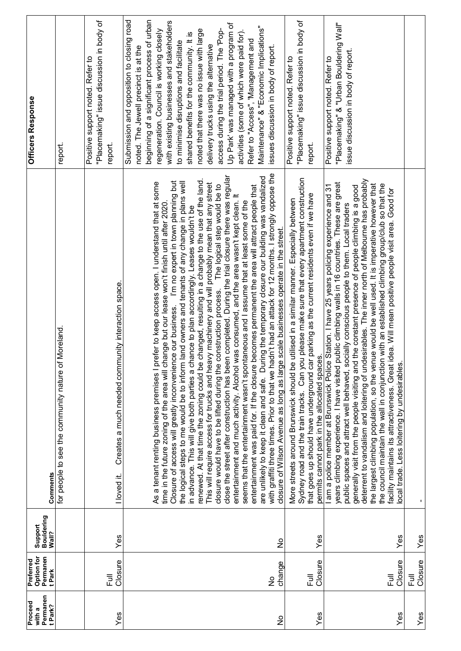| Permanen<br>Proceed<br>t Park?<br>with a | Permanen<br>Option for<br>Preterred<br>t Park | Support<br>Bouldering<br>Wall? | Comments                                                                                                                                                                                                                                                                                                                                                                                                                                                                                                                                                                                                                                                                                                                                                                                                                                                                                                                                                                                                  | Officers Response                                                                                                                                                                                                                                                                                                                             |
|------------------------------------------|-----------------------------------------------|--------------------------------|-----------------------------------------------------------------------------------------------------------------------------------------------------------------------------------------------------------------------------------------------------------------------------------------------------------------------------------------------------------------------------------------------------------------------------------------------------------------------------------------------------------------------------------------------------------------------------------------------------------------------------------------------------------------------------------------------------------------------------------------------------------------------------------------------------------------------------------------------------------------------------------------------------------------------------------------------------------------------------------------------------------|-----------------------------------------------------------------------------------------------------------------------------------------------------------------------------------------------------------------------------------------------------------------------------------------------------------------------------------------------|
|                                          |                                               |                                | Moreland.<br>for people to see the community nature of                                                                                                                                                                                                                                                                                                                                                                                                                                                                                                                                                                                                                                                                                                                                                                                                                                                                                                                                                    | report.                                                                                                                                                                                                                                                                                                                                       |
| Yes                                      | Closure<br>言                                  | Yes                            | nunity interaction space.<br>Creates a much needed comm<br>I loved it.                                                                                                                                                                                                                                                                                                                                                                                                                                                                                                                                                                                                                                                                                                                                                                                                                                                                                                                                    | "Placemaking" issue discussion in body of<br>Positive support noted. Refer to<br>report.                                                                                                                                                                                                                                                      |
|                                          |                                               |                                | Closure of access will greatly inconvenience our business. I'm no expert in town planning but<br>the logical steps to me would be to inform land owners and tenants of any change in plans well<br>efer to keep access open. I understand that at some<br>time in the future zoning of the area will change but our lease won't finish until after 2020<br>in advance. This will give both parties a chance to plan accordingly. Leases wouldn't be<br>As a tenant renting business premises I pr                                                                                                                                                                                                                                                                                                                                                                                                                                                                                                         | Submission and opposition to closing road<br>beginning of a significant process of urban<br>with existing businesses and stakeholders<br>regeneration. Council is working closely<br>shared benefits for the community. It is<br>to minimise disruptions and facilitate<br>noted. The Jewell precinct is at the                               |
| $\frac{1}{2}$                            | change<br>$\frac{1}{2}$                       | $\frac{1}{2}$                  | with graffit three times. Prior to that we hadn't had an attack for 12 months. I strongly oppose the<br>close the street after construction has been completed. During the trial closure there was regular<br>are unlikely to keep it clean and safe. During the temporary closure our building was vandalized<br>renewed. At that time the zoning could be changed, resulting in a change to the use of the land.<br>This will require access for trucks and heavy machinery and will probably mean that any street<br>The logical step would be to<br>entertainment was paid for. If the closure becomes permanent the area will attract people that<br>entertainment and much activity. Alcohol was consumed, and the area wasn't kept clean. It<br>seems that the entertainment wasn't spontaneous and I assume that at least some of the<br>scale businesses operate in the street.<br>closure would have to be lifted during the construction process.<br>closure of Wilson Avenue as long as large | Up Park' was managed with a program of<br>Maintenance" & "Economic Implications"<br>noted that there was no issue with large<br>access during the trial period. The 'Pop-<br>activities (some of which were paid for).<br>Refer to "Access", 'Management and<br>delivery trucks using the alternative<br>issues discussion in body of report. |
| Yes                                      | Closure<br>言                                  | Yes                            | Sydney road and the train tracks. Can you please make sure that every apartment construction<br>that goes up should have underground car parking as the current residents even if we have<br>More streets around Brunswick should be utilised in a similar manner. Especially between<br>Ø<br>permits cannot park in the allocated space                                                                                                                                                                                                                                                                                                                                                                                                                                                                                                                                                                                                                                                                  | "Placemaking" issue discussion in body of<br>Positive support noted. Refer to<br>report.                                                                                                                                                                                                                                                      |
| Yes                                      | Closure<br>巨                                  | Yes                            | deterrent to vandalism and loitering of undesirables. The inner north of Melbourne has probably<br>years climbing experience. I have visited public climbing walls in 16 countries. These are great<br>the largest climbing population, so the venue would be well used. It is imperative however that<br>the council maintain the wall in conjunction with an established climbing group/club so that the<br>Station. I have 25 years policing experience and 31<br>generally visit from the people visiting and the constant presence of people climbing is a good<br>facility maintains its attractiveness. Great idea. Will mean positive people visit area. Good for<br>public spaces and attract well behaved, socially conscious people to them. Local traders<br>I am a police member at Brunswick Police<br>ocal trade. Less loitering by undesirables.                                                                                                                                          | "Placemaking" & "Urban Bouldering Wall"<br>issue discussion in body of report.<br>Positive support noted. Refer to                                                                                                                                                                                                                            |
| Yes                                      | Closure<br>言                                  | Yes                            |                                                                                                                                                                                                                                                                                                                                                                                                                                                                                                                                                                                                                                                                                                                                                                                                                                                                                                                                                                                                           |                                                                                                                                                                                                                                                                                                                                               |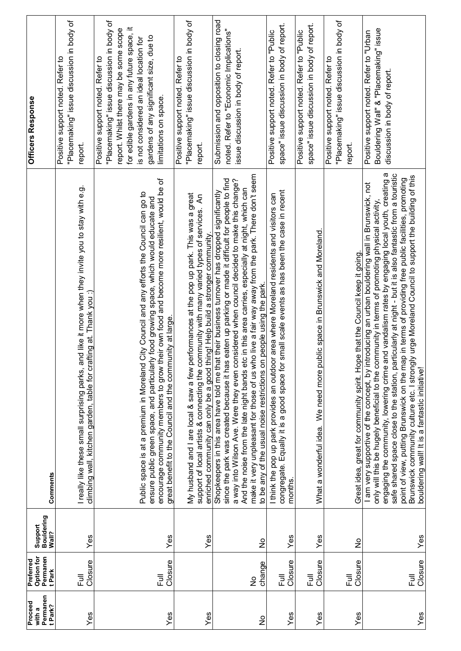| Permanen<br>Proceed<br>t Park?<br>with a | Permanen<br>Option for<br>Preferred<br>t Park | Support<br>Bouldering<br>Wall? | Comments                                                                                                                                                                                                                                                                                                                                                                                                                                                                                                                                                                                                                                                                         | Officers Response                                                                                                                                                                                                                                                                    |
|------------------------------------------|-----------------------------------------------|--------------------------------|----------------------------------------------------------------------------------------------------------------------------------------------------------------------------------------------------------------------------------------------------------------------------------------------------------------------------------------------------------------------------------------------------------------------------------------------------------------------------------------------------------------------------------------------------------------------------------------------------------------------------------------------------------------------------------|--------------------------------------------------------------------------------------------------------------------------------------------------------------------------------------------------------------------------------------------------------------------------------------|
| Yes                                      | Closure<br>言                                  | Yes                            | I really like these small surprising parks, and like it more when they invite you to stay with e.g.<br>climbing wall, kitchen garden, table for crafting at. Thank you :)                                                                                                                                                                                                                                                                                                                                                                                                                                                                                                        | "Placemaking" issue discussion in body of<br>Positive support noted. Refer to<br>report.                                                                                                                                                                                             |
| Yes                                      | Closure<br>言                                  | Yes                            | encourage community members to grow their own food and become more resilient, would be of<br>City Council and any efforts the Council can go to<br>ensure public green space, and particularly food growing space, which would educate and<br>great benefit to the Council and the community at large.<br>Public space is at a premium in Moreland                                                                                                                                                                                                                                                                                                                               | "Placemaking" issue discussion in body of<br>for edible gardens in any future space, it<br>report. Whilst there may be some scope<br>gardens of any significant size, due to<br>is not considered an ideal location for<br>Positive support noted. Refer to<br>limitations on space. |
| Yes                                      |                                               | Yes                            | My husband and I are local & saw a few performances at the pop up park. This was a great<br>support of local artists & connecting the community with many varied types of services. An<br>enriched community can only be a good thing! Help build a stronger community.                                                                                                                                                                                                                                                                                                                                                                                                          | "Placemaking" issue discussion in body of<br>Positive support noted. Refer to<br>report.                                                                                                                                                                                             |
| $\frac{1}{2}$                            | change<br>$\frac{1}{2}$                       | $\frac{1}{2}$                  | make it very unpleasant for those of us who live a fair way away from the park. There don't seem<br>eaten up parking or made it difficult for people to find<br>a way into Wilson Ave. Were they even considered when council decided to make this change?<br>And the noise from the late night bands etc in this area carries, especially at night, which can<br>Shopkeepers in this area have told me that their business turnover has dropped significantly<br>people using the park.<br>since the park was created because it has<br>to be any of the usual noise restrictions on                                                                                            | Submission and opposition to closing road<br>noted. Refer to "Economic Implications"<br>issue discussion in body of report.                                                                                                                                                          |
| Yes                                      | Closure<br>言                                  | Yes                            | small scale events as has been the case in recent<br>I think the pop up park provides an outdoor area where Moreland residents and visitors can<br>congregate. Equally it is a good space for<br>months.                                                                                                                                                                                                                                                                                                                                                                                                                                                                         | space" issue discussion in body of report.<br>Positive support noted. Refer to "Public                                                                                                                                                                                               |
| Yes                                      | Closure<br>ラ<br>FJI                           | Yes                            | blic space in Brunswick and Moreland.<br>We need more pu<br>What a wonderful idea.                                                                                                                                                                                                                                                                                                                                                                                                                                                                                                                                                                                               | space" issue discussion in body of report.<br>Positive support noted. Refer to "Public                                                                                                                                                                                               |
| Yes                                      | Closure<br>言                                  | $\frac{1}{2}$                  | Great idea, great for community spirit. Hope that the Council keep it going.                                                                                                                                                                                                                                                                                                                                                                                                                                                                                                                                                                                                     | "Placemaking" issue discussion in body of<br>Positive support noted. Refer to<br>report.                                                                                                                                                                                             |
| Yes                                      | Closure<br>言                                  | Yes                            | engaging the community, lowering crime and vandalism rates by engaging local youth, creating a<br>safe shared space close to the station, particularly at night - but it is also fantastic from a touristic<br>y urge Moreland Council to support the building of this<br>point of view, putting Brunswick on the map in terms of providing free public facilities, promoting<br>I am very supportive of the concept, by introducing an urban bouldering wall in Brunswick, not<br>only will this be hugely beneficial to the community in terms of promoting physical activity,<br>Brunswick community culture etc. I strongl<br>bouldering wall! It is a fantastic initiative! | Bouldering Wall" & "Placemaking" issue<br>Positive support noted. Refer to "Urban<br>discussion in body of report.                                                                                                                                                                   |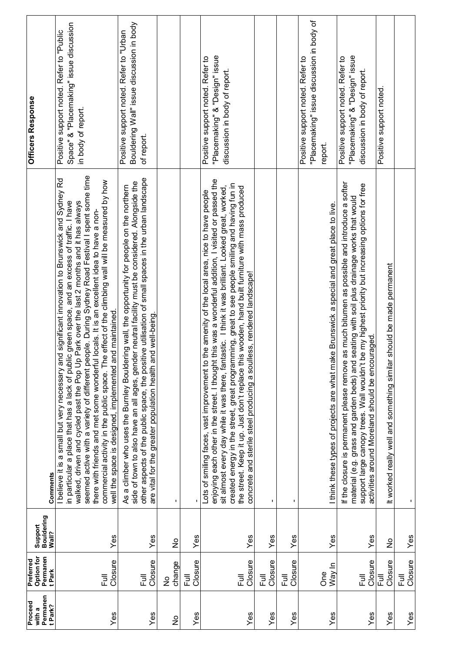| Permanen<br>Proceed<br>t Park?<br>with a | Option for<br>Permanen<br>Preferred<br>t Park | Support<br>Bouldering<br>Wall? | Comments                                                                                                                                                                                                                                                                                                                                                                                                                                                                                                                                                                                                                                                   | Officers Response                                                                                         |
|------------------------------------------|-----------------------------------------------|--------------------------------|------------------------------------------------------------------------------------------------------------------------------------------------------------------------------------------------------------------------------------------------------------------------------------------------------------------------------------------------------------------------------------------------------------------------------------------------------------------------------------------------------------------------------------------------------------------------------------------------------------------------------------------------------------|-----------------------------------------------------------------------------------------------------------|
| Yes                                      | Closure<br>言                                  | Yes                            | seemed active with a variety of different people. During Sydney Road Festival I spent some time<br>I believe it is a small but very necessary and significant innovation to Brunswick and Sydney Rd<br>commercial activity in the public space. The effect of the climbing wall will be measured by how<br>in particular a place that has a lack of public green space, and an excess of traffic. I have<br>walked, driven and cycled past the Pop Up Park over the last 2 months and it has always<br>there with friends and met some wonderful locals. It is an excellent idea to have a non-<br>well the space is designed, implemented and maintained. | Space" & "Placemaking" issue discussion<br>Positive support noted. Refer to "Public<br>in body of report. |
| Yes                                      | Closure<br>豆                                  | Yes                            | other aspects of the public space, the positive utilisation of small spaces in the urban landscape<br>side of town to also have an all ages, gender neutral facility must be considered. Alongside the<br>As a climber who uses the Burnley Bouldering wall, the opportunity for people on the northern<br>are vital for the greater population health and well-being.                                                                                                                                                                                                                                                                                     | Bouldering Wall" issue discussion in body<br>Positive support noted. Refer to "Urban<br>of report.        |
| $\frac{1}{2}$                            | change<br>$\frac{1}{2}$                       | $\frac{1}{2}$                  | $\mathbf I$                                                                                                                                                                                                                                                                                                                                                                                                                                                                                                                                                                                                                                                |                                                                                                           |
| Yes                                      | Closure<br>$\overline{5}$                     | Yes                            | I.                                                                                                                                                                                                                                                                                                                                                                                                                                                                                                                                                                                                                                                         |                                                                                                           |
| Yes                                      | Closure<br>巨                                  | Yes                            | t this was a wonderful addition, I visited or passed the<br>created energy in the street, great programming, great to see people smiling and having fun in<br>sit almost every day while it was there, fantastic. I think it was brilliant. Looked great, worked,<br>the street. Keep it up. Just don't replace this wooden, hand built furniture with mass produced<br>Lots of smiling faces, vast improvement to the amenity of the local area, nice to have people<br>concrete and sterile steel producing a soulless, rendered landscape!<br>enjoying each other in the street. I thought                                                              | "Placemaking" & "Design" issue<br>Positive support noted. Refer to<br>discussion in body of report.       |
| Yes                                      | Closure<br>巨                                  | Yes                            | T.                                                                                                                                                                                                                                                                                                                                                                                                                                                                                                                                                                                                                                                         |                                                                                                           |
| Yes                                      | Closure<br>巨                                  | Yes                            | ı.                                                                                                                                                                                                                                                                                                                                                                                                                                                                                                                                                                                                                                                         |                                                                                                           |
| Yes                                      | Way In<br>One                                 | Yes                            | I think these types of projects are what make Brunswick a special and great place to live.                                                                                                                                                                                                                                                                                                                                                                                                                                                                                                                                                                 | "Placemaking" issue discussion in body of<br>Positive support noted. Refer to<br>report.                  |
| Yes                                      | Closure<br>言                                  | Yes                            | If the closure is permanent please remove as much bitumen as possible and introduce a softer<br>support large canopy trees. Wall wouldn't be my highest priority but increasing options for free<br>seating with soil plus drainage works that would<br>activities around Moreland should be encouraged.<br>material (e.g. grass and garden beds) and                                                                                                                                                                                                                                                                                                      | "Placemaking" & "Design" issue<br>Positive support noted. Refer to<br>discussion in body of report.       |
| Yes                                      | Closure<br>∃<br>F                             | $\frac{1}{2}$                  | It worked really well and something similar should be made permanent                                                                                                                                                                                                                                                                                                                                                                                                                                                                                                                                                                                       | Positive support noted.                                                                                   |
| Yes                                      | Closure<br>卮                                  | Yes                            | $\blacksquare$                                                                                                                                                                                                                                                                                                                                                                                                                                                                                                                                                                                                                                             |                                                                                                           |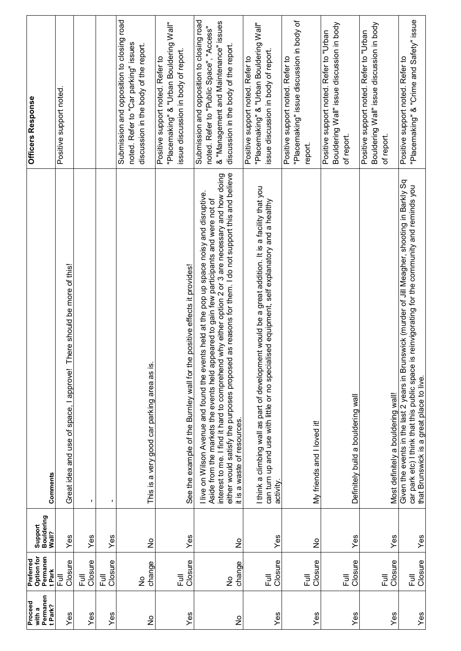| Submission and opposition to closing road | "Placemaking" & "Urban Bouldering Wall"<br>noted. Refer to "Car parking" issues<br>discussion in the body of the report.<br>issue discussion in body of report.<br>Positive support noted. Refer to | Submission and opposition to closing road<br>& "Management and Maintenance" issues<br>noted. Refer to "Public Space", "Access"<br>discussion in the body of the report.                                                                                                                      | "Placemaking" & "Urban Bouldering Wall"<br>ssue discussion in body of report.<br>Positive support noted. Refer to                                                                                                                                                                                                                      | "Placemaking" issue discussion in body of<br>Positive support noted. Refer to<br>report. | Bouldering Wall" issue discussion in body<br>Positive support noted. Refer to "Urban<br>of report. | Bouldering Wall" issue discussion in body<br>Positive support noted. Refer to "Urban<br>of report. |
|-------------------------------------------|-----------------------------------------------------------------------------------------------------------------------------------------------------------------------------------------------------|----------------------------------------------------------------------------------------------------------------------------------------------------------------------------------------------------------------------------------------------------------------------------------------------|----------------------------------------------------------------------------------------------------------------------------------------------------------------------------------------------------------------------------------------------------------------------------------------------------------------------------------------|------------------------------------------------------------------------------------------|----------------------------------------------------------------------------------------------------|----------------------------------------------------------------------------------------------------|
|                                           |                                                                                                                                                                                                     |                                                                                                                                                                                                                                                                                              |                                                                                                                                                                                                                                                                                                                                        |                                                                                          |                                                                                                    |                                                                                                    |
|                                           |                                                                                                                                                                                                     | interest to me. I find it hard to comprehend why either option 2 or 3 are necessary and how doing<br>I live on Wilson Avenue and found the events held at the pop up space noisy and disruptive.<br>Aside from the markets the events held appeared to gain few participants and were not of | either would satisfy the purposes proposed as reasons for them. I do not support this and believe<br>it is a waste of resources.<br>I think a climbing wall as part of development would be a great addition. It is a facility that you<br>can turn up and use with little or no specialised equipment, self explanatory and a healthy |                                                                                          |                                                                                                    |                                                                                                    |
|                                           |                                                                                                                                                                                                     |                                                                                                                                                                                                                                                                                              |                                                                                                                                                                                                                                                                                                                                        |                                                                                          |                                                                                                    |                                                                                                    |
|                                           | See the example of the Burnley wall for the positive effects it provides!<br>This is a very good car parking area as is.                                                                            |                                                                                                                                                                                                                                                                                              |                                                                                                                                                                                                                                                                                                                                        | My friends and I loved it!                                                               | Definitely build a bouldering wall                                                                 | Most definitely a bouldering wall!                                                                 |
|                                           |                                                                                                                                                                                                     |                                                                                                                                                                                                                                                                                              | activity.                                                                                                                                                                                                                                                                                                                              |                                                                                          |                                                                                                    |                                                                                                    |
| Yes                                       | Yes<br>$\frac{1}{2}$                                                                                                                                                                                | $\frac{1}{2}$                                                                                                                                                                                                                                                                                | Yes                                                                                                                                                                                                                                                                                                                                    | $\frac{1}{2}$                                                                            |                                                                                                    | Yes<br>Yes                                                                                         |
|                                           | Closure<br>change<br>言<br>$\frac{1}{2}$                                                                                                                                                             | change<br>$\frac{1}{2}$                                                                                                                                                                                                                                                                      | $\overline{E}$                                                                                                                                                                                                                                                                                                                         | Closure<br>Closure<br>言                                                                  | Closure<br>言                                                                                       | Closure<br>$\bar{p}$                                                                               |
|                                           | Yes<br>$\frac{1}{2}$                                                                                                                                                                                | $\frac{1}{2}$                                                                                                                                                                                                                                                                                | Yes                                                                                                                                                                                                                                                                                                                                    | Yes                                                                                      | Yes                                                                                                | Yes                                                                                                |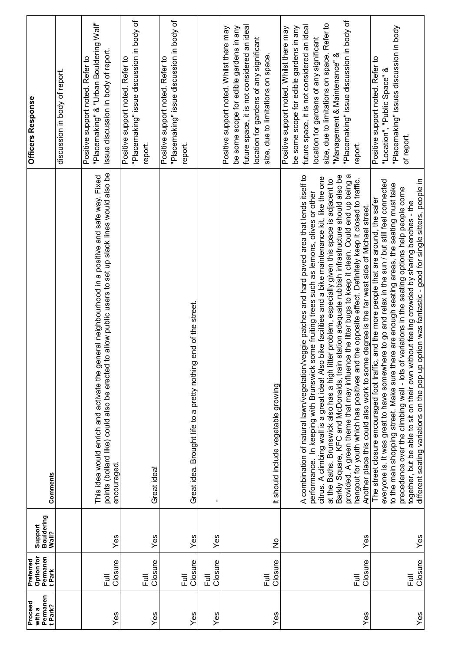| Permanen<br>Proceed<br>t Park?<br>with a | Option for<br>Permanen<br>Preterred<br>t Park | Support<br>Bouldering<br>Wall? | Comments                                                                                                                                                                                                                                                                                                                                                                                                                                                                                                                                                                                                                                                                                                                                                                                                                                 | Officers Response                                                                                                                                                                                                                                                                                                    |
|------------------------------------------|-----------------------------------------------|--------------------------------|------------------------------------------------------------------------------------------------------------------------------------------------------------------------------------------------------------------------------------------------------------------------------------------------------------------------------------------------------------------------------------------------------------------------------------------------------------------------------------------------------------------------------------------------------------------------------------------------------------------------------------------------------------------------------------------------------------------------------------------------------------------------------------------------------------------------------------------|----------------------------------------------------------------------------------------------------------------------------------------------------------------------------------------------------------------------------------------------------------------------------------------------------------------------|
|                                          |                                               |                                |                                                                                                                                                                                                                                                                                                                                                                                                                                                                                                                                                                                                                                                                                                                                                                                                                                          | discussion in body of report.                                                                                                                                                                                                                                                                                        |
| Yes                                      | Closure<br>巨                                  | Yes                            | points (bollard like) could also be erected to allow public users to set up slack lines would also be<br>This idea would enrich and activate the general neighbourhood in a positive and safe way. Fixed<br>encouraged.                                                                                                                                                                                                                                                                                                                                                                                                                                                                                                                                                                                                                  | "Placemaking" & "Urban Bouldering Wall"<br>issue discussion in body of report.<br>Positive support noted. Refer to                                                                                                                                                                                                   |
| Yes                                      | Closure<br>$\bar{p}$                          | Yes                            | Great idea!                                                                                                                                                                                                                                                                                                                                                                                                                                                                                                                                                                                                                                                                                                                                                                                                                              | "Placemaking" issue discussion in body of<br>Positive support noted. Refer to<br>report.                                                                                                                                                                                                                             |
| Yes                                      | Closure<br>巨                                  | Yes                            | end of the street.<br>Great idea. Brought life to a pretty nothing                                                                                                                                                                                                                                                                                                                                                                                                                                                                                                                                                                                                                                                                                                                                                                       | "Placemaking" issue discussion in body of<br>Positive support noted. Refer to<br>report.                                                                                                                                                                                                                             |
| Yes                                      | Closure<br>巨                                  | Yes                            | $\mathbf{I}$                                                                                                                                                                                                                                                                                                                                                                                                                                                                                                                                                                                                                                                                                                                                                                                                                             |                                                                                                                                                                                                                                                                                                                      |
| Yes                                      | Closure<br>ラ<br>L                             | $\frac{1}{2}$                  | It should include vegetable growing                                                                                                                                                                                                                                                                                                                                                                                                                                                                                                                                                                                                                                                                                                                                                                                                      | future space, it is not considered an ideal<br>be some scope for edible gardens in any<br>Positive support noted. Whilst there may<br>location for gardens of any significant<br>size, due to limitations on space.                                                                                                  |
| Yes                                      | Closure<br>巨                                  | Yes                            | station adequate rubbish infrastructure should also be<br>e the litter bugs to keep it clean. Could end up being a<br>A combination of natural lawn/vegetation/veggie patches and hard paved area that lends itself to<br>bike facilities and a bike maintenance kit, like the one<br>er problem, especially given this space is adjacent to<br>hangout for youth which has positives and the opposite effect. Definitely keep it closed to traffic.<br>performance. In keeping with Brunswick some fruiting trees such as lemons, olives or other<br>Another place this could also work to some degree is the far west side of Michael street.<br>citrus. A climbing wall is a great idea! Also<br>at the Baths. Brunswick also has a high litt<br>Barkly Square, KFC and McDonalds, train<br>provided. A green theme that may influenc | "Placemaking" issue discussion in body of<br>size, due to limitations on space. Refer to<br>future space, it is not considered an ideal<br>be some scope for edible gardens in any<br>Positive support noted. Whilst there may<br>location for gardens of any significant<br>"Management & Maintenance" &<br>report. |
| Yes                                      | Closure<br>巨                                  | Yes                            | different seating variations on the pop up option was fantastic - good for single sitters, people in<br>everyone is. It was great to have somewhere to go and relax in the sun / but still feel connected<br>to the main shopping street. Make sure there are enough seating areas, the seating must take<br>precedence over the climbing wall - lots of variations in the seating options help people come<br>The street closure encouraged foot traffic, and the more people that are around, the safer<br>together, but be able to sit on their own without feeling crowded by sharing benches - the                                                                                                                                                                                                                                  | "Placemaking" issues discussion in body<br>Positive support noted. Refer to<br>"Location", "Public Space" &<br>of report.                                                                                                                                                                                            |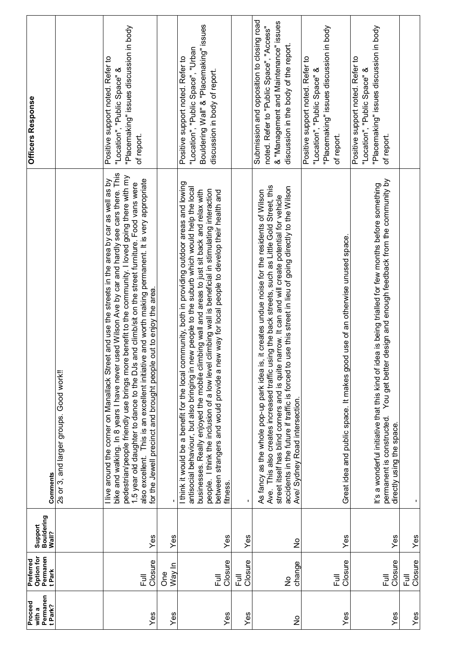| Permanen<br>Proceed<br>t Park?<br>with a | Permanen<br>Option for<br>Preferred<br>t Park | Support<br>Bouldering<br>Wall? | Comments                                                                                                                                                                                                                                                                                                                                                                                                                                                                                                                                                                                       | Officers Response                                                                                                                                                       |
|------------------------------------------|-----------------------------------------------|--------------------------------|------------------------------------------------------------------------------------------------------------------------------------------------------------------------------------------------------------------------------------------------------------------------------------------------------------------------------------------------------------------------------------------------------------------------------------------------------------------------------------------------------------------------------------------------------------------------------------------------|-------------------------------------------------------------------------------------------------------------------------------------------------------------------------|
|                                          |                                               |                                | 2s or 3, and larger groups. Good work!!                                                                                                                                                                                                                                                                                                                                                                                                                                                                                                                                                        |                                                                                                                                                                         |
| Yes                                      | Closure<br>巨                                  | Yes                            | bike and walking. In 8 years I have never used Wilson Ave by car and hardly see cars there. This<br>pedestrian/people friendly use brings more benefit to the community. I loved going there with my<br>I live around the corner on Manallack Street and use the streets in the area by car as well as by<br>e and worth making permanent. It is very appropriate<br>1.5 year old daughter to dance to the DJs and climb/sit on the street furniture. Food vans were<br>out to enjoy the area.<br>also excellent. This is an excellent initiativ<br>for the Jewell precinct and brought people | "Placemaking" issues discussion in body<br>Positive support noted. Refer to<br>"Location", "Public Space" &<br>of report.                                               |
| Yes                                      | May In<br>One                                 | Yes                            |                                                                                                                                                                                                                                                                                                                                                                                                                                                                                                                                                                                                |                                                                                                                                                                         |
| Yes                                      | Closure<br>$\overline{E}$                     | Yes                            | I think it would be a benefit for the local community, both in providing outdoor areas and lowing<br>antisocial behaviour, but also bringing in new people to the suburb which would help the local<br>climbing wall is beneficial in stimulating interaction<br>businesses. Really enjoyed the mobile climbing wall and areas to just sit back and relax with<br>between strangers and would provide a new way for local people to develop their health and<br>people. I think the inclusion of a low level<br>fitness.                                                                       | Bouldering Wall" & "Placemaking" issues<br>"Location", "Public Space", "Urban<br>Positive support noted. Refer to<br>discussion in body of report.                      |
| Yes                                      | Closure<br>ラ<br>L                             | Yes                            |                                                                                                                                                                                                                                                                                                                                                                                                                                                                                                                                                                                                |                                                                                                                                                                         |
| $\frac{1}{2}$                            | change<br>$\frac{1}{2}$                       | $\frac{1}{2}$                  | Ave. This also creates increased traffic using the back streets, such as Little Gold Street, this<br>use this street in lieu of going directly to the Wilson<br>it creates undue noise for the residents of Wilson<br>street itself has blind corners and is quite narrow. It can and will create potential for vehicle<br>As fancy as the whole pop-up park idea is,<br>accidents in the future if traffic is forced to<br>Ave/ Sydney Road intersection                                                                                                                                      | Submission and opposition to closing road<br>& "Management and Maintenance" issues<br>noted. Refer to "Public Space", "Access"<br>discussion in the body of the report. |
| Yes                                      | Closure<br>巨                                  | Yes                            | Great idea and public space. It makes good use of an otherwise unused space.                                                                                                                                                                                                                                                                                                                                                                                                                                                                                                                   | "Placemaking" issues discussion in body<br>Positive support noted. Refer to<br>"Location", "Public Space" &<br>of report.                                               |
| Yes                                      | Closure<br>言                                  | Yes                            | design and enough feedback from the community by<br>It's a wonderful initiative that this kind of idea is being trialled for few months before something<br>You get better<br>permanent is constructed.<br>directly using the space.                                                                                                                                                                                                                                                                                                                                                           | "Placemaking" issues discussion in body<br>Positive support noted. Refer to<br>"Location", "Public Space" &<br>of report.                                               |
| Yes                                      | Closure<br>言                                  | Yes                            |                                                                                                                                                                                                                                                                                                                                                                                                                                                                                                                                                                                                |                                                                                                                                                                         |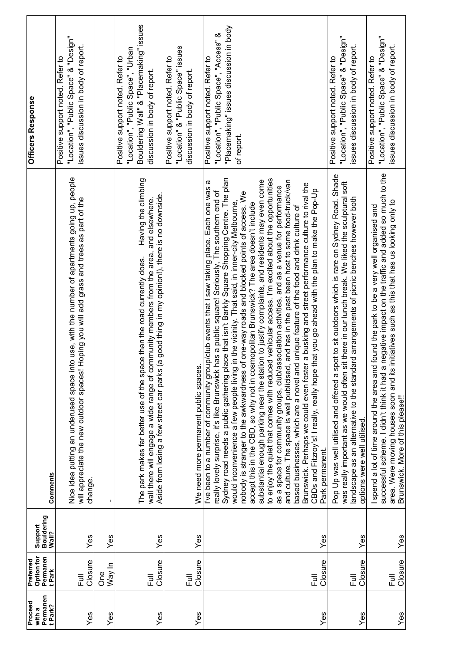| Permanen<br>Proceed<br>t Park?<br>with a | Option for<br>Permanen<br>Preferred<br>tPark | Support<br>Bouldering<br>Wall? | Comments                                                                                                                                                                                                                                                                                                                                                                                                                                                                                                                                                                                                                                                                                                                                                                                                                                                                                                                                                                                                                                                                                                                                                                                                                                                                                                                   | Officers Response                                                                                                                                 |
|------------------------------------------|----------------------------------------------|--------------------------------|----------------------------------------------------------------------------------------------------------------------------------------------------------------------------------------------------------------------------------------------------------------------------------------------------------------------------------------------------------------------------------------------------------------------------------------------------------------------------------------------------------------------------------------------------------------------------------------------------------------------------------------------------------------------------------------------------------------------------------------------------------------------------------------------------------------------------------------------------------------------------------------------------------------------------------------------------------------------------------------------------------------------------------------------------------------------------------------------------------------------------------------------------------------------------------------------------------------------------------------------------------------------------------------------------------------------------|---------------------------------------------------------------------------------------------------------------------------------------------------|
| Yes                                      | Closure<br>言                                 | Yes                            | Nice idea putting an underused space into use, with the number of apartments going up, people<br>oping you will add grass and trees as part of the<br>will appreciate the new outdoor spaces! H<br>change.                                                                                                                                                                                                                                                                                                                                                                                                                                                                                                                                                                                                                                                                                                                                                                                                                                                                                                                                                                                                                                                                                                                 | "Location", "Public Space" & "Design"<br>ssues discussion in body of report.<br>Positive support noted. Refer to                                  |
| Yes                                      | May In<br>One                                | Yes                            | $\mathbf I$                                                                                                                                                                                                                                                                                                                                                                                                                                                                                                                                                                                                                                                                                                                                                                                                                                                                                                                                                                                                                                                                                                                                                                                                                                                                                                                |                                                                                                                                                   |
| Yes                                      | Closure<br>言                                 | Yes                            | Having the climbing<br>Aside from losing a few street car parks (a good thing in my opinion!), there is no downside.<br>wall there will engage a wide range of community members from the area, and elsewhere.<br>The park makes far better use of the space than the road currently does.                                                                                                                                                                                                                                                                                                                                                                                                                                                                                                                                                                                                                                                                                                                                                                                                                                                                                                                                                                                                                                 | Bouldering Wall" & "Placemaking" issues<br>"Location", "Public Space", "Urban<br>Positive support noted. Refer to<br>discussion in body of report |
| Yes                                      | Closure<br>巨                                 | Yes                            | We need more permanent public spaces.                                                                                                                                                                                                                                                                                                                                                                                                                                                                                                                                                                                                                                                                                                                                                                                                                                                                                                                                                                                                                                                                                                                                                                                                                                                                                      | "Location" & "Public Space" issues<br>Positive support noted. Refer to<br>discussion in body of report.                                           |
| Yes                                      | Closure<br>巨                                 | Yes                            | Sydney road needs a public gathering place that isn't Barkly Square Shopping Centre. The plan<br>to enjoy the quiet that comes with reduced vehicular access. I'm excited about the opportunities<br>substantial enough parking near the station to justify complaints, and residents may even come<br>and has in the past been host to some food-truck/van<br>I've been to a number of community group/club events that I saw taking place. Each one was a<br>a busking and street performance culture to rival the<br>as a space for community groups, club/association activities, and as a venue for performance<br>at you go ahead with the plan to make the Pop-Up<br>really lovely surprise, it's like Brunswick has a public square! Seriously, The southern end of<br>nobody is stranger to the awkwardness of one-way roads and blocked points of access. We<br>would inconvenience a few people living in the vicinity. That said, in inner-city Melbourne,<br>accept this in the CBD, so why not in cosmopolitan Brunswick? The area doesn't include<br>unique feature of the food and drink culture of<br>CBDs and Fitzroy's! I really, really hope th<br>based businesses, which are a novel and<br>Brunswick. Perhaps we could even foster<br>and culture. The space is well publicised,<br>Park permanent. | "Placemaking" issues discussion in body<br>"Location", "Public Space", "Access" &<br>Positive support noted. Refer to<br>of report.               |
| Yes                                      | Closure<br>言                                 | Yes                            | Pop Up was well utilised and offered a spot to sit outdoors which is rare on Sydney Road. Shade<br>was really important as we would often sit there in our lunch break. We liked the sculptural soft<br>landscape as an alternative to the standard arrangements of picnic benches however both<br>options were well utilised.                                                                                                                                                                                                                                                                                                                                                                                                                                                                                                                                                                                                                                                                                                                                                                                                                                                                                                                                                                                             | "Location", "Public Space" & "Design"<br>issues discussion in body of report.<br>Positive support noted. Refer to                                 |
| Yes                                      | Closure<br>言                                 | Yes                            | successful scheme. I didn't think it had a negative impact on the traffic and added so much to the<br>area. Were moving houses soon and its initiatives such as this that has us looking only to<br>found the park to be a very well organised and<br>I spend a lot of time around the area and<br>Brunswick. More of this please!!                                                                                                                                                                                                                                                                                                                                                                                                                                                                                                                                                                                                                                                                                                                                                                                                                                                                                                                                                                                        | "Location", "Public Space" & "Design"<br>ssues discussion in body of report.<br>Positive support noted. Refer to                                  |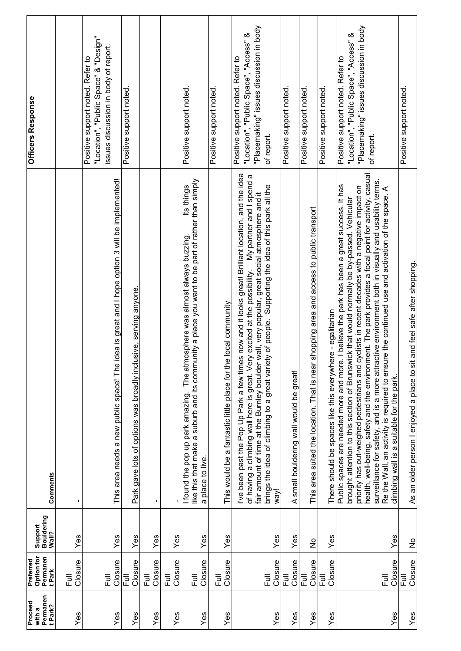| Permanen<br>Proceed<br>t Park?<br>with a | Option for<br>Permanen<br>Preferred<br>t Park | Support<br>Bouldering<br>Wall? | Comments                                                                                                                                                                                                                                                                                                                                                                                                                                                                                                                                                                                                                                                  | Officers Response                                                                                                                   |
|------------------------------------------|-----------------------------------------------|--------------------------------|-----------------------------------------------------------------------------------------------------------------------------------------------------------------------------------------------------------------------------------------------------------------------------------------------------------------------------------------------------------------------------------------------------------------------------------------------------------------------------------------------------------------------------------------------------------------------------------------------------------------------------------------------------------|-------------------------------------------------------------------------------------------------------------------------------------|
| Yes                                      | Closure<br>巨                                  | Yes                            | $\mathbf{I}$                                                                                                                                                                                                                                                                                                                                                                                                                                                                                                                                                                                                                                              |                                                                                                                                     |
| Yes                                      | Closure<br>言                                  | Yes                            | idea is great and I hope option 3 will be implemented!<br>This area needs a new public space! The                                                                                                                                                                                                                                                                                                                                                                                                                                                                                                                                                         | "Location", "Public Space" & "Design"<br>issues discussion in body of report.<br>Positive support noted. Refer to                   |
| Yes                                      | Closure<br>Tull<br>Full                       | Yes                            | Park gave lots of options was broadly inclusive, serving anyone.                                                                                                                                                                                                                                                                                                                                                                                                                                                                                                                                                                                          | Positive support noted.                                                                                                             |
| Yes                                      | Closure<br>言                                  | Yes                            | $\mathbf{I}$                                                                                                                                                                                                                                                                                                                                                                                                                                                                                                                                                                                                                                              |                                                                                                                                     |
| Yes                                      | Closure<br>言                                  | Yes                            |                                                                                                                                                                                                                                                                                                                                                                                                                                                                                                                                                                                                                                                           |                                                                                                                                     |
| Yes                                      | Closure<br>$\bar{p}$                          | Yes                            | like this that make a suburb and its community a place you want to be part of rather than simply<br>Its things<br>I found the pop up park amazing. The atmosphere was almost always buzzing.<br>a place to live.                                                                                                                                                                                                                                                                                                                                                                                                                                          | Positive support noted.                                                                                                             |
| Yes                                      | Closure<br>言                                  | Yes                            | This would be a fantastic little place for the local community                                                                                                                                                                                                                                                                                                                                                                                                                                                                                                                                                                                            | Positive support noted.                                                                                                             |
| Yes                                      | Closure<br>言                                  | Yes                            | I've been past the Pop Up Park a few times now and it looks great! Brilliant location, and the idea<br>of having a climbing wall here is great. Very excited at the possibility. My partner and I spend a<br>brings the idea of climbing to a great variety of people. Supporting the idea of this park all the<br>wall, very popular, great social atmosphere and it<br>fair amount of time at the Burnley boulder<br>ivew                                                                                                                                                                                                                               | "Placemaking" issues discussion in body<br>"Location", "Public Space", "Access" &<br>Positive support noted. Refer to<br>of report. |
| Yes                                      | Closure<br>Tull<br>Full                       | Yes                            | A small bouldering wall would be great!                                                                                                                                                                                                                                                                                                                                                                                                                                                                                                                                                                                                                   | Positive support noted.                                                                                                             |
| Yes                                      | Closure<br>卮                                  | $\frac{1}{2}$                  | shopping area and access to public transport<br>This area suited the location. That is near                                                                                                                                                                                                                                                                                                                                                                                                                                                                                                                                                               | Positive support noted.                                                                                                             |
| Yes                                      | Closure<br>言                                  | Yes                            | There should be spaces like this everywhere - egalitarian                                                                                                                                                                                                                                                                                                                                                                                                                                                                                                                                                                                                 | Positive support noted.                                                                                                             |
| Yes                                      | Closure<br>言                                  | Yes                            | health, well-being, safety and the environment. The park provides a focal point for activity, casual<br>surveillance for safety, and is a more attractive environment both in visually and usability terms.<br>Public spaces are needed more and more. I believe the park has been a great success. It has<br>priority has out-weighed pedestrians and cyclists in recent decades with a negative impact on<br>Re the Wall, an activity is required to ensure the continued use and activation of the space. A<br>brought attention to this section of Brunswick that would normally be by-passed. Vehicular<br>climbing wall is a suitable for the park. | "Placemaking" issues discussion in body<br>"Location", "Public Space", "Access" &<br>Positive support noted. Refer to<br>of report. |
| Yes                                      | Closure<br>$\bar{p}$                          | $\frac{1}{2}$                  | As an older person I enjoyed a place to sit and feel safe after shopping.                                                                                                                                                                                                                                                                                                                                                                                                                                                                                                                                                                                 | Positive support noted.                                                                                                             |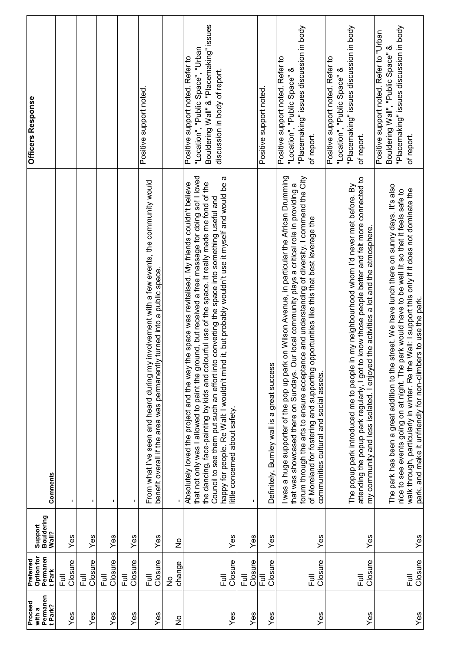| Permanen<br>Proceed<br>t Park?<br>with a | Option for<br>Permanen<br>Preferred<br>t Park | Support<br>Bouldering<br>Wall? | Comments                                                                                                                                                                                                                                                                                                                                                                                                                                                                                                                                       | Officers Response                                                                                                                                  |
|------------------------------------------|-----------------------------------------------|--------------------------------|------------------------------------------------------------------------------------------------------------------------------------------------------------------------------------------------------------------------------------------------------------------------------------------------------------------------------------------------------------------------------------------------------------------------------------------------------------------------------------------------------------------------------------------------|----------------------------------------------------------------------------------------------------------------------------------------------------|
| Yes                                      | Closure<br>言                                  | Yes                            | $\mathbf I$                                                                                                                                                                                                                                                                                                                                                                                                                                                                                                                                    |                                                                                                                                                    |
| Yes                                      | Closure<br>言                                  | Yes                            | $\mathbf{I}$                                                                                                                                                                                                                                                                                                                                                                                                                                                                                                                                   |                                                                                                                                                    |
| Yes                                      | Closure<br>言                                  | Yes                            | $\mathbf{I}$                                                                                                                                                                                                                                                                                                                                                                                                                                                                                                                                   |                                                                                                                                                    |
| Yes                                      | Closure<br>巨                                  | Yes                            | $\blacksquare$                                                                                                                                                                                                                                                                                                                                                                                                                                                                                                                                 |                                                                                                                                                    |
| Yes                                      | Closure<br>言                                  | Yes                            | From what I've seen and heard during my involvement with a few events, the community would<br>benefit overall if the area was permanently turned into a public space.                                                                                                                                                                                                                                                                                                                                                                          | Positive support noted.                                                                                                                            |
| $\frac{1}{2}$                            | change<br>$\frac{1}{2}$                       | $\frac{1}{2}$                  | $\mathbf I$                                                                                                                                                                                                                                                                                                                                                                                                                                                                                                                                    |                                                                                                                                                    |
| Yes                                      | Closure<br>巨                                  | Yes                            | that not only was I allowed to paint the ground, but received a free massage for doing so! I loved<br>happy for people. Re Wall: I wouldn't mind it, but probably wouldn't use it myself and would be a<br>the dancing, face-painting by kids and colourful use of the space. It really made me fond of the<br>Absolutely loved the project and the way the space was revitalised. My friends couldn't believe<br>Council to see them put such an effort into converting the space into something useful and<br>little concerned about safety. | Bouldering Wall" & "Placemaking" issues<br>"Location", "Public Space", "Urban<br>Positive support noted. Refer to<br>discussion in body of report. |
| Yes                                      | Closure<br>$\overline{E}$                     | Yes                            | $\mathbf{L}$                                                                                                                                                                                                                                                                                                                                                                                                                                                                                                                                   |                                                                                                                                                    |
| Yes                                      | Closure<br>卮                                  | Yes                            | Definitely, Burnley wall is a great success                                                                                                                                                                                                                                                                                                                                                                                                                                                                                                    | Positive support noted.                                                                                                                            |
| Yes                                      | Closure<br>言                                  | Yes                            | I was a huge supporter of the pop up park on Wilson Avenue, in particular the African Drumming<br>forum through the arts to ensure acceptance and understanding of diversity. I commend the City<br>that was showcased there on Sundays. Our local community plays a critical role in providing a<br>of Moreland for fostering and supporting opportunities like this that best leverage the<br>communities cultural and social assets.                                                                                                        | "Placemaking" issues discussion in body<br>Positive support noted. Refer to<br>"Location", "Public Space" &<br>of report.                          |
| Yes                                      | Closure<br>巨                                  | Yes                            | attending the popup park regularly, I got to know those people better and felt more connected to<br>The popup park introduced me to people in my neighbourhood whom I'd never met before. By<br>my community and less isolated. I enjoyed the activities a lot and the atmosphere.                                                                                                                                                                                                                                                             | "Placemaking" issues discussion in body<br>Positive support noted. Refer to<br>"Location", "Public Space" &<br>of report.                          |
| Yes                                      | Closure<br>言                                  | Yes                            | street. We have lunch there on sunny days. It's also<br>walk through, particularly in winter. Re the Wall: I support this only if it does not dominate the<br>nice to see events going on at night. The park would have to be well lit so that it feels safe to<br>park, and make it unfriendly for non-climbers to use the park.<br>The park has been a great addition to the                                                                                                                                                                 | "Placemaking" issues discussion in body<br>Positive support noted. Refer to "Urban<br>Bouldering Wall", "Public Space" &<br>of report.             |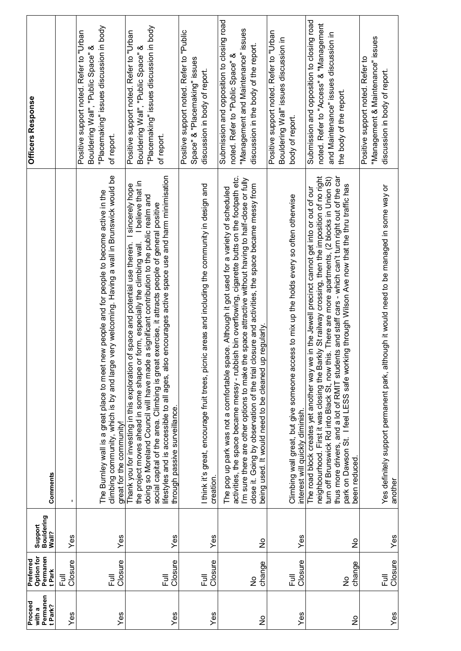| Permanen<br>Proceed<br>t Park?<br>with a | Permanen<br>Option for<br>Preferred<br>t Park | Bouldering<br>Support<br>Wall? | Comments                                                                                                                                                                                                                                                                                                                                                                                                                                                                                                                                       | Officers Response                                                                                                                                             |
|------------------------------------------|-----------------------------------------------|--------------------------------|------------------------------------------------------------------------------------------------------------------------------------------------------------------------------------------------------------------------------------------------------------------------------------------------------------------------------------------------------------------------------------------------------------------------------------------------------------------------------------------------------------------------------------------------|---------------------------------------------------------------------------------------------------------------------------------------------------------------|
| Yes                                      | Closure<br>司                                  | Yes                            | $\mathbf{I}$                                                                                                                                                                                                                                                                                                                                                                                                                                                                                                                                   |                                                                                                                                                               |
| Yes                                      | Closure<br>豆                                  | Yes                            | climbing community, which is by and large very welcoming. Having a wall in Brunswick would be<br>The Burnley wall is a great place to meet new people and for people to become active in the<br>great for the community!                                                                                                                                                                                                                                                                                                                       | "Placemaking" issues discussion in body<br>Positive support noted. Refer to "Urban<br>Bouldering Wall", "Public Space" &<br>of report.                        |
| Yes                                      | Closure<br>巨                                  | Yes                            | lifestyles and is accessible to all ages, also encourages active space use and harm minimisation<br>the project moves ahead in some shape or form, especially the climbing wall. I believe that in<br>of space and potential use therein. I sincerely hope<br>a significant contribution to the public realm and<br>social capital of the area. Climbing is great exercise, it attracts people of general positive<br>doing so Moreland Council will have made<br>Thank you for investing in this exploration<br>through passive surveillance. | "Placemaking" issues discussion in body<br>Positive support noted. Refer to "Urban<br>Bouldering Wall", "Public Space" &<br>of report.                        |
| Yes                                      | Closure<br>豆                                  | Yes                            | I think it's great, encourage fruit trees, picnic areas and including the community in design and<br>creation.                                                                                                                                                                                                                                                                                                                                                                                                                                 | Positive support noted. Refer to "Public<br>Space" & "Placemaking" issues<br>discussion in body of report.                                                    |
| $\frac{1}{2}$                            | change<br>$\frac{1}{2}$                       | $\frac{1}{2}$                  | activities, the space became messy - rubbish bin overflowing, cigarette butts on the footpath etc.<br>I'm sure there are other options to make the space attractive without having to half-close or fully<br>close it. Going by observation of the trial closure and activities, the space became messy from<br>The pop up park was not a comfortable space. Although it got used for a variety of scheduled<br>being used. It would need to be cleaned up regularly                                                                           | Submission and opposition to closing road<br>"Management and Maintenance" issues<br>discussion in the body of the report.<br>noted. Refer to "Public Space" & |
| Yes                                      | Closure<br>巨                                  | Yes                            | Climbing wall great, but give someone access to mix up the holds every so often otherwise<br>interest will quickly diminish                                                                                                                                                                                                                                                                                                                                                                                                                    | Positive support noted. Refer to "Urban<br>Bouldering Wall" issues discussion in<br>body of report.                                                           |
| $\frac{1}{2}$                            | change<br>$\frac{1}{2}$                       | $\frac{1}{2}$                  | thus more drivers, and a lot of RMIT students and staff cars - which can't turn right out of the car<br>neighbourhood. First it was closing the Barkly St railway crossing, then the imposition of no right<br>turn off Brunswick Rd into Black St, now this. There are more apartments, (2 blocks in Union St)<br>park on Dawson St. I feel LESS safe working through Wilson Ave now that the thru traffic has<br>The road block creates yet another way we in the Jewell precinct cannot get into or out of our<br>been reduced              | Submission and opposition to closing road<br>noted. Refer to "Access" & "Management<br>and Maintenance" issues discussion in<br>the body of the report.       |
| Yes                                      | Closure<br>言                                  | Yes                            | Yes definitely support permanent park, although it would need to be managed in some way or<br>another                                                                                                                                                                                                                                                                                                                                                                                                                                          | "Management & Maintenance" issues<br>Positive support noted. Refer to<br>discussion in body of report.                                                        |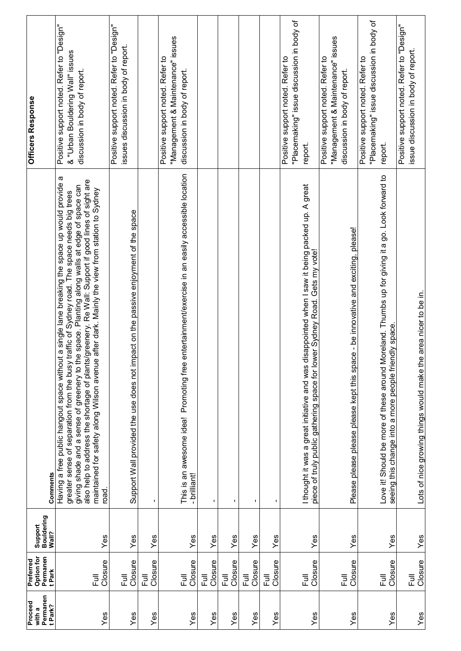| Permanen<br>Proceed<br>t Park?<br>with a | Option for<br>Permanen<br>Preferred<br>t Park | <b>Bouldering</b><br>Support<br>Wall? | Comments                                                                                                                                                                                                                                                                                                                                                                                                                                                                                                         | Officers Response                                                                                              |
|------------------------------------------|-----------------------------------------------|---------------------------------------|------------------------------------------------------------------------------------------------------------------------------------------------------------------------------------------------------------------------------------------------------------------------------------------------------------------------------------------------------------------------------------------------------------------------------------------------------------------------------------------------------------------|----------------------------------------------------------------------------------------------------------------|
| Yes                                      | Closure<br>巨                                  | Yes                                   | Having a free public hangout space without a single lane breaking the space up would provide a<br>also help to address the shortage of plants/greenery. Re Wall: Support if good lines of sight are<br>ne space. Planting along walls at edge of space can<br>maintained for safety along Wilson avenue after dark. Mainly the view from station to Sydney<br>greater sense of separation from the busy traffic of Sydney road. The space needs big trees<br>giving shade and a sense of greenery to th<br>road. | Positive support noted. Refer to "Design"<br>& "Urban Bouldering Wall" issues<br>discussion in body of report. |
| Yes                                      | Closure<br>言                                  | Yes                                   | Support Wall provided the use does not impact on the passive enjoyment of the space                                                                                                                                                                                                                                                                                                                                                                                                                              | Positive support noted. Refer to "Design"<br>issues discussion in body of report.                              |
| Yes                                      | Closure<br>$\overline{E}$                     | Yes                                   | $\blacksquare$                                                                                                                                                                                                                                                                                                                                                                                                                                                                                                   |                                                                                                                |
| Yes                                      | Closure<br>言                                  | Yes                                   | entertainment/exercise in an easily accessible location<br>This is an awesome idea! Promoting free<br>- brilliant!                                                                                                                                                                                                                                                                                                                                                                                               | "Management & Maintenance" issues<br>Positive support noted. Refer to<br>discussion in body of report.         |
| Yes                                      | Closure<br>言                                  | Yes                                   | $\blacksquare$                                                                                                                                                                                                                                                                                                                                                                                                                                                                                                   |                                                                                                                |
| Yes                                      | Closure<br>言                                  | Yes                                   | T.                                                                                                                                                                                                                                                                                                                                                                                                                                                                                                               |                                                                                                                |
| Yes                                      | Closure<br>Full<br>F                          | Yes                                   | I.                                                                                                                                                                                                                                                                                                                                                                                                                                                                                                               |                                                                                                                |
| Yes                                      | Closure<br>$\bar{E}$                          | Yes                                   | $\mathbf{I}$                                                                                                                                                                                                                                                                                                                                                                                                                                                                                                     |                                                                                                                |
| Yes                                      | Closure<br>豆                                  | Yes                                   | I thought it was a great initiative and was disappointed when I saw it being packed up. A great<br>piece of truly public gathering space for lower Sydney Road. Gets my vote!                                                                                                                                                                                                                                                                                                                                    | "Placemaking" issue discussion in body of<br>Positive support noted. Refer to<br>report.                       |
| Yes                                      | Closure<br>$\bar{E}$                          | Yes                                   | Please please please please kept this space - be innovative and exciting, please!                                                                                                                                                                                                                                                                                                                                                                                                                                | "Management & Maintenance" issues<br>Positive support noted. Refer to<br>discussion in body of report.         |
| Yes                                      | Closure<br>言                                  | Yes                                   | Love it! Should be more of these around Moreland. Thumbs up for giving it a go. Look forward to<br>seeing this change into a more people friendly space.                                                                                                                                                                                                                                                                                                                                                         | "Placemaking" issue discussion in body of<br>Positive support noted. Refer to<br>report.                       |
| Yes                                      | Closure<br>言                                  | Yes                                   | Lots of nice growing things would make the area nicer to be in.                                                                                                                                                                                                                                                                                                                                                                                                                                                  | Positive support noted. Refer to "Design"<br>issue discussion in body of report.                               |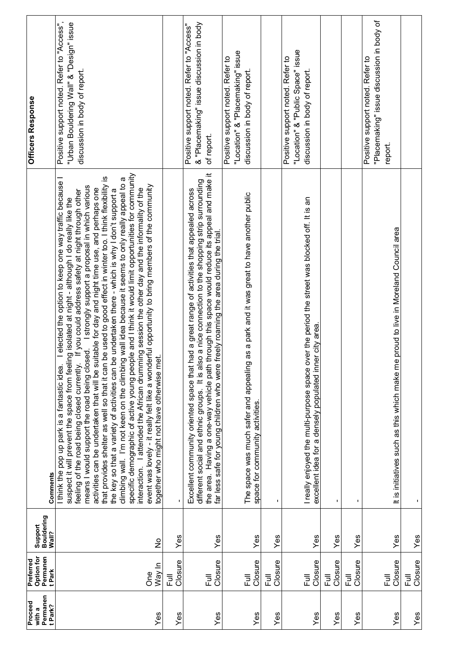| Permanen<br>Proceed<br>t Park?<br>with a | Option for<br>Permanen<br>Preferred<br>t Park | <b>Bouldering</b><br>Support<br>Wall? | Comments                                                                                                                                                                                                                                                                                                                                                                                                                                                                                                                                                                                                                                                                                                                                                                                                                                                                                                                                                                                                                                                                                                                                                                                            | Officers Response                                                                                                       |
|------------------------------------------|-----------------------------------------------|---------------------------------------|-----------------------------------------------------------------------------------------------------------------------------------------------------------------------------------------------------------------------------------------------------------------------------------------------------------------------------------------------------------------------------------------------------------------------------------------------------------------------------------------------------------------------------------------------------------------------------------------------------------------------------------------------------------------------------------------------------------------------------------------------------------------------------------------------------------------------------------------------------------------------------------------------------------------------------------------------------------------------------------------------------------------------------------------------------------------------------------------------------------------------------------------------------------------------------------------------------|-------------------------------------------------------------------------------------------------------------------------|
| Yes                                      | May In<br>One                                 | $\frac{1}{2}$                         | specific demographic of active young people and I think it would limit opportunities for community<br>that provides shelter as well so that it can be used to good effect in winter too. I think flexibility is<br>I elected the option to keep one way traffic because I<br>climbing wall. I'm not keen on the climbing wall idea because it seems to only really appeal to a<br>event was lovely - it really felt like a wonderful opportunity to bring members of the community<br>means I would support the road being closed. I strongly support a proposal in which various<br>activities can be undertaken that will be suitable for day and night time use, and perhaps one<br>interaction. I attended the African drumming session the other day and the informality of the<br>the key so that a variety of activities can be undertaken there - which is why I don't support a<br>If you could address safety at night through other<br>ng isolated at night - although I do really like the<br>together who might not have otherwise met.<br>suspect it will prevent the space from feeli<br>feeling of the road being closed currently.<br>I think the pop up park is a fantastic idea. | Positive support noted. Refer to "Access",<br>"Urban Bouldering Wall" & "Design" issue<br>discussion in body of report. |
| Yes                                      | Closure<br>豆                                  | Yes                                   | 1                                                                                                                                                                                                                                                                                                                                                                                                                                                                                                                                                                                                                                                                                                                                                                                                                                                                                                                                                                                                                                                                                                                                                                                                   |                                                                                                                         |
| Yes                                      | Closure<br>言                                  | Yes                                   | the area. Having a one-way vehicle path through this space would reduce its appeal and make it<br>different social and ethnic groups. It is also a nice connection to the shopping strip surrounding<br>Excellent community oriented space that had a great range of activities that appealed across<br>freely roaming the area during the trial<br>far less safe for young children who were                                                                                                                                                                                                                                                                                                                                                                                                                                                                                                                                                                                                                                                                                                                                                                                                       | & "Placemaking" issue discussion in body<br>Positive support noted. Refer to "Access"<br>of report.                     |
| Yes                                      | Closure<br>言                                  | Yes                                   | as a park and it was great to have another public<br>The space was much safer and appealing<br>space for community activities.                                                                                                                                                                                                                                                                                                                                                                                                                                                                                                                                                                                                                                                                                                                                                                                                                                                                                                                                                                                                                                                                      | "Location" & "Placemaking" issue<br>Positive support noted. Refer to<br>discussion in body of report                    |
| Yes                                      | Closure<br>$\overline{E}$                     | Yes                                   | I.                                                                                                                                                                                                                                                                                                                                                                                                                                                                                                                                                                                                                                                                                                                                                                                                                                                                                                                                                                                                                                                                                                                                                                                                  |                                                                                                                         |
| Yes                                      | Closure<br>言                                  | Yes                                   | I really enjoyed the multi-purpose space over the period the street was blocked off. It is an<br>excellent idea for a densely populated inner city area.                                                                                                                                                                                                                                                                                                                                                                                                                                                                                                                                                                                                                                                                                                                                                                                                                                                                                                                                                                                                                                            | "Location" & "Public Space" issue<br>Positive support noted. Refer to<br>discussion in body of report                   |
| Yes                                      | Closure<br>巨                                  | Yes                                   | $\mathbf{I}$                                                                                                                                                                                                                                                                                                                                                                                                                                                                                                                                                                                                                                                                                                                                                                                                                                                                                                                                                                                                                                                                                                                                                                                        |                                                                                                                         |
| Yes                                      | Closure<br>Full                               | Yes                                   | I.                                                                                                                                                                                                                                                                                                                                                                                                                                                                                                                                                                                                                                                                                                                                                                                                                                                                                                                                                                                                                                                                                                                                                                                                  |                                                                                                                         |
| Yes                                      | Closure<br>言                                  | Yes                                   | It is initiatives such as this which make me proud to live in Moreland Council area                                                                                                                                                                                                                                                                                                                                                                                                                                                                                                                                                                                                                                                                                                                                                                                                                                                                                                                                                                                                                                                                                                                 | "Placemaking" issue discussion in body of<br>Positive support noted. Refer to<br>report.                                |
| Yes                                      | Closure<br>ラ<br>L                             | Yes                                   | $\blacksquare$                                                                                                                                                                                                                                                                                                                                                                                                                                                                                                                                                                                                                                                                                                                                                                                                                                                                                                                                                                                                                                                                                                                                                                                      |                                                                                                                         |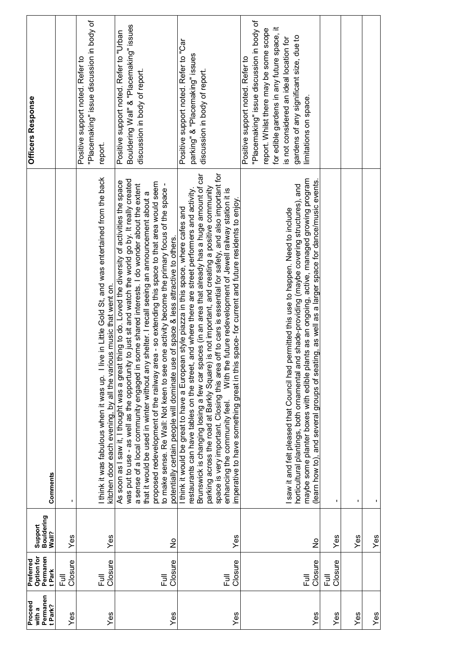| Comments                                                                                                                                                                                                                                                                                                                                                                                                                                                                                                                                                                                                                                                                                                           |
|--------------------------------------------------------------------------------------------------------------------------------------------------------------------------------------------------------------------------------------------------------------------------------------------------------------------------------------------------------------------------------------------------------------------------------------------------------------------------------------------------------------------------------------------------------------------------------------------------------------------------------------------------------------------------------------------------------------------|
| e in Little Gold St, and was entertained from the back<br>kitchen door each evening, by all the various music that went on.<br>I think it was fabulous when it was up. I liv                                                                                                                                                                                                                                                                                                                                                                                                                                                                                                                                       |
| was put to use - as well as the opportunity to just sit and watch the world go by. It really created<br>thing to do. Loved the diversity of activities the space<br>proposed redevelopment of the railway area - so extending this space to that area would seem<br>a sense of a local community engaged in some shared interests. I do wonder about the extent<br>to make sense. Re Wall: Not keen to see one activity become the primary focus of the space -<br>shelter. I recall seeing an announcement about a<br>potentially certain people will dominate use of space & less attractive to others.<br>that it would be used in winter without any<br>As soon as I saw it, I thought was a great t           |
| off to cars is essential for safety, and also important for<br>Brunswick is changing losing a few car spaces (in an area that already has a huge amount of car<br>is not important, and creating a positive community<br>enhancing the community feel. With the future redevelopment of Jewell railway station it is<br>and where there are street performers and activity.<br>space- for current and future residents to enjoy.<br>I think it would be great to have a European style piazza in this space, where cafes and<br>space is very important. Closing this area<br>mperative to have something great in this<br>restaurants can have tables on the street,<br>parking across the road at Barkly Square) |
| maybe some planter boxes with edible plants as an ongoing, active, managed growing program<br>ng, as well as a larger space for dance/music events.<br>horticultural plantings, both ornamental and shade-providing (maybe covering structures), and<br>I saw it and felt pleased that Council had permitted this use to happen. Need to include<br>(learn how to), and several groups of seati                                                                                                                                                                                                                                                                                                                    |
|                                                                                                                                                                                                                                                                                                                                                                                                                                                                                                                                                                                                                                                                                                                    |
|                                                                                                                                                                                                                                                                                                                                                                                                                                                                                                                                                                                                                                                                                                                    |
|                                                                                                                                                                                                                                                                                                                                                                                                                                                                                                                                                                                                                                                                                                                    |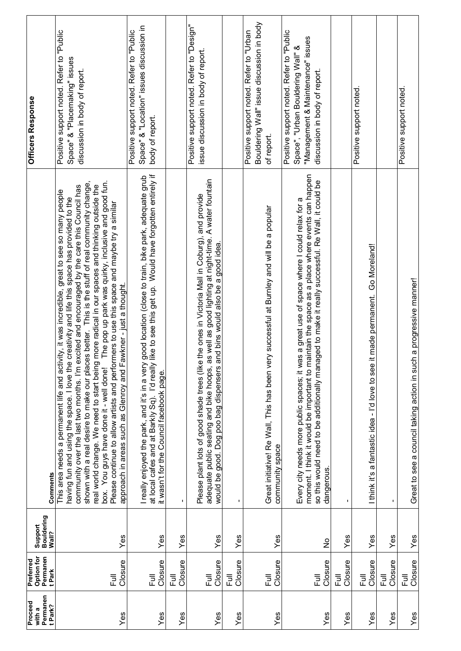| Permanen<br>Proceed<br>t Park?<br>with a | Option for<br>Permanen<br>Preferred<br>t Park | Bouldering<br>Support<br>Wall? | Comments                                                                                                                                                                                                                                                                                                                                                                                                                                                                                                                                                                                                                                                                                                                                                                  | Officers Response                                                                                                                                   |
|------------------------------------------|-----------------------------------------------|--------------------------------|---------------------------------------------------------------------------------------------------------------------------------------------------------------------------------------------------------------------------------------------------------------------------------------------------------------------------------------------------------------------------------------------------------------------------------------------------------------------------------------------------------------------------------------------------------------------------------------------------------------------------------------------------------------------------------------------------------------------------------------------------------------------------|-----------------------------------------------------------------------------------------------------------------------------------------------------|
|                                          | Closure<br>豆                                  | Yes                            | The pop up park was quirky, inclusive and good fun.<br>shown with a real desire to make our places better. This is the stuff of real community change,<br>more radical in our spaces and thinking outside the<br>community over the last two months. I'm excited and encouraged by the care this Council has<br>This area needs a permanent life and activity, it was incredible, great to see so many people<br>creativity and life this space has provided to the<br>Please continue to allow artists and performers to use this space and maybe try a similar<br>approach in areas such as Glenroy and Fawkner - just a thought.<br>having fun and using the space. I love the<br>real world change. We need to start being<br>box. You guys have done it - well done! | Positive support noted. Refer to "Public<br>Space" & "Placemaking" issues<br>discussion in body of report.                                          |
|                                          | Closure<br>巨                                  | Yes                            | like to see this get up. Would have forgotten entirely if<br>good location (close to train, bike park, adequate grub<br>at local cafes and at Barkly Sq). I'd really<br>I really enjoyed the park, and it's in a very<br>it wasn't for the Council facebook page.                                                                                                                                                                                                                                                                                                                                                                                                                                                                                                         | Space" & "Location" issues discussion in<br>Positive support noted. Refer to "Public<br>body of report.                                             |
|                                          | Closure<br>Full                               | Yes                            | $\blacksquare$                                                                                                                                                                                                                                                                                                                                                                                                                                                                                                                                                                                                                                                                                                                                                            |                                                                                                                                                     |
|                                          | Closure<br>巨                                  | Yes                            | adequate public seating and bike hoops, as well as good lighting at night-time. A water fountain<br>the ones in Victoria Mall in Coburg), and provide<br>would be good. Dog poo bag dispensers and bins would also be a good idea.<br>Please plant lots of good shade trees (like                                                                                                                                                                                                                                                                                                                                                                                                                                                                                         | Positive support noted. Refer to "Design"<br>issue discussion in body of report.                                                                    |
|                                          | Closure<br>$\bar{p}$                          | Yes                            | ı,                                                                                                                                                                                                                                                                                                                                                                                                                                                                                                                                                                                                                                                                                                                                                                        |                                                                                                                                                     |
|                                          | Closure<br>言                                  | Yes                            | Great initiative! Re Wall, This has been very successful at Burnley and will be a popular<br>community space                                                                                                                                                                                                                                                                                                                                                                                                                                                                                                                                                                                                                                                              | Bouldering Wall" issue discussion in body<br>Positive support noted. Refer to "Urban<br>of report.                                                  |
|                                          | Closure<br>卮                                  | $\frac{1}{2}$                  | moment. I think it would be important to maintain the space as a place where events can happen<br>so this would need to be additionally managed to make it really successful. Re Wall, it could be<br>Every city needs more public spaces; it was a great use of space where I could relax for a<br>dangerous                                                                                                                                                                                                                                                                                                                                                                                                                                                             | Positive support noted. Refer to "Public<br>"Management & Maintenance" issues<br>Space", "Urban Bouldering Wall" &<br>discussion in body of report. |
|                                          | Closure<br>巨                                  | Yes                            | $\mathbf I$                                                                                                                                                                                                                                                                                                                                                                                                                                                                                                                                                                                                                                                                                                                                                               |                                                                                                                                                     |
|                                          | Closure<br>言                                  | Yes                            | I think it's a fantastic idea - I'd love to see it made permanent. Go Moreland!                                                                                                                                                                                                                                                                                                                                                                                                                                                                                                                                                                                                                                                                                           | Positive support noted.                                                                                                                             |
|                                          | Closure<br>言                                  | Yes                            | ı                                                                                                                                                                                                                                                                                                                                                                                                                                                                                                                                                                                                                                                                                                                                                                         |                                                                                                                                                     |
|                                          | Closure<br>巨                                  | Yes                            | Great to see a council taking action in such a progressive manner!                                                                                                                                                                                                                                                                                                                                                                                                                                                                                                                                                                                                                                                                                                        | Positive support noted.                                                                                                                             |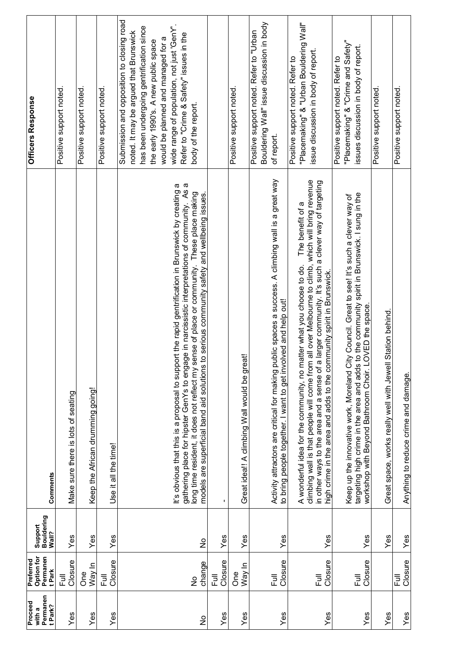| Permanen<br>Proceed<br>t Park?<br>with a | Permanen<br>Option for<br>Preferred<br>t Park | Support<br>Bouldering<br>Wall? | Comments                                                                                                                                                                                                                                                                                                                                                                                           | Officers Response                                                                                                                                                                                                                                                                                                             |
|------------------------------------------|-----------------------------------------------|--------------------------------|----------------------------------------------------------------------------------------------------------------------------------------------------------------------------------------------------------------------------------------------------------------------------------------------------------------------------------------------------------------------------------------------------|-------------------------------------------------------------------------------------------------------------------------------------------------------------------------------------------------------------------------------------------------------------------------------------------------------------------------------|
| Yes                                      | Closure<br>巨                                  | Yes                            | Make sure there is lots of seating                                                                                                                                                                                                                                                                                                                                                                 | Positive support noted.                                                                                                                                                                                                                                                                                                       |
| Yes                                      | May In<br><b>S</b>                            | Yes                            | Keep the African drumming going!                                                                                                                                                                                                                                                                                                                                                                   | Positive support noted.                                                                                                                                                                                                                                                                                                       |
| Yes                                      | Closure<br>巨                                  | Yes                            | Use it all the time!                                                                                                                                                                                                                                                                                                                                                                               | Positive support noted.                                                                                                                                                                                                                                                                                                       |
| $\frac{1}{2}$                            | change<br>$\frac{1}{2}$                       | $\frac{1}{2}$                  | gathering place for hipster GenYs to engage in narcissistic interpretations of community. As a<br>It's obvious that this is a proposal to support the rapid gentrification in Brunswick by creating a<br>long time resident, it does not reflect my sense of place or community. These place making<br>models are superficial band aid solutions to serious community safety and wellbeing issues. | Submission and opposition to closing road<br>wide range of population, not just 'GenY'.<br>has been undergoing gentrification since<br>noted. It may be argued that Brunswick<br>Refer to "Crime & Safety" issues in the<br>would be planned and managed for a<br>the early 1990's. A new public space<br>body of the report. |
| Yes                                      | Closure<br>巨                                  | Yes                            | T.                                                                                                                                                                                                                                                                                                                                                                                                 |                                                                                                                                                                                                                                                                                                                               |
| Yes                                      | May In<br>One                                 | Yes                            | Great idea!! A climbing Wall would be great!                                                                                                                                                                                                                                                                                                                                                       | Positive support noted.                                                                                                                                                                                                                                                                                                       |
| Yes                                      | Closure<br>巨                                  | Yes                            | Activity attractors are critical for making public spaces a success. A climbing wall is a great way<br>to bring people together. I want to get involved and help out!                                                                                                                                                                                                                              | Bouldering Wall" issue discussion in body<br>Positive support noted. Refer to "Urban<br>of report.                                                                                                                                                                                                                            |
| Yes                                      | Closure<br>巨                                  | Yes                            | climbing wall is that people will come from all over Melbourne to climb, which will bring revenue<br>in other ways to the area and a sense of a larger community. It's such a clever way of targeting<br>A wonderful idea for the community, no matter what you choose to do.  The benefit of a<br>high crime in the area and adds to the community spirit in Brunswick.                           | "Placemaking" & "Urban Bouldering Wall"<br>issue discussion in body of report.<br>Positive support noted. Refer to                                                                                                                                                                                                            |
| Yes                                      | Closure<br>卮                                  | Yes                            | targeting high crime in the area and adds to the community spirit in Brunswick. I sung in the<br>Keep up the innovative work, Moreland City Council. Great to see! It's such a clever way of<br>workshop with Beyond Bathroom Choir. LOVED the space.                                                                                                                                              | "Placemaking" & "Crime and Safety"<br>ssues discussion in body of report.<br>Positive support noted. Refer to                                                                                                                                                                                                                 |
| Yes                                      |                                               | Yes                            | Station behind.<br>Great space, works really well with Jewell                                                                                                                                                                                                                                                                                                                                      | Positive support noted.                                                                                                                                                                                                                                                                                                       |
| Yes                                      | Closure<br>豆                                  | Yes                            | Anything to reduce crime and damage.                                                                                                                                                                                                                                                                                                                                                               | Positive support noted.                                                                                                                                                                                                                                                                                                       |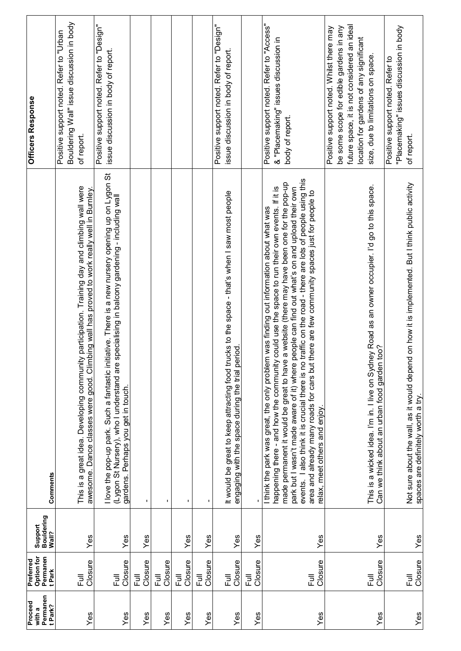| Permanen<br>Proceed<br>t Park?<br>with a | Permanen<br>Option for<br>Preferred<br>t Park | Bouldering<br>Wall?<br>Support | Comments                                                                                                                                                                                                                                                                                                                                                                                                                                                                                                                                                                                                                                | Officers Response                                                                                                                                                             |
|------------------------------------------|-----------------------------------------------|--------------------------------|-----------------------------------------------------------------------------------------------------------------------------------------------------------------------------------------------------------------------------------------------------------------------------------------------------------------------------------------------------------------------------------------------------------------------------------------------------------------------------------------------------------------------------------------------------------------------------------------------------------------------------------------|-------------------------------------------------------------------------------------------------------------------------------------------------------------------------------|
| Yes                                      | Closure<br>言                                  | Yes                            | This is a great idea. Developing community participation. Training day and climbing wall were<br>awesome. Dance classes were good. Climbing wall has proved to work really well in Burnley.                                                                                                                                                                                                                                                                                                                                                                                                                                             | Bouldering Wall" issue discussion in body<br>Positive support noted. Refer to "Urban<br>of report.                                                                            |
| Yes                                      | Closure<br>言                                  | Yes                            | l love the pop-up park. Such a fantastic initiative. There is a new nursery opening up on Lygon St<br>(Lygon St Nursery), who I understand are specialising in balcony gardening - including wall<br>gardens. Perhaps you get in touch.                                                                                                                                                                                                                                                                                                                                                                                                 | Positive support noted. Refer to "Design"<br>issue discussion in body of report.                                                                                              |
| Yes                                      | Closure<br>$\overline{a}$                     | Yes                            | $\mathbf I$                                                                                                                                                                                                                                                                                                                                                                                                                                                                                                                                                                                                                             |                                                                                                                                                                               |
| Yes                                      | Closure<br>巨                                  |                                | $\mathbf{I}$                                                                                                                                                                                                                                                                                                                                                                                                                                                                                                                                                                                                                            |                                                                                                                                                                               |
| Yes                                      | Closure<br>巨                                  | Yes                            | п                                                                                                                                                                                                                                                                                                                                                                                                                                                                                                                                                                                                                                       |                                                                                                                                                                               |
| Yes                                      | Closure<br>巨                                  | Yes                            | $\mathbf{I}$                                                                                                                                                                                                                                                                                                                                                                                                                                                                                                                                                                                                                            |                                                                                                                                                                               |
| Yes                                      | Closure<br>巨                                  | Yes                            | it would be great to keep attracting food trucks to the space - that's when I saw most people<br>engaging with the space during the trial period                                                                                                                                                                                                                                                                                                                                                                                                                                                                                        | Positive support noted. Refer to "Design"<br>issue discussion in body of report.                                                                                              |
| Yes                                      | Closure<br>$\overline{v}$                     | Yes                            | ı                                                                                                                                                                                                                                                                                                                                                                                                                                                                                                                                                                                                                                       |                                                                                                                                                                               |
| Yes                                      | Closure<br>Full                               | Yes                            | events. I also think it is crucial there is no traffic on the road - there are lots of people using this<br>made permanent it would be great to have a website (there may have been one for the pop-up<br>happening there - and how the community could use the space to run their own events. If it is<br>people can find out what's on and upload their own<br>there are few community spaces just for people to<br>I think the park was great, the only problem was finding out information about what was<br>park but I wasn't made aware of it) where<br>area and already many roads for cars but<br>relax, meet others and enjoy. | Positive support noted. Refer to "Access"<br>& "Placemaking" issues discussion in<br>body of report.                                                                          |
|                                          |                                               |                                |                                                                                                                                                                                                                                                                                                                                                                                                                                                                                                                                                                                                                                         | future space, it is not considered an ideal<br>be some scope for edible gardens in any<br>Positive support noted. Whilst there may<br>location for gardens of any significant |
| Yes                                      | Closure<br>Full                               | Yes                            | This is a wicked idea. I'm in. I live on Sydney Road as an owner occupier. I'd go to this space.<br>Can we think about an urban food garden too?                                                                                                                                                                                                                                                                                                                                                                                                                                                                                        | size, due to limitations on space.                                                                                                                                            |
| Yes                                      | Closure<br>言                                  | Yes                            | Not sure about the wall, as it would depend on how it is implemented. But I think public activity<br>spaces are definitely worth a try.                                                                                                                                                                                                                                                                                                                                                                                                                                                                                                 | "Placemaking" issues discussion in body<br>Positive support noted. Refer to<br>of report.                                                                                     |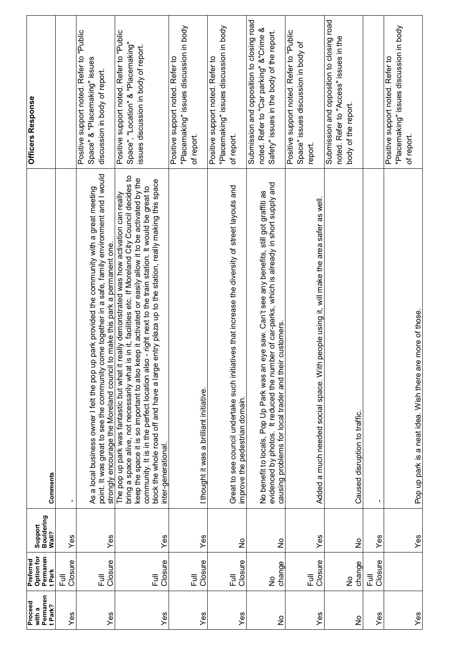| Permanen<br>Proceed<br>with a | Option for<br>Permanen<br>Preterred | <b>Bouldering</b><br>Support |                                                                                                                                                                                                                                                                                                                                                                                                                                                                                                                                                         | Officers Response                                                                                                                 |
|-------------------------------|-------------------------------------|------------------------------|---------------------------------------------------------------------------------------------------------------------------------------------------------------------------------------------------------------------------------------------------------------------------------------------------------------------------------------------------------------------------------------------------------------------------------------------------------------------------------------------------------------------------------------------------------|-----------------------------------------------------------------------------------------------------------------------------------|
| t Park?<br>Yes                | Closure<br>t Park<br>言              | Wall?<br>Yes                 | Comments<br>$\mathbf I$                                                                                                                                                                                                                                                                                                                                                                                                                                                                                                                                 |                                                                                                                                   |
| Yes                           | Closure<br>言                        | Yes                          | point. It was great to see the community come together in a safe, family environment and I would<br>As a local business owner I felt the pop up park provided the community with a great meeting<br>strongly encourage the Moreland council to make this park a permanent one.                                                                                                                                                                                                                                                                          | Positive support noted. Refer to "Public<br>Space" & "Placemaking" issues<br>discussion in body of report.                        |
| Yes                           | Closure<br>巨                        | Yes                          | bring a space alive, not necessarily what is in it, facilities etc. If Moreland City Council decides to<br>keep the space it is so important to also keep it activated or easily allow it to be activated by the<br>block the whole road off and have a large entry plaza up to the station, really making this space<br>community. It is in the perfect location also - right next to the train station. It would be great to<br>really demonstrated was how activation can really<br>The pop up park was fantastic but what it<br>inter-generational. | Positive support noted. Refer to "Public<br>Space", "Location" & "Placemaking"<br>issues discussion in body of report.            |
| Yes                           | Closure<br>$\bar{E}$                | Yes                          | I thought it was a brilliant initiative.                                                                                                                                                                                                                                                                                                                                                                                                                                                                                                                | "Placemaking" issues discussion in body<br>Positive support noted. Refer to<br>of report.                                         |
| Yes                           | Closure<br>言                        | $\frac{1}{2}$                | Great to see council undertake such initiatives that increase the diversity of street layouts and<br>improve the pedestrian domain                                                                                                                                                                                                                                                                                                                                                                                                                      | "Placemaking" issues discussion in body<br>Positive support noted. Refer to<br>of report.                                         |
| $\frac{1}{2}$                 | change<br>$\frac{1}{2}$             | $\frac{1}{2}$                | evidenced by photos. It reduced the number of car-parks, which is already in short supply and<br>eye saw. Can't see any benefits, still got graffiti as<br>r customers.<br>causing problems for local trader and their<br>No benefit to locals, Pop Up Park was an                                                                                                                                                                                                                                                                                      | Submission and opposition to closing road<br>noted. Refer to "Car parking" & Crime &<br>Safety" issues in the body of the report. |
| Yes                           | Closure<br>言                        | Yes                          | people using it, will make the area safer as well.<br>Added a much needed social space. With                                                                                                                                                                                                                                                                                                                                                                                                                                                            | Positive support noted. Refer to "Public<br>Space" issues discussion in body of<br>report.                                        |
| $\frac{1}{2}$                 | change<br>$\frac{1}{2}$             | $\frac{1}{2}$                | Caused disruption to traffic.                                                                                                                                                                                                                                                                                                                                                                                                                                                                                                                           | Submission and opposition to closing road<br>noted. Refer to "Access" issues in the<br>body of the report.                        |
| Yes                           | Closure<br>$\bar{p}$                | Yes                          | $\mathbf I$                                                                                                                                                                                                                                                                                                                                                                                                                                                                                                                                             |                                                                                                                                   |
| Yes                           |                                     | Yes                          | Pop up park is a neat idea. Wish there are more of those.                                                                                                                                                                                                                                                                                                                                                                                                                                                                                               | "Placemaking" issues discussion in body<br>Positive support noted. Refer to<br>of report.                                         |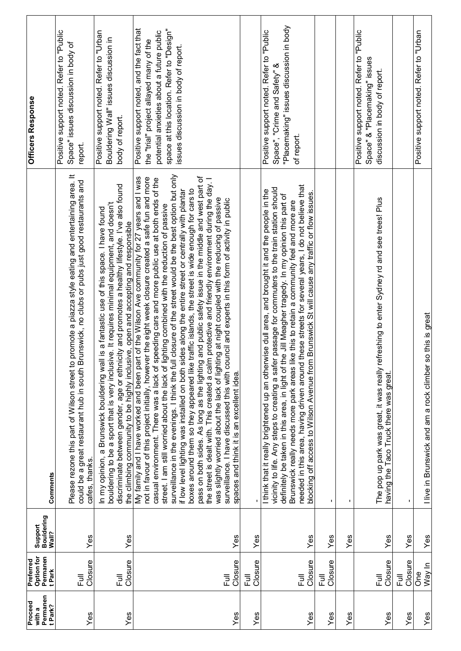| Permanen<br>Proceed<br>t Park?<br>with a | Option for<br>Permanen<br>Preferred<br>t Park | Support<br>Bouldering<br>Wall? | Comments                                                                                                                                                                                                                                                                                                                                                                                                                                                                                                                                                                                                                                                                                                                                                                                                                                                                                                                                                                                                                                                                                                                                                                              | Officers Response                                                                                                                                                                                                      |
|------------------------------------------|-----------------------------------------------|--------------------------------|---------------------------------------------------------------------------------------------------------------------------------------------------------------------------------------------------------------------------------------------------------------------------------------------------------------------------------------------------------------------------------------------------------------------------------------------------------------------------------------------------------------------------------------------------------------------------------------------------------------------------------------------------------------------------------------------------------------------------------------------------------------------------------------------------------------------------------------------------------------------------------------------------------------------------------------------------------------------------------------------------------------------------------------------------------------------------------------------------------------------------------------------------------------------------------------|------------------------------------------------------------------------------------------------------------------------------------------------------------------------------------------------------------------------|
| Yes                                      | Closure<br>言                                  | Yes                            | promote a piazza style eating and entertaining area. It<br>runswick, no clubs or pubs just good restaurants and<br>Please rezone this part of Wilson street to<br>could be a great restaurant hub in south B<br>cafes, thanks.                                                                                                                                                                                                                                                                                                                                                                                                                                                                                                                                                                                                                                                                                                                                                                                                                                                                                                                                                        | Positive support noted. Refer to "Public<br>Space" issues discussion in body of<br>report.                                                                                                                             |
| Yes                                      | Closure<br>言                                  | Yes                            | discriminate between gender, age or ethnicity and promotes a healthy lifestyle. I've also found<br>bouldering to be a sport that is very inclusive. It requires minimal equipment, and doesn't<br>In my opinion, a Brunswick bouldering wall is a fantastic use of this space. I have found<br>the climbing community to be highly inclusive, open and accepting and responsible                                                                                                                                                                                                                                                                                                                                                                                                                                                                                                                                                                                                                                                                                                                                                                                                      | Positive support noted. Refer to "Urban<br>Bouldering Wall" issues discussion in<br>body of report.                                                                                                                    |
| Yes                                      | Closure<br>言                                  | Yes                            | surveillance in the evenings. I think the full closure of the street would be the best option but only<br>pass on both sides. As long as the lighting and public safety issue in the middle and west part of<br>My family and I have worked and been part of the Wilson Ave community for 27 years and I was<br>not in favour of this project initially, however the eight week closure created a safe fun and more<br>casual environment. There was a lack of speeding cars and more public use at both ends of the<br>the street is dealt with. This created a calm protective and friendly environment during the day. I<br>boxes around them so they appeared like traffic islands, the street is wide enough for cars to<br>if low level lighting was installed on both sides along the entire street or centrally with plantar<br>was slightly worried about the lack of lighting at night coupled with the reducing of passive<br>surveillance. I have discussed this with council and experts in this form of activity in public<br>street. I am still worried about the lack of lighting combined with the reduction of passive<br>spaces and think it is an excellent idea. | Positive support noted, and the fact that<br>space at this location. Refer to "Design"<br>potential anxieties about a future public<br>the "trial" project allayed many of the<br>issues discussion in body of report. |
| Yes                                      | Closure<br>巨                                  | Yes                            |                                                                                                                                                                                                                                                                                                                                                                                                                                                                                                                                                                                                                                                                                                                                                                                                                                                                                                                                                                                                                                                                                                                                                                                       |                                                                                                                                                                                                                        |
| Yes                                      | Closure<br>巨                                  | Yes                            | needed in this area, having driven around these streets for several years, I do not believe that<br>vicinity to life. Any steps to creating a safer passage for commuters to the train station should<br>I think that it really brightened up an otherwise dull area, and brought it and the people in the<br>blocking off access to Wilson Avenue from Brunswick St will cause any traffic or flow issues<br>definitely be taken in this area, in light of the Jill Meagher tragedy. In my opinion this part of<br>Brunswick really needs more park areas like this to retain a community feel and more are                                                                                                                                                                                                                                                                                                                                                                                                                                                                                                                                                                          | "Placemaking" issues discussion in body<br>Positive support noted. Refer to "Public<br>Space", "Crime and Safety" &<br>of report.                                                                                      |
| Yes                                      | Closure<br>巨                                  | Yes                            | I.                                                                                                                                                                                                                                                                                                                                                                                                                                                                                                                                                                                                                                                                                                                                                                                                                                                                                                                                                                                                                                                                                                                                                                                    |                                                                                                                                                                                                                        |
| Yes                                      |                                               | Yes                            | $\blacksquare$                                                                                                                                                                                                                                                                                                                                                                                                                                                                                                                                                                                                                                                                                                                                                                                                                                                                                                                                                                                                                                                                                                                                                                        |                                                                                                                                                                                                                        |
| Yes                                      | Closure<br>巨                                  | Yes                            | The pop up park was great, it was really refreshing to enter Sydney rd and see trees! Plus<br>having the Taco Truck there was great                                                                                                                                                                                                                                                                                                                                                                                                                                                                                                                                                                                                                                                                                                                                                                                                                                                                                                                                                                                                                                                   | Positive support noted. Refer to "Public<br>Space" & "Placemaking" issues<br>discussion in body of report.                                                                                                             |
| Yes                                      | Closure<br>巨                                  | Yes                            | $\mathbf{I}$                                                                                                                                                                                                                                                                                                                                                                                                                                                                                                                                                                                                                                                                                                                                                                                                                                                                                                                                                                                                                                                                                                                                                                          |                                                                                                                                                                                                                        |
| Yes                                      | May In<br>One                                 | Yes                            | I live in Brunswick and am a rock climber so this is great                                                                                                                                                                                                                                                                                                                                                                                                                                                                                                                                                                                                                                                                                                                                                                                                                                                                                                                                                                                                                                                                                                                            | Positive support noted. Refer to "Urban                                                                                                                                                                                |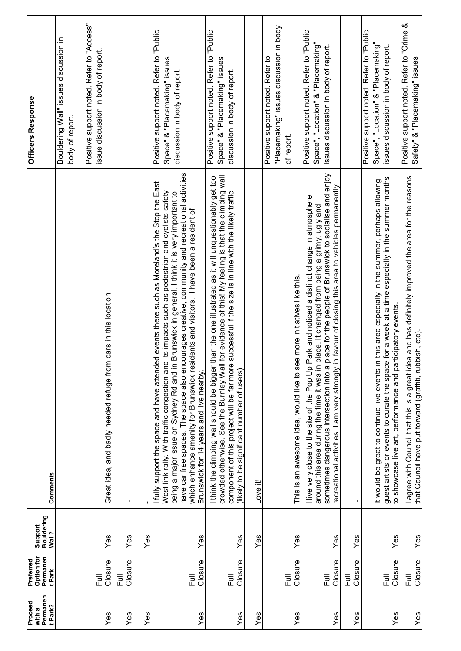| Permanen<br>Proceed<br>t Park?<br>with a | Option for<br>Permanen<br>Preferred<br>t Park | Support<br>Bouldering<br>Wall? | Comments                                                                                                                                                                                                                                                                                                                                                                                                                                                                                                                                 | Officers Response                                                                                                      |
|------------------------------------------|-----------------------------------------------|--------------------------------|------------------------------------------------------------------------------------------------------------------------------------------------------------------------------------------------------------------------------------------------------------------------------------------------------------------------------------------------------------------------------------------------------------------------------------------------------------------------------------------------------------------------------------------|------------------------------------------------------------------------------------------------------------------------|
|                                          |                                               |                                |                                                                                                                                                                                                                                                                                                                                                                                                                                                                                                                                          | Bouldering Wall" issues discussion in<br>body of report.                                                               |
| Yes                                      | Closure<br>$\overline{E}$                     | Yes                            | cars in this location<br>Great idea, and badly needed refuge from                                                                                                                                                                                                                                                                                                                                                                                                                                                                        | Positive support noted. Refer to "Access"<br>issue discussion in body of report.                                       |
| Yes                                      | Closure<br>巨                                  | Yes                            | $\mathbf I$                                                                                                                                                                                                                                                                                                                                                                                                                                                                                                                              |                                                                                                                        |
| Yes                                      |                                               | Yes                            |                                                                                                                                                                                                                                                                                                                                                                                                                                                                                                                                          |                                                                                                                        |
| Yes                                      | Closure<br>Full                               | Yes                            | have car free spaces. The space also encourages creative, community and recreational activities<br>I fully support the space and have attended events there such as Moreland's the Stop the East<br>West link rally. With traffic congestion and its impacts such as pedestrian and cyclists safety<br>being a major issue on Sydney Rd and in Brunswick in general, I think it is very important to<br>which enhance amenity for Brunswick residents and visitors. I have been a resident of<br>Brunswick for 14 years and live nearby. | Positive support noted. Refer to "Public<br>Space" & "Placemaking" issues<br>discussion in body of report.             |
| Yes                                      | Closure<br>言                                  | Yes                            | for evidence of this! My feeling is that the climbing wall<br>I think the climbing wall should be bigger than the one illustrated as it will unquestionably get too<br>successful if the size is in line with the likely traffic<br>crowded otherwise. See the Burnley Wall<br>component of this project will be far more<br>(likely to be significant number of users).                                                                                                                                                                 | Positive support noted. Refer to "Public<br>Space" & "Placemaking" issues<br>discussion in body of report.             |
| Yes                                      |                                               | Yes                            | Love it!                                                                                                                                                                                                                                                                                                                                                                                                                                                                                                                                 |                                                                                                                        |
| Yes                                      | Closure<br>言                                  | Yes                            | This is an awesome idea, would like to see more initiatives like this.                                                                                                                                                                                                                                                                                                                                                                                                                                                                   | "Placemaking" issues discussion in body<br>Positive support noted. Refer to<br>of report.                              |
| Yes                                      | Closure<br>言                                  | Yes                            | sometimes dangerous intersection into a place for the people of Brunswick to socialise and enjoy<br>recreational activities. I am very strongly in favour of closing this area to vehicles permanently.<br>ark and noticed a distinct change in atmosphere<br>around this area during the time it was in place. It changed from being a grimy, ugly and<br>I live very close to the site of the Pop Up F                                                                                                                                 | Positive support noted. Refer to "Public<br>Space", "Location" & "Placemaking"<br>issues discussion in body of report. |
| Yes                                      | Closure<br>言                                  | Yes                            | $\mathbf{I}$                                                                                                                                                                                                                                                                                                                                                                                                                                                                                                                             |                                                                                                                        |
| Yes                                      | Closure<br>巨                                  | Yes                            | guest artists or events to curate the space for a week at a time especially in the summer months<br>this area especially in the summer, perhaps allowing<br>to showcase live art, performance and participatory events.<br>It would be great to continue live events in                                                                                                                                                                                                                                                                  | Positive support noted. Refer to "Public<br>Space", "Location" & "Placemaking"<br>issues discussion in body of report. |
| Yes                                      | Closure<br>卮                                  | Yes                            | I agree with Council that this is a great idea and has definitely improved the area for the reasons<br>that Council have put forward (graffiti, rubbish, etc).                                                                                                                                                                                                                                                                                                                                                                           | Positive support noted. Refer to "Crime &<br>Safety" & "Placemaking" issues                                            |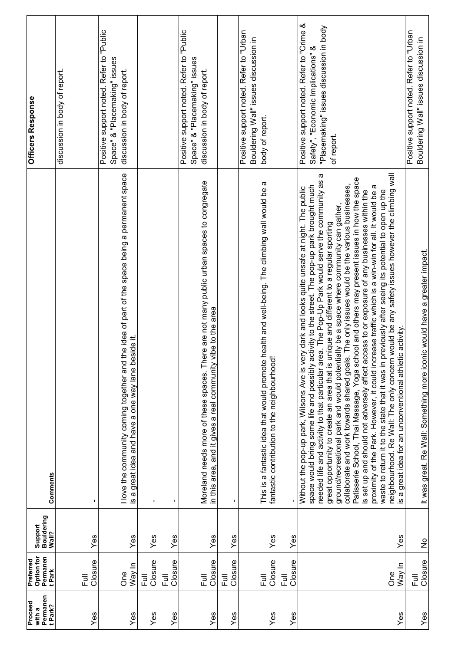| Permanen<br>Proceed<br>t Park?<br>with a | Option for<br>Permanen<br>Preferred<br>t Park | Support<br>Bouldering<br>Wall? | Comments                                                                                                                                                                                                                                                                                                                                                                                                                                                                                                                                                                                                                                                                                                                                                                                                                                                                                                                                                                                                                                                                                                                                                                                        | Officers Response                                                                                                                       |
|------------------------------------------|-----------------------------------------------|--------------------------------|-------------------------------------------------------------------------------------------------------------------------------------------------------------------------------------------------------------------------------------------------------------------------------------------------------------------------------------------------------------------------------------------------------------------------------------------------------------------------------------------------------------------------------------------------------------------------------------------------------------------------------------------------------------------------------------------------------------------------------------------------------------------------------------------------------------------------------------------------------------------------------------------------------------------------------------------------------------------------------------------------------------------------------------------------------------------------------------------------------------------------------------------------------------------------------------------------|-----------------------------------------------------------------------------------------------------------------------------------------|
|                                          |                                               |                                |                                                                                                                                                                                                                                                                                                                                                                                                                                                                                                                                                                                                                                                                                                                                                                                                                                                                                                                                                                                                                                                                                                                                                                                                 | discussion in body of report.                                                                                                           |
| Yes                                      | Closure<br>$\overline{a}$                     | Yes                            | $\mathbf I$                                                                                                                                                                                                                                                                                                                                                                                                                                                                                                                                                                                                                                                                                                                                                                                                                                                                                                                                                                                                                                                                                                                                                                                     |                                                                                                                                         |
| Yes                                      | May In<br>One                                 | Yes                            | I love the community coming together and the idea of part of the space being a permanent space<br>is a great idea and have a one way lane beside it.                                                                                                                                                                                                                                                                                                                                                                                                                                                                                                                                                                                                                                                                                                                                                                                                                                                                                                                                                                                                                                            | Positive support noted. Refer to "Public<br>Space" & "Placemaking" issues<br>discussion in body of report.                              |
| Yes                                      | Closure<br>Ē                                  | Yes                            | I.                                                                                                                                                                                                                                                                                                                                                                                                                                                                                                                                                                                                                                                                                                                                                                                                                                                                                                                                                                                                                                                                                                                                                                                              |                                                                                                                                         |
| Yes                                      | Closure<br>言                                  | Yes                            | $\mathbf{L}_{\mathbf{r}}$                                                                                                                                                                                                                                                                                                                                                                                                                                                                                                                                                                                                                                                                                                                                                                                                                                                                                                                                                                                                                                                                                                                                                                       |                                                                                                                                         |
| Yes                                      | Closure<br>巨                                  | Yes                            | Moreland needs more of these spaces. There are not many public urban spaces to congregate<br>in this area, and it gives a real community vibe to the area                                                                                                                                                                                                                                                                                                                                                                                                                                                                                                                                                                                                                                                                                                                                                                                                                                                                                                                                                                                                                                       | Positive support noted. Refer to "Public<br>Space" & "Placemaking" issues<br>discussion in body of report.                              |
| Yes                                      | Closure<br>言                                  | Yes                            | $\mathbf{I}$                                                                                                                                                                                                                                                                                                                                                                                                                                                                                                                                                                                                                                                                                                                                                                                                                                                                                                                                                                                                                                                                                                                                                                                    |                                                                                                                                         |
| Yes                                      | Closure<br>$\overline{E}$                     | Yes                            | This is a fantastic idea that would promote health and well-being. The climbing wall would be a<br>fantastic contribution to the neighbourhood!                                                                                                                                                                                                                                                                                                                                                                                                                                                                                                                                                                                                                                                                                                                                                                                                                                                                                                                                                                                                                                                 | Positive support noted. Refer to "Urban<br>Bouldering Wall" issues discussion in<br>body of report.                                     |
| Yes                                      | Closure<br>$\bar{p}$                          | Yes                            |                                                                                                                                                                                                                                                                                                                                                                                                                                                                                                                                                                                                                                                                                                                                                                                                                                                                                                                                                                                                                                                                                                                                                                                                 |                                                                                                                                         |
| Yes                                      | May In<br>One                                 | Yes                            | neighbourhood. Re Wall: The only concern would be any safety issues however the climbing wall<br>needed life and activity to that particular area. The Pop-Up Park would serve the community as a<br>Patisserie School, Thai Massage, Yoga school and others may present issues in how the space<br>collaborate and work towards shared goals. The only issues would be the various businesses,<br>activity to the street. The pop-up park brought much<br>proximity of the Park. However, it could increase traffic which is a win-win for all. It would be a<br>ery dark and looks quite unsafe at night. The public<br>is set up and should not adversely affect access to or exposure of any businesses within the<br>previously after seeing its potential to open up the<br>ground/recreational park and would potentially be a space where community can gather,<br>great opportunity to create an area that is unique and different to a regular sporting<br>great idea for an unconventional athletic activity.<br>Without the pop-up park, Wilsons Ave is v<br>waste to return it to the state that it was in<br>space would bring some life and possibly<br>Ø<br>$\overline{\omega}$ | Positive support noted. Refer to "Crime &<br>"Placemaking" issues discussion in body<br>Safety", "Economic Implications" &<br>of report |
| Yes                                      | Closure<br>卮                                  | $\frac{1}{2}$                  | It was great. Re Wall: Something more iconic would have a greater impact.                                                                                                                                                                                                                                                                                                                                                                                                                                                                                                                                                                                                                                                                                                                                                                                                                                                                                                                                                                                                                                                                                                                       | Positive support noted. Refer to "Urban<br>Bouldering Wall" issues discussion in                                                        |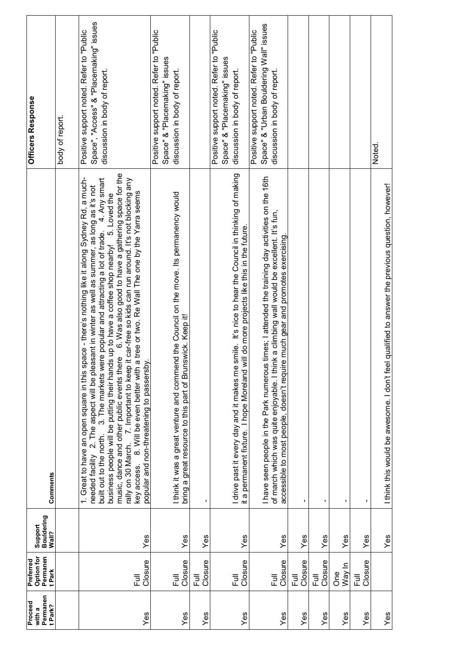|                                               |                 | Space", "Access" & "Placemaking" issues<br>Positive support noted. Refer to "Public<br>discussion in body of report.                                                                                                                                                                                                                                                                                                                                                                                                                                                                                                                                                                                                                                                | Positive support noted. Refer to "Public<br>Space" & "Placemaking" issues<br>discussion in body of report.                                             |              | Positive support noted. Refer to "Public<br>Space" & "Placemaking" issues<br>discussion in body of report.                                                                                     | Space" & "Urban Bouldering Wall" issues<br>Positive support noted. Refer to "Public<br>discussion in body of report.                                                                                                                                                              |                |              |                      |              |        |
|-----------------------------------------------|-----------------|---------------------------------------------------------------------------------------------------------------------------------------------------------------------------------------------------------------------------------------------------------------------------------------------------------------------------------------------------------------------------------------------------------------------------------------------------------------------------------------------------------------------------------------------------------------------------------------------------------------------------------------------------------------------------------------------------------------------------------------------------------------------|--------------------------------------------------------------------------------------------------------------------------------------------------------|--------------|------------------------------------------------------------------------------------------------------------------------------------------------------------------------------------------------|-----------------------------------------------------------------------------------------------------------------------------------------------------------------------------------------------------------------------------------------------------------------------------------|----------------|--------------|----------------------|--------------|--------|
| Officers Response                             | body of report. |                                                                                                                                                                                                                                                                                                                                                                                                                                                                                                                                                                                                                                                                                                                                                                     |                                                                                                                                                        |              |                                                                                                                                                                                                |                                                                                                                                                                                                                                                                                   |                |              |                      |              | Noted. |
| Comments                                      |                 | music, dance and other public events there 6. Was also good to have a gathering space for the<br>1. Great to have an open square in this space - there's nothing like it along Sydney Rd, a much-<br>rally on 30 March. 7. Important to keep it car-free so kids can run around. It's not blocking any<br>4. Any smart<br>needed facility 2. The aspect will be pleasant in winter as well as summer, as long as it's not<br>tree or two. Re Wall The one by the Yarra seems<br>built out to the north. 3. The markets were popular and attracting a lot of trade. 4. Any sr<br>business people will be putting their hands up to have a coffee shop nearby! 5. Loved the<br>key access. 8. Will be even better with a<br>popular and non-threatening to passersby. | I think it was a great venture and commend the Council on the move. Its permanency would<br>bring a great resource to this part of Brunswick. Keep it! | ı            | I drive past it every day and it makes me smile. It's nice to hear the Council in thinking of making<br>it a permanent fixture. I hope Moreland will do more projects like this in the future. | times; I attended the training day activities on the 16th<br>of march which was quite enjoyable. I think a climbing wall would be excellent. It's fun,<br>accessible to most people, doesn't require much gear and promotes exercising<br>I have seen people in the Park numerous | $\blacksquare$ | $\mathbf{I}$ | $\mathbf I$          | $\mathbf I$  |        |
| Bouldering<br>Support<br>Wall?                |                 | Yes                                                                                                                                                                                                                                                                                                                                                                                                                                                                                                                                                                                                                                                                                                                                                                 | Yes                                                                                                                                                    | Yes          | Yes                                                                                                                                                                                            | Yes                                                                                                                                                                                                                                                                               | Yes            | Yes          | Yes                  | Yes          |        |
| Option for<br>Permanen<br>Preferred<br>t Park |                 | Closure<br>巨                                                                                                                                                                                                                                                                                                                                                                                                                                                                                                                                                                                                                                                                                                                                                        | Closure<br>巨                                                                                                                                           | Closure<br>卮 | Closure<br>巨                                                                                                                                                                                   | Closure<br>$\overline{E}$                                                                                                                                                                                                                                                         | Closure<br>卮   | Closure<br>卮 | May In<br><b>One</b> | Closure<br>卮 |        |
| Permanen<br>Proceed<br>t Park?<br>with a      |                 | Yes                                                                                                                                                                                                                                                                                                                                                                                                                                                                                                                                                                                                                                                                                                                                                                 | Yes                                                                                                                                                    | Yes          | Yes                                                                                                                                                                                            | Yes                                                                                                                                                                                                                                                                               | Yes            | Yes          | Yes                  | Yes          |        |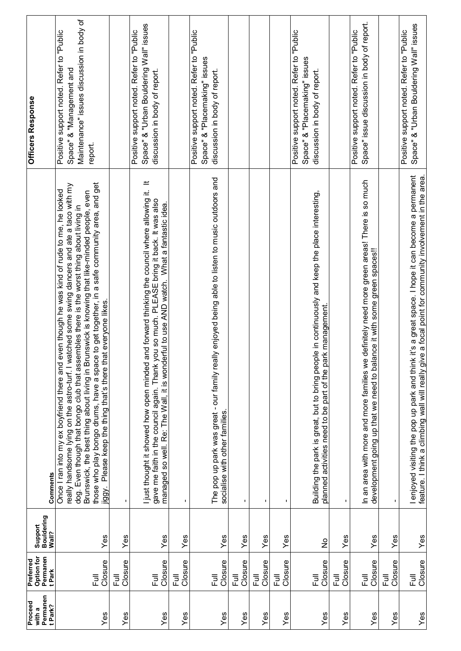| Permanen<br>Proceed<br>t Park?<br>with a | Option for<br>Permanen<br>Preterred<br>t Park | Support<br>Bouldering<br>Wall? | Comments                                                                                                                                                                                                                                                                                                                                                                                                                                                                                                                                                  | Officers Response                                                                                                            |
|------------------------------------------|-----------------------------------------------|--------------------------------|-----------------------------------------------------------------------------------------------------------------------------------------------------------------------------------------------------------------------------------------------------------------------------------------------------------------------------------------------------------------------------------------------------------------------------------------------------------------------------------------------------------------------------------------------------------|------------------------------------------------------------------------------------------------------------------------------|
| Yes                                      | Closure<br>卮                                  | Yes                            | those who play bongo drums, have a space to get together, in a safe community area, and get<br>really handsome lying on the astro-turf. I watched some swing dancers and ate a taco with my<br>even though he was kind of rude to me, he looked<br>Brunswick, the best thing about living in Brunswick is knowing that like-minded people, even<br>dog. Even though that bongo club that assembles there is the worst thing about living in<br>iggy. Please keep the thing that's there that everyone likes.<br>Once I ran into my ex boyfriend there and | Maintenance" issues discussion in body of<br>Positive support noted. Refer to "Public<br>Space" & "Management and<br>report. |
| Yes                                      | Closure<br>$\bar{E}$                          | Yes                            | $\mathbf I$                                                                                                                                                                                                                                                                                                                                                                                                                                                                                                                                               |                                                                                                                              |
| Yes                                      | Closure<br>巨                                  | Yes                            | and forward thinking the council where allowing it. It<br>gave me faith in the council again. Thank you so much. PLEASE bring it back. It was also<br>managed so well. Re: The Wall, it is wonderful to use AND watch. What a fantastic idea.<br>I just thought it showed how open minded                                                                                                                                                                                                                                                                 | Space" & "Urban Bouldering Wall" issues<br>Positive support noted. Refer to "Public<br>discussion in body of report.         |
| Yes                                      | Closure<br>巨                                  | Yes                            | $\mathbf{I}$                                                                                                                                                                                                                                                                                                                                                                                                                                                                                                                                              |                                                                                                                              |
| Yes                                      | Closure<br>卮                                  | Yes                            | The pop up park was great - our family really enjoyed being able to listen to music outdoors and<br>socialise with other families.                                                                                                                                                                                                                                                                                                                                                                                                                        | Positive support noted. Refer to "Public<br>Space" & "Placemaking" issues<br>discussion in body of report.                   |
| Yes                                      | Closure<br>巨                                  | Yes                            | $\mathbf{I}$                                                                                                                                                                                                                                                                                                                                                                                                                                                                                                                                              |                                                                                                                              |
| Yes                                      | Closure<br>巨                                  | Yes                            | T,                                                                                                                                                                                                                                                                                                                                                                                                                                                                                                                                                        |                                                                                                                              |
| Yes                                      | Closure<br>Eul                                | Yes                            | 1                                                                                                                                                                                                                                                                                                                                                                                                                                                                                                                                                         |                                                                                                                              |
| Yes                                      | Closure<br>卮                                  | $\frac{1}{2}$                  | Building the park is great, but to bring people in continuously and keep the place interesting,<br>planned activities need to be part of the park management.                                                                                                                                                                                                                                                                                                                                                                                             | Positive support noted. Refer to "Public<br>Space" & "Placemaking" issues<br>discussion in body of report.                   |
| Yes                                      | Closure<br>巨                                  | Yes                            | $\mathbf I$                                                                                                                                                                                                                                                                                                                                                                                                                                                                                                                                               |                                                                                                                              |
| Yes                                      | Closure<br>巨                                  | Yes                            | In an area with more and more families we definitely need more green areas! There is so much<br>ance it with some green spaces!!<br>development going up that we need to bal                                                                                                                                                                                                                                                                                                                                                                              | Space" issue discussion in body of report.<br>Positive support noted. Refer to "Public                                       |
| Yes                                      | Closure<br>卮                                  | Yes                            | $\mathbf I$                                                                                                                                                                                                                                                                                                                                                                                                                                                                                                                                               |                                                                                                                              |
| Yes                                      | Closure<br>言                                  | Yes                            | I enjoyed visiting the pop up park and think it's a great space. I hope it can become a permanent<br>feature. I think a climbing wall will really give a focal point for community involvement in the area.                                                                                                                                                                                                                                                                                                                                               | Space" & "Urban Bouldering Wall" issues<br>Positive support noted. Refer to "Public                                          |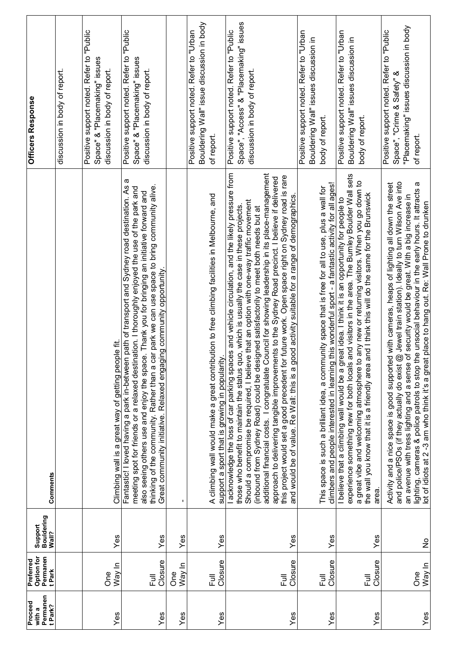| Permanen<br>Proceed<br>t Park?<br>with a | Permanen<br>Option for<br>Preferred<br>t Park | <b>Bouldering</b><br>Support<br>Wall? | Comments                                                                                                                                                                                                                                                                                                                                                                                                                                                                                                                                                                                                                                                                                                                                                                                        | Officers Response                                                                                                               |
|------------------------------------------|-----------------------------------------------|---------------------------------------|-------------------------------------------------------------------------------------------------------------------------------------------------------------------------------------------------------------------------------------------------------------------------------------------------------------------------------------------------------------------------------------------------------------------------------------------------------------------------------------------------------------------------------------------------------------------------------------------------------------------------------------------------------------------------------------------------------------------------------------------------------------------------------------------------|---------------------------------------------------------------------------------------------------------------------------------|
|                                          |                                               |                                       |                                                                                                                                                                                                                                                                                                                                                                                                                                                                                                                                                                                                                                                                                                                                                                                                 | discussion in body of report.                                                                                                   |
| Yes                                      | May In<br>One                                 | Yes                                   | Climbing wall is a great way of getting people fit.                                                                                                                                                                                                                                                                                                                                                                                                                                                                                                                                                                                                                                                                                                                                             | Positive support noted. Refer to "Public<br>Space" & "Placemaking" issues<br>discussion in body of report.                      |
| Yes                                      | Closure<br>巨                                  | Yes                                   | Fantastic! I loved having a park in-between path of transport and Sydney road destination. As a<br>thinking of the community. Rather than a car park we can use space to bring community alive.<br>meeting spot for friends or a relaxed destination. I thoroughly enjoyed the use of the park and<br>also seeing others use and enjoy the space. Thank you for bringing an initiative forward and<br>Great community initiative. Relaxed engaging community opportunity.                                                                                                                                                                                                                                                                                                                       | Positive support noted. Refer to "Public<br>Space" & "Placemaking" issues<br>discussion in body of report.                      |
| Yes                                      | <u>May In</u><br>One                          | Yes                                   | $\mathbf{I}$                                                                                                                                                                                                                                                                                                                                                                                                                                                                                                                                                                                                                                                                                                                                                                                    |                                                                                                                                 |
| Yes                                      | Closure<br>$\overline{\Xi}$                   | Yes                                   | A climbing wall would make a great contribution to free climbing facilities in Melbourne, and<br>support a sport that is growing in popularity.                                                                                                                                                                                                                                                                                                                                                                                                                                                                                                                                                                                                                                                 | Bouldering Wall" issue discussion in body<br>Positive support noted. Refer to "Urban<br>of report                               |
| Yes                                      | Closure<br>豆                                  | Yes                                   | acknowledge the loss of car parking spaces and vehicle circulation, and the likely pressure from<br>additional financial costs. I congratulate Council for showing leadership in its place-management<br>this project would set a good precedent for future work. Open space right on Sydney road is rare<br>approach to delivering tangible improvements to the Sydney Road precinct. I believe if delivered<br>and would be of value. Re Wall: this is a good activity suitable for a range of demographics.<br>Should a compromise be required, I believe that an option with one-way traffic movement<br>those who benefit to maintain the status quo, which is usually the case in these projects<br>(inbound from Sydney Road) could be designed satisfactorily to meet both needs but at | Space", "Access" & "Placemaking" issues<br>Positive support noted. Refer to "Public<br>discussion in body of report.            |
| Yes                                      | Closure<br>豆                                  | Yes                                   | climbers and people interested in learning this wonderful sport - a fantastic activity for all ages!<br>This space is such a brilliant idea, a community space that is free for all to use, plus a wall for                                                                                                                                                                                                                                                                                                                                                                                                                                                                                                                                                                                     | Positive support noted. Refer to "Urban<br>Bouldering Wall" issues discussion in<br>body of report.                             |
| Yes                                      | Closure<br>己                                  | Yes                                   | and visitors in the area. The Burnley Boulder Wall sets<br>a great vibe and welcoming atmosphere to any new or returning visitors. When you go down to<br>the wall you know that it is a friendly area and I think this will do the same for the Brunswick<br>I believe that a climbing wall would be a great idea. I think it is an opportunity for people to<br>experience something new for both locals<br>area                                                                                                                                                                                                                                                                                                                                                                              | Positive support noted. Refer to "Urban<br>Bouldering Wall" issues discussion in<br>body of report.                             |
| Yes                                      | Way In<br>One                                 | $\frac{1}{2}$                         | and police/PSOs (if they actually do exist @ Jewel train station). Ideally to turn Wilson Ave into<br>Activity and a nice space is good supported with cameras, heaps of lighting all down the street<br>lighting, cameras & police patrols to stop the unsocial behaviour in the early hours. It attracts a<br>of security would be great. With a big increase in<br>lot of idiots at 2 -3 am who think it's a great place to hang out. Re: Wall Prone to drunken<br>an avenue with tress lighting and a sense                                                                                                                                                                                                                                                                                 | "Placemaking" issues discussion in body<br>Positive support noted. Refer to "Public<br>Space", "Crime & Safety" &<br>of report. |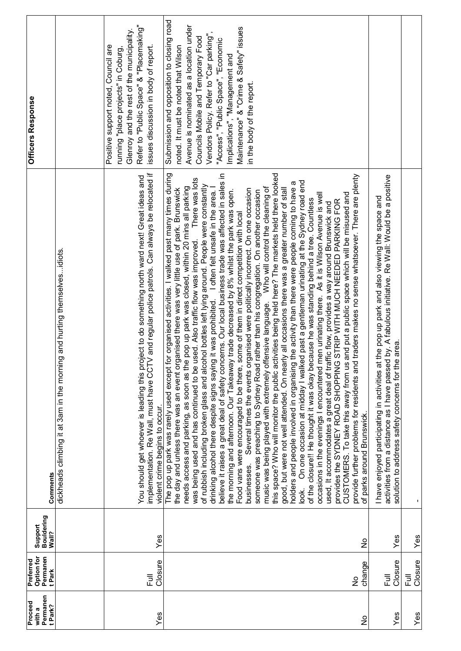| Officers Response                             |                                                                           | Refer to "Public Space" & "Placemaking"<br>Glenroy and the rest of the municipality.<br>Positive support noted, Council are<br>running "place projects" in Coburg,<br>issues discussion in body of report.                          | Submission and opposition to closing road<br>Avenue is nominated as a location under<br>Maintenance" & "Crime & Safety" issues<br>Vendors Policy. Refer to "Car parking"<br>Councils Mobile and Temporary Food<br>"Access", "Public Space", "Economic<br>noted. It must be noted that Wilson<br>Implications", "Management and<br>in the body of the report.                                                                                                                                                                                                                                                                                                                                                                                                                                                                                                                                                                                                                                                                                                                                                                                                                                                                                                                                                                                                                                                                                                                                                                                                                                                                                                                                                                                                                                                                                                                                                                                                                                                                                                                                        |                                                                                                                                                                                                                                                          |                |
|-----------------------------------------------|---------------------------------------------------------------------------|-------------------------------------------------------------------------------------------------------------------------------------------------------------------------------------------------------------------------------------|-----------------------------------------------------------------------------------------------------------------------------------------------------------------------------------------------------------------------------------------------------------------------------------------------------------------------------------------------------------------------------------------------------------------------------------------------------------------------------------------------------------------------------------------------------------------------------------------------------------------------------------------------------------------------------------------------------------------------------------------------------------------------------------------------------------------------------------------------------------------------------------------------------------------------------------------------------------------------------------------------------------------------------------------------------------------------------------------------------------------------------------------------------------------------------------------------------------------------------------------------------------------------------------------------------------------------------------------------------------------------------------------------------------------------------------------------------------------------------------------------------------------------------------------------------------------------------------------------------------------------------------------------------------------------------------------------------------------------------------------------------------------------------------------------------------------------------------------------------------------------------------------------------------------------------------------------------------------------------------------------------------------------------------------------------------------------------------------------------|----------------------------------------------------------------------------------------------------------------------------------------------------------------------------------------------------------------------------------------------------------|----------------|
| Comments                                      | dickheads climbing it at 3am in the morning and hurting themselvesidiots. | implementation. Re Wall, must have CCTV and regular police patrols. Can always be relocated if<br>You should get whoever is leading this project to do something north ward next! Great ideas and<br>violent crime begins to occur. | The pop up park was rarely used except for organised activities. I walked past many times during<br>believe it raises a great deal of safety concerns. Our local business trade was affected in sales in<br>this space? Who will monitor the public activities being held here? The markets held there looked<br>provide further problems for residents and traders makes no sense whatsoever. There are plenty<br>used. Also traffic flow was improved. There was lots<br>look. On one occasion at midday I walked past a gentleman urinating at the Sydney road end<br>holders and people involved in organising the activity than there were people coming to have a<br>of rubbish including broken glass and alcohol bottles left lying around. People were constantly<br>drinking alcohol there despite signs saying it was prohibited.  I often felt unsafe in the area. I<br>needs access and parking, as soon as the pop up park was closed, within 20 mins all parking<br>good, but were not well attended. On nearly all occasions there was a greater number of stall<br>the day and unless there was an event organised there was very little use of park. Brunswick<br>Several times the events organised were politically incorrect. On one occasion<br>the morning and afternoon. Our Takeaway trade decreased by 8% whilst the park was open.<br>someone was preaching to Sydney Road rather than his congregation. On another occasion<br>and put a public space which will be misused and<br>occasions in the evenings I encountered men urinating there. As it is Wilson Avenue is well<br>of the closure!! He thought it was okay because he was standing behind a tree. Countless<br>provides the SYDNEY ROAD SHOPPING STRIP WITH MUCH NEEDED PARKING FOR<br>used, It accommodates a great deal of traffic flow, provides a way around Brunswick and<br>some of them in direct competition with local<br>CUSTOMERS. To take this away from us<br>was being used and has continued to be<br>Food vans were encouraged to be there,<br>of parks around Brunswick.<br>businesses. | activities from a distance as I have passed by. A fabulous initiative. Re Wall: Would be a positive<br>I have enjoyed participating in activities at the pop up park and also viewing the space and<br>solution to address safety concerns for the area. | $\blacksquare$ |
| <b>Bouldering</b><br>Support<br>Wall?         |                                                                           | Yes                                                                                                                                                                                                                                 | $\frac{1}{2}$                                                                                                                                                                                                                                                                                                                                                                                                                                                                                                                                                                                                                                                                                                                                                                                                                                                                                                                                                                                                                                                                                                                                                                                                                                                                                                                                                                                                                                                                                                                                                                                                                                                                                                                                                                                                                                                                                                                                                                                                                                                                                       | Yes                                                                                                                                                                                                                                                      | Yes            |
| Option for<br>Permanen<br>Preferred<br>t Park |                                                                           | Closure<br>巨                                                                                                                                                                                                                        | change<br>$\frac{1}{2}$                                                                                                                                                                                                                                                                                                                                                                                                                                                                                                                                                                                                                                                                                                                                                                                                                                                                                                                                                                                                                                                                                                                                                                                                                                                                                                                                                                                                                                                                                                                                                                                                                                                                                                                                                                                                                                                                                                                                                                                                                                                                             | Closure<br>言                                                                                                                                                                                                                                             | Closure<br>巨   |
| Permanen<br>Proceed<br>t Park?<br>with a      |                                                                           | Yes                                                                                                                                                                                                                                 | $\frac{1}{2}$                                                                                                                                                                                                                                                                                                                                                                                                                                                                                                                                                                                                                                                                                                                                                                                                                                                                                                                                                                                                                                                                                                                                                                                                                                                                                                                                                                                                                                                                                                                                                                                                                                                                                                                                                                                                                                                                                                                                                                                                                                                                                       | Yes                                                                                                                                                                                                                                                      | Yes            |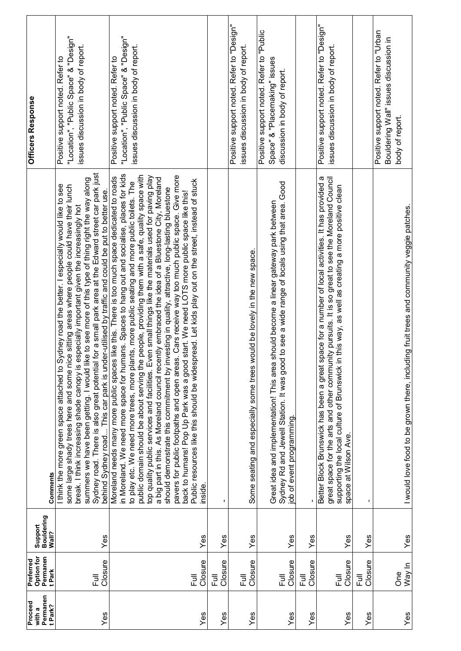| Permanen<br>Proceed<br>t Park?<br>with a | Option for<br>Permanen<br>Preterred<br>t Park | Support<br>Bouldering<br>Wall? | Comments                                                                                                                                                                                                                                                                                                                                                                                                                                                                                                                                                                                                                                                                                                                                                                                                                                                                                                                                                                                                                        | Officers Response                                                                                                 |
|------------------------------------------|-----------------------------------------------|--------------------------------|---------------------------------------------------------------------------------------------------------------------------------------------------------------------------------------------------------------------------------------------------------------------------------------------------------------------------------------------------------------------------------------------------------------------------------------------------------------------------------------------------------------------------------------------------------------------------------------------------------------------------------------------------------------------------------------------------------------------------------------------------------------------------------------------------------------------------------------------------------------------------------------------------------------------------------------------------------------------------------------------------------------------------------|-------------------------------------------------------------------------------------------------------------------|
| Yes                                      | Closure<br>巨                                  | Yes                            | Sydney road. There is also great potential for a small park area at the Edward street car park just<br>summers we have been getting. I would like to see more of this type of thing right the way along<br>I think the more green space attached to Sydney road the better. I especially would like to see<br>some large shady trees here and some nice sitting areas where people could have their lunch<br>behind Sydney road This car park is under-utilised by traffic and could be put to better use.<br>break. I think increasing shade canopy is especially important given the increasingly hot                                                                                                                                                                                                                                                                                                                                                                                                                         | "Location", "Public Space" & "Design"<br>issues discussion in body of report.<br>Positive support noted. Refer to |
| Yes                                      | Closure<br>言                                  | Yes                            | in Moreland. We need more space for humans. Spaces to hang out and socialise, places for kids<br>public domain should be about serving the people, providing them with a safe, quality space with<br>pavers for public footpaths and open areas. Cars receive way too much public space. Give more<br>top quality public services and facilities. Even small things like the materials used for paving play<br>a big part in this. As Moreland council recently embraced the idea of a Bluestone City, Moreland<br>Moreland needs many more public spaces like this. There is too much space dedicated to roads<br>Public resources like this should be widespread. Let kids play out on the street, instead of stuck<br>to play etc. We need more trees, more plants, more public seating and more public toilets. The<br>should demonstrate this commitment by investing in quality, attractive, long-lasting bluestone<br>back to humans! Pop Up Park was a good start. We need LOTS more public space like this!<br>inside. | "Location", "Public Space" & "Design"<br>issues discussion in body of report.<br>Positive support noted. Refer to |
| Yes                                      | Closure<br>言                                  | Yes                            | $\blacksquare$                                                                                                                                                                                                                                                                                                                                                                                                                                                                                                                                                                                                                                                                                                                                                                                                                                                                                                                                                                                                                  |                                                                                                                   |
| Yes                                      | Closure<br>巨                                  | Yes                            | Some seating and especially some trees would be lovely in the new space.                                                                                                                                                                                                                                                                                                                                                                                                                                                                                                                                                                                                                                                                                                                                                                                                                                                                                                                                                        | Positive support noted. Refer to "Design"<br>issues discussion in body of report.                                 |
| Yes                                      | Closure<br>巨                                  | Yes                            | Sydney Rd and Jewell Station. It was good to see a wide range of locals using that area. Good<br>should become a linear gateway park between<br>Great idea and implementation! This area<br>job of event programming.                                                                                                                                                                                                                                                                                                                                                                                                                                                                                                                                                                                                                                                                                                                                                                                                           | Positive support noted. Refer to "Public<br>Space" & "Placemaking" issues<br>discussion in body of report.        |
| Yes                                      | Closure<br>巨                                  | Yes                            |                                                                                                                                                                                                                                                                                                                                                                                                                                                                                                                                                                                                                                                                                                                                                                                                                                                                                                                                                                                                                                 |                                                                                                                   |
| Yes                                      | Closure<br>Full                               | Yes                            | Better Block Brunswick has been a great space for a number of local activities. It has provided a<br>great space for the arts and other community pursuits. It is so great to see the Moreland Council<br>supporting the local culture of Brunswick in this way, as well as creating a more positive clean<br>space at Wilson Ave.                                                                                                                                                                                                                                                                                                                                                                                                                                                                                                                                                                                                                                                                                              | Positive support noted. Refer to "Design"<br>issues discussion in body of report.                                 |
| Yes                                      | Closure<br>巨                                  | Yes                            | T.                                                                                                                                                                                                                                                                                                                                                                                                                                                                                                                                                                                                                                                                                                                                                                                                                                                                                                                                                                                                                              |                                                                                                                   |
| Yes                                      | ul VeW<br>One                                 | Yes                            | I would love food to be grown there, including fruit trees and community veggie patches.                                                                                                                                                                                                                                                                                                                                                                                                                                                                                                                                                                                                                                                                                                                                                                                                                                                                                                                                        | Positive support noted. Refer to "Urban<br>Bouldering Wall" issues discussion in<br>body of report.               |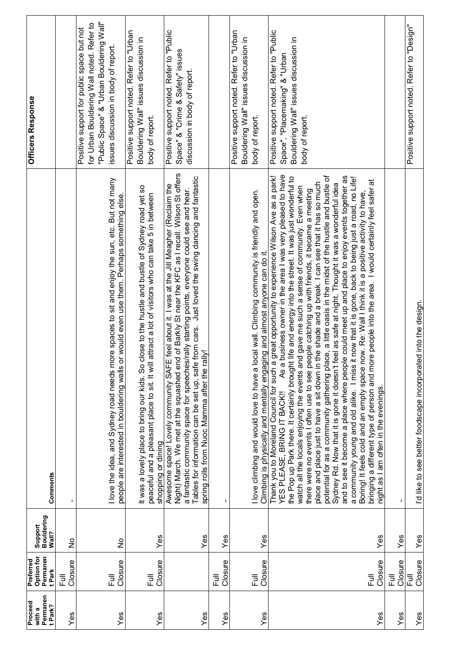| Permanen<br>Proceed<br>t Park?<br>with a | Option for<br>Permanen<br>Preferred<br>t Park | Bouldering<br>Wall?<br>Support | Comments                                                                                                                                                                                                                                                                                                                                                                                                                                                                                                                                                                                                                                                                                                                                                                                                                                                                                                                                                                                                                                                                                                                                                                                                                                                                                  | Officers Response                                                                                                                                                          |
|------------------------------------------|-----------------------------------------------|--------------------------------|-------------------------------------------------------------------------------------------------------------------------------------------------------------------------------------------------------------------------------------------------------------------------------------------------------------------------------------------------------------------------------------------------------------------------------------------------------------------------------------------------------------------------------------------------------------------------------------------------------------------------------------------------------------------------------------------------------------------------------------------------------------------------------------------------------------------------------------------------------------------------------------------------------------------------------------------------------------------------------------------------------------------------------------------------------------------------------------------------------------------------------------------------------------------------------------------------------------------------------------------------------------------------------------------|----------------------------------------------------------------------------------------------------------------------------------------------------------------------------|
| Yes                                      | Closure<br>巨                                  | $\frac{1}{2}$                  | $\mathbf{I}$                                                                                                                                                                                                                                                                                                                                                                                                                                                                                                                                                                                                                                                                                                                                                                                                                                                                                                                                                                                                                                                                                                                                                                                                                                                                              |                                                                                                                                                                            |
| Yes                                      | Closure<br>巨                                  | $\frac{1}{2}$                  | I love the idea, and Sydney road needs more spaces to sit and enjoy the sun, etc. But not many<br>people are interested in bouldering walls or would even use them. Perhaps something else.                                                                                                                                                                                                                                                                                                                                                                                                                                                                                                                                                                                                                                                                                                                                                                                                                                                                                                                                                                                                                                                                                               | "Public Space" & "Urban Bouldering Wall"<br>for Urban Bouldering Wall noted. Refer to<br>Positive support for public space but not<br>issues discussion in body of report. |
| Yes                                      | Closure<br>言                                  | Yes                            | It was a lovely place to bring our kids. So close to the hustle and bustle of Sydney road yet so<br>attract a lot of visitors who can take 5 in between<br>peaceful and a pleasant place to sit. It will<br>shopping or dining                                                                                                                                                                                                                                                                                                                                                                                                                                                                                                                                                                                                                                                                                                                                                                                                                                                                                                                                                                                                                                                            | Positive support noted. Refer to "Urban<br>Bouldering Wall" issues discussion in<br>body of report.                                                                        |
| Yes                                      |                                               | Yes                            | Night) March. We met at the squashed end of Barkly St near the KFC as I recall. Wilson St offers<br>Tables for information can be set up, safe from cars. Just loved the swing dancing and fantastic<br>feel about it. I was at the Jill Meagher (Reclaim the<br>a fantastic community space for speeches/rally starting points, everyone could see and hear.<br>spring rolls from Nuoc Mamma after the rally!<br>Awesome space! Lovely community SAFE                                                                                                                                                                                                                                                                                                                                                                                                                                                                                                                                                                                                                                                                                                                                                                                                                                    | Positive support noted. Refer to "Public<br>Space" & "Crime & Safety" issues<br>discussion in body of report.                                                              |
| Yes                                      | Closure<br>巨                                  | Yes                            | $\mathbf I$                                                                                                                                                                                                                                                                                                                                                                                                                                                                                                                                                                                                                                                                                                                                                                                                                                                                                                                                                                                                                                                                                                                                                                                                                                                                               |                                                                                                                                                                            |
| Yes                                      | Closure<br>巨                                  | Yes                            | I love climbing and would love to have a local wall. Climbing community is friendly and open.<br>Climbing is physically and mentally engaging and almost anyone can do it.                                                                                                                                                                                                                                                                                                                                                                                                                                                                                                                                                                                                                                                                                                                                                                                                                                                                                                                                                                                                                                                                                                                | Positive support noted. Refer to "Urban<br>Bouldering Wall" issues discussion in<br>body of report.                                                                        |
| Yes                                      | Closure<br>巨                                  | Yes                            | business owner in the area I was very pleased to have<br>great opportunity to experience Wilson Ave as a park!<br>potential for as a community gathering place, a little oasis in the midst of the hustle and bustle of<br>the Pop up Park there. It certainly brought life and energy into the street. It was just wonderful to<br>and to see it become a place where people could meet up and place to enjoy events together as<br>a community young and old alike. I miss it now that it is gone, back to being just a road, no Life!<br>e people into the area. I would certainly feel safer at<br>place and place just to have a sit down in the shade and a break. I can see that it has so much<br>Sydney Rd. Now that it is gone it doesn't feel as safe at night. Thought it was a wonderful idea<br>watch all the locals enjoying the events and gave me such a sense of community. Even when<br>there were no events I often use to see people catching up with friends, it became a meeting<br>Boring! It feels cold and an empty space now. Re: Wall I think it is a positive activity to have,<br>bringing a different type of person and mor<br>As a t<br>Thank you to Moreland Council for such a<br>night as I am often in the evenings.<br>YES PLEASE, BRING IT BACK !! | Positive support noted. Refer to "Public<br>Bouldering Wall" issues discussion in<br>Space", "Placemaking" & "Urban<br>body of report.                                     |
| Yes                                      | Closure<br>Full                               | Yes                            | $\blacksquare$                                                                                                                                                                                                                                                                                                                                                                                                                                                                                                                                                                                                                                                                                                                                                                                                                                                                                                                                                                                                                                                                                                                                                                                                                                                                            |                                                                                                                                                                            |
| Yes                                      | Closure<br>豆                                  | Yes                            | I'd like to see better foodscape incorporated into the design.                                                                                                                                                                                                                                                                                                                                                                                                                                                                                                                                                                                                                                                                                                                                                                                                                                                                                                                                                                                                                                                                                                                                                                                                                            | Positive support noted. Refer to "Design"                                                                                                                                  |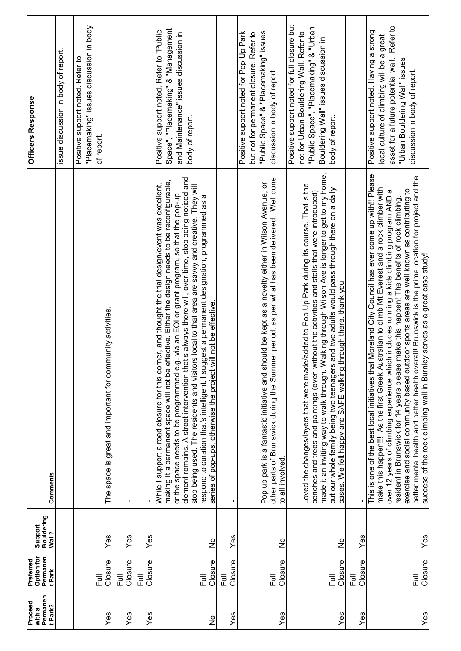| Permanen<br>Proceed<br>t Park?<br>with a | Option for<br>Permanen<br>Preferred<br>t Park | Support<br>Bouldering<br>Wall? | Comments                                                                                                                                                                                                                                                                                                                                                                                                                                                                                                                                                                                                                                                                               | Officers Response                                                                                                                                                                                         |
|------------------------------------------|-----------------------------------------------|--------------------------------|----------------------------------------------------------------------------------------------------------------------------------------------------------------------------------------------------------------------------------------------------------------------------------------------------------------------------------------------------------------------------------------------------------------------------------------------------------------------------------------------------------------------------------------------------------------------------------------------------------------------------------------------------------------------------------------|-----------------------------------------------------------------------------------------------------------------------------------------------------------------------------------------------------------|
|                                          |                                               |                                |                                                                                                                                                                                                                                                                                                                                                                                                                                                                                                                                                                                                                                                                                        | issue discussion in body of report.                                                                                                                                                                       |
| Yes                                      | Closure<br>言                                  | Yes                            | The space is great and important for community activities.                                                                                                                                                                                                                                                                                                                                                                                                                                                                                                                                                                                                                             | "Placemaking" issues discussion in body<br>Positive support noted. Refer to<br>of report.                                                                                                                 |
| Yes                                      | Closure<br>$\overline{a}$                     | Yes                            | I.                                                                                                                                                                                                                                                                                                                                                                                                                                                                                                                                                                                                                                                                                     |                                                                                                                                                                                                           |
| Yes                                      | Closure<br>言                                  | Yes                            | $\mathbf{I}$                                                                                                                                                                                                                                                                                                                                                                                                                                                                                                                                                                                                                                                                           |                                                                                                                                                                                                           |
| $\frac{1}{2}$                            | Closure<br>巨                                  | $\frac{1}{2}$                  | element remains. A street intervention that's always there will, over time, stop being noticed and<br>making it a permanent space will not be effective. Either the design needs to be reconfigurable,<br>While I support a road closure for this corner, and thought the trial design/event was excellent,<br>stop being used. The residents and visitors local to that area are savvy and creative. They will<br>or the space needs to be programmed e.g. via an EOI or grant program, so that the pop-up<br>respond to curation that's intelligent. I suggest a permanent designation, programmed as a<br>series of pop-ups, otherwise the project will not be effective.           | Space", "Placemaking" & "Management<br>Positive support noted. Refer to "Public<br>and Maintenance" issues discussion in<br>body of report.                                                               |
| Yes                                      | Closure<br>巨                                  | Yes                            | I.                                                                                                                                                                                                                                                                                                                                                                                                                                                                                                                                                                                                                                                                                     |                                                                                                                                                                                                           |
| Yes                                      | Closure<br>巨                                  | $\frac{1}{2}$                  | other parts of Brunswick during the Summer period, as per what has been delivered. Well done<br>Pop up park is a fantastic initiative and should be kept as a novelty either in Wilson Avenue, or<br>to all involved.                                                                                                                                                                                                                                                                                                                                                                                                                                                                  | "Public Space" & "Placemaking" issues<br>Positive support noted for Pop Up Park<br>but not for permanent closure. Refer to<br>discussion in body of report.                                               |
| Yes                                      | Closure<br>言                                  | $\frac{1}{2}$                  | made it an inviting way to walk through. Walking through Wilson Ave is longer to get to my home,<br>Loved the changes/layers that were made/added to Pop Up Park during its course. That is the<br>and two adults would pass through there on a daily<br>benches and trees and paintings (even without the activities and stalls that were introduced)<br>bases. We felt happy and SAFE walking through there. thank you<br>but our whole family being two teenagers                                                                                                                                                                                                                   | Positive support noted for full closure but<br>"Public Space", "Placemaking" & "Urban<br>not for Urban Bouldering Wall. Refer to<br>Bouldering Wall" issues discussion in<br>body of report.              |
| Yes                                      | Closure<br>巨                                  | Yes                            |                                                                                                                                                                                                                                                                                                                                                                                                                                                                                                                                                                                                                                                                                        |                                                                                                                                                                                                           |
| Yes                                      | Closure<br>卮                                  | Yes                            | This is one of the best local initiatives that Moreland City Council has ever come up with!! Please<br>better mental health and better health overall! Brunswick is the prime location for project and the<br>stralian to climb Mt Everest and a rock climber with<br>exercise and social community based outdoor sports areas are well known as contributing to<br>over 12 years of climbing experience which includes running a kids climbing program AND a<br>resident in Brunswick for 14 years please make this happen! The benefits of rock climbing,<br>success of the rock climbing wall in Burnley serves as a great case study!<br>make this happen!!! As the first Greek Au | Refer to<br>Positive support noted. Having a strong<br>local culture of climbing will be a great<br>asset for a future potential wall.<br>"Urban Bouldering Wall" issues<br>discussion in body of report. |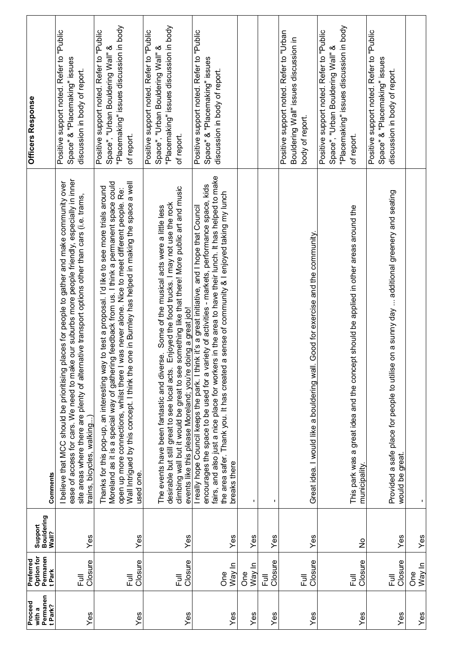| Permanen<br>Proceed<br>t Park?<br>with a | Option for<br>Permanen<br>Preferred<br>t Park | Support<br>Bouldering<br>Wall? | Comments                                                                                                                                                                                                                                                                                                                                                                                                                  | Officers Response                                                                                                                      |
|------------------------------------------|-----------------------------------------------|--------------------------------|---------------------------------------------------------------------------------------------------------------------------------------------------------------------------------------------------------------------------------------------------------------------------------------------------------------------------------------------------------------------------------------------------------------------------|----------------------------------------------------------------------------------------------------------------------------------------|
| Yes                                      | Closure<br>言                                  | Yes                            | ease of access for cars. We need to make our suburbs more people friendly, especially in inner<br>I believe that MCC should be prioritising places for people to gather and make community over<br>ative transport options other than cars (i.e. trams,<br>site areas where there are plenty of altern<br>trains, bicycles, walking)                                                                                      | Positive support noted. Refer to "Public<br>Space" & "Placemaking" issues<br>discussion in body of report.                             |
| Yes                                      | Closure<br>$\overline{E}$                     | Yes                            | Moreland as it is a special way of gathering feedback from us. I think a permanent space could<br>Wall Intrigued by this concept. I think the one in Burnley has helped in making the space a well<br>Thanks for this pop-up, an interesting way to test a proposal. I'd like to see more trials around<br>open up more connections, whilst there I was never alone. Nice to meet different people. Re:<br>used one.      | "Placemaking" issues discussion in body<br>Positive support noted. Refer to "Public<br>Space", "Urban Bouldering Wall" &<br>of report. |
| Yes                                      | Closure<br>言                                  | Yes                            | something like that there! More public art and music<br>Enjoyed the food trucks. I may not use the rock<br>The events have been fantastic and diverse. Some of the musical acts were a little less<br>events like this please Moreland; you're doing a great job!<br>climbing wall but it would be great to see<br>desirable but still great to see local acts.                                                           | "Placemaking" issues discussion in body<br>Positive support noted. Refer to "Public<br>Space", "Urban Bouldering Wall" &<br>of report. |
| Yes                                      | nl YeW<br>One                                 | Yes                            | fairs, and also just a nice place for workers in the area to have their lunch. It has helped to make<br>encourages the space to be used for a variety of activities - markets, performance space, kids<br>a sense of community & I enjoyed taking my lunch<br>I really hope Council keeps the park. I think it's a great initiative, and I hope that Council<br>the area safer. Thank you. It has created<br>breaks there | Positive support noted. Refer to "Public<br>Space" & "Placemaking" issues<br>discussion in body of report.                             |
| Yes                                      | Way In<br><b>One</b>                          | Yes                            | $\mathbf I$                                                                                                                                                                                                                                                                                                                                                                                                               |                                                                                                                                        |
| Yes                                      | Closure<br>$\bar{p}$                          | Yes                            | $\mathbf I$                                                                                                                                                                                                                                                                                                                                                                                                               |                                                                                                                                        |
| Yes                                      | Closure<br>言                                  | Yes                            | Good for exercise and the community.<br>Great idea. I would like a bouldering wall.                                                                                                                                                                                                                                                                                                                                       | Positive support noted. Refer to "Urban<br>Bouldering Wall" issues discussion in<br>body of report.                                    |
| Yes                                      | Closure<br>言                                  | $\frac{1}{2}$                  | This park was a great idea and the concept should be applied in other areas around the<br>municipality.                                                                                                                                                                                                                                                                                                                   | "Placemaking" issues discussion in body<br>Positive support noted. Refer to "Public<br>Space", "Urban Bouldering Wall" &<br>of report. |
| Yes                                      | Closure<br>豆                                  | Yes                            | on a sunny day  additional greenery and seating<br>Provided a safe place for people to utilise<br>would be great.                                                                                                                                                                                                                                                                                                         | Positive support noted. Refer to "Public<br>Space" & "Placemaking" issues<br>discussion in body of report.                             |
| Yes                                      | May In<br>One                                 | Yes                            | $\blacksquare$                                                                                                                                                                                                                                                                                                                                                                                                            |                                                                                                                                        |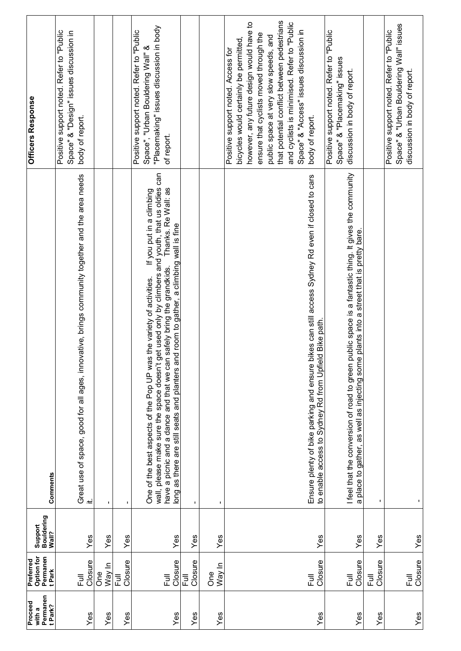| Permanen<br>Proceed<br>t Park?<br>with a | Permanen<br>Option for<br>Preferred<br>t Park | Support<br>Bouldering<br>Wall? | Comments                                                                                                                                                                                                                                                                                                                                                                                    | Officers Response                                                                                                                                                                                                                                                                                                                                                      |
|------------------------------------------|-----------------------------------------------|--------------------------------|---------------------------------------------------------------------------------------------------------------------------------------------------------------------------------------------------------------------------------------------------------------------------------------------------------------------------------------------------------------------------------------------|------------------------------------------------------------------------------------------------------------------------------------------------------------------------------------------------------------------------------------------------------------------------------------------------------------------------------------------------------------------------|
| Yes                                      | Closure<br>巨                                  | Yes                            | Great use of space, good for all ages, innovative, brings community together and the area needs<br><u>ب</u>                                                                                                                                                                                                                                                                                 | Positive support noted. Refer to "Public<br>Space" & "Design" issues discussion in<br>body of report.                                                                                                                                                                                                                                                                  |
| Yes                                      | <u>May In</u><br>One                          | Yes                            | $\blacksquare$                                                                                                                                                                                                                                                                                                                                                                              |                                                                                                                                                                                                                                                                                                                                                                        |
| Yes                                      | Closure<br>巨                                  | Yes                            | $\mathbf I$                                                                                                                                                                                                                                                                                                                                                                                 |                                                                                                                                                                                                                                                                                                                                                                        |
| Yes                                      | Closure<br>言                                  | Yes                            | wall, please make sure the space doesn't get used only by climbers and youth, that us oldies can<br>have a picnic and a dance and that we can safely bring the grandkids. Thanks. Re Wall: as<br>If you put in a climbing<br>long as there are still seats and planters and room to gather, a climbing wall is fine<br>One of the best aspects of the Pop UP was the variety of activities. | "Placemaking" issues discussion in body<br>Positive support noted. Refer to "Public<br>Space", "Urban Bouldering Wall" &<br>of report.                                                                                                                                                                                                                                 |
| Yes                                      | Closure<br>$\bar{p}$                          | Yes                            | $\mathbf I$                                                                                                                                                                                                                                                                                                                                                                                 |                                                                                                                                                                                                                                                                                                                                                                        |
| Yes                                      | May In<br>One                                 | Yes                            | $\mathbf{I}$                                                                                                                                                                                                                                                                                                                                                                                |                                                                                                                                                                                                                                                                                                                                                                        |
|                                          | 言                                             |                                | bikes can still access Sydney Rd even if closed to cars<br>Ensure plenty of bike parking and ensure                                                                                                                                                                                                                                                                                         | that potential conflict between pedestrians<br>however, any future design would have to<br>and cyclists is minimised. Refer to "Public<br>Space" & "Access" issues discussion in<br>ensure that cyclists moved through the<br>public space at very slow speeds, and<br>bicycles would certainly be permitted,<br>Positive support noted. Access for<br>body of report. |
| Yes<br>Yes                               | Closure<br>Closure<br>言                       | Yes<br>Yes                     | public space is a fantastic thing. It gives the community<br>e plants into a street that is pretty bare.<br>to enable access to Sydney Rd from Upfield Bike path.<br>a place to gather, as well as injecting som<br>I feel that the conversion of road to green                                                                                                                             | Positive support noted. Refer to "Public<br>Space" & "Placemaking" issues<br>discussion in body of report.                                                                                                                                                                                                                                                             |
| Yes                                      | Closure<br>$\overline{E}$                     | Yes                            | $\mathbf{I}$                                                                                                                                                                                                                                                                                                                                                                                |                                                                                                                                                                                                                                                                                                                                                                        |
| Yes                                      | Closure<br>三<br>上                             | Yes                            | I                                                                                                                                                                                                                                                                                                                                                                                           | Space" & "Urban Bouldering Wall" issues<br>Positive support noted. Refer to "Public<br>discussion in body of report.                                                                                                                                                                                                                                                   |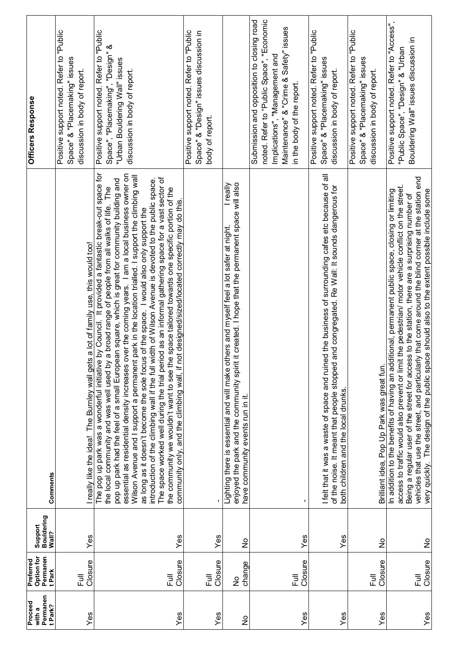| Permanen<br>Proceed<br>t Park?<br>with a | Permanen<br>Option for<br>Preferred<br>t Park | Support<br>Bouldering<br>Wall? | Comments                                                                                                                                                                                                                                                                                                                                                                                                                                                                                                                                                                                                                                                                                                                                                                                                                                                                                                                                                                                                                 | Officers Response                                                                                                                                                                                |
|------------------------------------------|-----------------------------------------------|--------------------------------|--------------------------------------------------------------------------------------------------------------------------------------------------------------------------------------------------------------------------------------------------------------------------------------------------------------------------------------------------------------------------------------------------------------------------------------------------------------------------------------------------------------------------------------------------------------------------------------------------------------------------------------------------------------------------------------------------------------------------------------------------------------------------------------------------------------------------------------------------------------------------------------------------------------------------------------------------------------------------------------------------------------------------|--------------------------------------------------------------------------------------------------------------------------------------------------------------------------------------------------|
| Yes                                      | Closure<br>言                                  | Yes                            | I really like the idea! The Burnley wall gets a lot of family use, this would too!                                                                                                                                                                                                                                                                                                                                                                                                                                                                                                                                                                                                                                                                                                                                                                                                                                                                                                                                       | Positive support noted. Refer to "Public<br>Space" & "Placemaking" issues<br>discussion in body of report.                                                                                       |
| Yes                                      | Closure<br>$\overline{E}$                     | Yes                            | The pop up park was a wonderful initiative by Council. It provided a fantastic break-out space for<br>essential as residential density increases over the coming years. I am a local business owner on<br>Wilson Avenue and I support a permanent park in the location trialled. I support the climbing wall<br>The space worked well during the trial period as an informal gathering space for a vast sector of<br>introduction of the climbing wall if the full width of Wilson Avenue is devoted to the public space.<br>pop up park had the feel of a small European square, which is great for community building and<br>a broad range of people from all walks of life. The<br>the community we wouldn't want to see the space tailored towards one specific portion of the<br>community only, and the climbing wall, if not designed/sized/located correctly may do this.<br>as long as it doesn't become the sole focus of the space. I would also only support the<br>the local community and was well used by | Positive support noted. Refer to "Public<br>Space", "Placemaking", "Design" &<br>"Urban Bouldering Wall" issues<br>discussion in body of report.                                                 |
| Yes                                      | Closure<br>言                                  | Yes                            |                                                                                                                                                                                                                                                                                                                                                                                                                                                                                                                                                                                                                                                                                                                                                                                                                                                                                                                                                                                                                          | Positive support noted. Refer to "Public<br>Space" & "Design" issues discussion in<br>body of report.                                                                                            |
| $\frac{1}{2}$                            | change<br>$\frac{1}{2}$                       | $\frac{1}{2}$                  | it created. I hope that the permanent space will also<br>l really<br>Lighting there is essential and will make others and myself feel a lot safer at night.<br>enjoyed the park and the community spirit<br>have community events run in it.                                                                                                                                                                                                                                                                                                                                                                                                                                                                                                                                                                                                                                                                                                                                                                             |                                                                                                                                                                                                  |
| Yes                                      | Closure<br>言                                  | Yes                            | ı.                                                                                                                                                                                                                                                                                                                                                                                                                                                                                                                                                                                                                                                                                                                                                                                                                                                                                                                                                                                                                       | noted. Refer to "Public Space", "Economic<br>Submission and opposition to closing road<br>Maintenance" & "Crime & Safety" issues<br>Implications", "Management and<br>in the body of the report. |
| Yes                                      |                                               | Yes                            | I felt that it was a waste of space and ruined the business of surrounding cafes etc because of all<br>and congregated. Re Wall: It sounds dangerous for<br>of the noise. It meant that people stopped<br>both children and the local drunks.                                                                                                                                                                                                                                                                                                                                                                                                                                                                                                                                                                                                                                                                                                                                                                            | Positive support noted. Refer to "Public<br>Space" & "Placemaking" issues<br>discussion in body of report.                                                                                       |
| Yes                                      | Closure<br>言                                  | $\frac{1}{2}$                  | Brilliant idea, Pop Up Park was great fun.                                                                                                                                                                                                                                                                                                                                                                                                                                                                                                                                                                                                                                                                                                                                                                                                                                                                                                                                                                               | Positive support noted. Refer to "Public<br>Space" & "Placemaking" issues<br>discussion in body of report.                                                                                       |
| Yes                                      | Closure<br>豆                                  | $\frac{1}{2}$                  | vehicles that use the street, and particularly that come around the blind corner at the station end<br>access to traffic would also prevent or limit the pedestrian/ motor vehicle conflict on the street.<br>very quickly. The design of the public space should also to the extent possible include some<br>In addition to the benefits of having an additional, permanent public space, closing or limiting<br>Being a regular user of the street for access to the station, there are a surprising number of                                                                                                                                                                                                                                                                                                                                                                                                                                                                                                         | Positive support noted. Refer to "Access",<br>Bouldering Wall" issues discussion in<br>"Public Space", "Design" & "Urban                                                                         |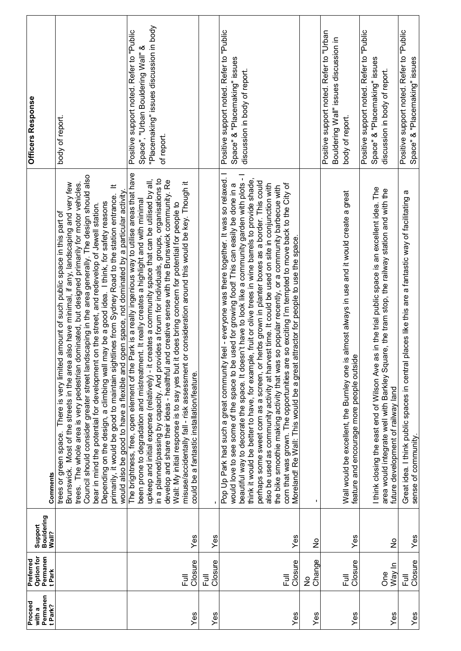| Permanen<br>Proceed<br>t Park?<br>with a | Option for<br>Permanen<br>Preferred<br>t Park | Support<br>Bouldering<br>Wall? | Comments                                                                                                                                                                                                                                                                                                                                                                                                                                                                                                                                                                                                                                                                                                                                                                                                                                                                                                         | Officers Response                                                                                                                     |
|------------------------------------------|-----------------------------------------------|--------------------------------|------------------------------------------------------------------------------------------------------------------------------------------------------------------------------------------------------------------------------------------------------------------------------------------------------------------------------------------------------------------------------------------------------------------------------------------------------------------------------------------------------------------------------------------------------------------------------------------------------------------------------------------------------------------------------------------------------------------------------------------------------------------------------------------------------------------------------------------------------------------------------------------------------------------|---------------------------------------------------------------------------------------------------------------------------------------|
|                                          |                                               |                                | Council should consider greater street landscaping in the area generally. The design should also<br>also have minimal, if any, landscaping and very few<br>trees. The whole area is very pedestrian dominated, but designed primarily for motor vehicles.<br>primarily, it would be good to maintain sightlines from Sydney Road to the station entrance. It<br>would also be good to have a flexible and open space, not dominated by a particular activity.<br>Depending on the design, a climbing wall may be a good idea. I think, for safety reasons<br>bear in mind the potential for development on the street, and redevelop of Jewell station.<br>trees or green space. There is very limited amount of such public space in this part of<br>Brunswick. Most of the streets in the area                                                                                                                 | body of report.                                                                                                                       |
| Yes                                      | Closure<br>巨                                  | Yes                            | The brightness, free, open element of the Park is a really ingenious way to utilise areas that have<br>in a planned/passing by capacity. And provides a forum for individuals, groups, organisations to<br>upkeep and initial expense (relatively) - it creates a community space that can be utilised by all,<br>develop and share their ideas - healthful and creative sense with the Brunswick community. Re<br>or consideration around this would be key. Though it<br>been prone to degradation and mistreatment. It really creates a highlight and with minimal<br>it does bring concern for potential for people to<br>misuse/accidentally fall - risk assessment<br>Wall: My initial response is to say yes but<br>could be a fantastic installation/feature.                                                                                                                                            | "Placemaking" issues discussion in body<br>Positive support noted. Refer to "Public<br>Space", "Urban Bouldering Wall" &<br>of report |
| Yes                                      | Closure<br>$\bar{p}$                          | Yes                            |                                                                                                                                                                                                                                                                                                                                                                                                                                                                                                                                                                                                                                                                                                                                                                                                                                                                                                                  |                                                                                                                                       |
| Yes                                      | Closure<br>言                                  | Yes                            | beautiful way to decorate the space. It doesn't have to look like a community garden with plots - I<br>feel - everyone was there together. It was so relaxed.<br>think it would be better to have, for example, fruit or olive trees in wine barrels to provide shade,<br>herbs grown in planter boxes as a border. This could<br>corn that was grown. The opportunities are so exciting I'm tempted to move back to the City of<br>also be used as community activity at harvest time. It could be used on site in conjunction with<br>would love to see some of the space to be used for growing food! This can easily be done in a<br>the bike smoothie making activity that was so popular recently, or a community barbecue with<br>attractor for people to use the space.<br>Pop Up Park had such a great community<br>Moreland! Re Wall: This would be a great<br>perhaps some sweet corn as a screen, or | Positive support noted. Refer to "Public<br>Space" & "Placemaking" issues<br>discussion in body of report.                            |
| Yes                                      | Change<br>$\frac{1}{2}$                       | $\frac{1}{2}$                  | $\mathbf{I}$                                                                                                                                                                                                                                                                                                                                                                                                                                                                                                                                                                                                                                                                                                                                                                                                                                                                                                     |                                                                                                                                       |
| Yes                                      | Closure<br>言                                  | Yes                            | is almost always in use and it would create a great<br>feature and encourage more people outside<br>Wall would be excellent, the Burnley one                                                                                                                                                                                                                                                                                                                                                                                                                                                                                                                                                                                                                                                                                                                                                                     | Positive support noted. Refer to "Urban<br>Bouldering Wall" issues discussion in<br>body of report.                                   |
| Yes                                      | May In<br>One                                 | $\frac{1}{2}$                  | as in the trial public space is an excellent idea. The<br>area would integrate well with Barkley Square, the tram stop, the railway station and with the<br>I think closing the east end of Wilson Ave<br>future development of railway land                                                                                                                                                                                                                                                                                                                                                                                                                                                                                                                                                                                                                                                                     | Positive support noted. Refer to "Public<br>Space" & "Placemaking" issues<br>discussion in body of report.                            |
| Yes                                      | Closure<br>卮                                  | Yes                            | places like this are a fantastic way of facilitating a<br>Great idea. I think public spaces in central<br>sense of community.                                                                                                                                                                                                                                                                                                                                                                                                                                                                                                                                                                                                                                                                                                                                                                                    | Positive support noted. Refer to "Public<br>Space" & "Placemaking" issues                                                             |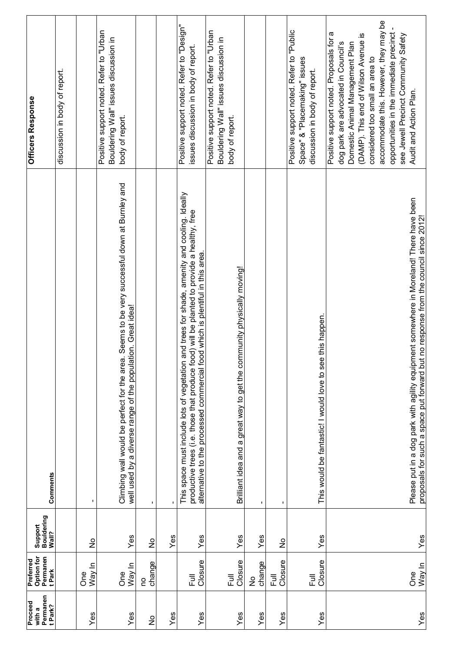| Permanen<br>Proceed<br>t Park?<br>with a | Option for<br>Permanen<br>Preferred<br>t Park | <b>Bouldering</b><br>Support<br>Wall? | Comments                                                                                                                                                                                                                                                                       | Officers Response                                                                                                                                                                                                                                                                                                                                     |
|------------------------------------------|-----------------------------------------------|---------------------------------------|--------------------------------------------------------------------------------------------------------------------------------------------------------------------------------------------------------------------------------------------------------------------------------|-------------------------------------------------------------------------------------------------------------------------------------------------------------------------------------------------------------------------------------------------------------------------------------------------------------------------------------------------------|
|                                          |                                               |                                       |                                                                                                                                                                                                                                                                                | discussion in body of report.                                                                                                                                                                                                                                                                                                                         |
| Yes                                      | Way In<br>One                                 | $\frac{1}{2}$                         | 1                                                                                                                                                                                                                                                                              |                                                                                                                                                                                                                                                                                                                                                       |
| Yes                                      | Way In<br><b>One</b>                          | Yes                                   | Climbing wall would be perfect for the area. Seems to be very successful down at Burnley and<br>well used by a diverse range of the population. Great idea!                                                                                                                    | Positive support noted. Refer to "Urban<br>Bouldering Wall" issues discussion in<br>body of report.                                                                                                                                                                                                                                                   |
| $\frac{1}{2}$                            | change<br><b>DU</b>                           | $\frac{1}{2}$                         | T.                                                                                                                                                                                                                                                                             |                                                                                                                                                                                                                                                                                                                                                       |
| Yes                                      |                                               | Yes                                   |                                                                                                                                                                                                                                                                                |                                                                                                                                                                                                                                                                                                                                                       |
| Yes                                      | Closure<br>$\overline{E}$                     | Yes                                   | and trees for shade, amenity and cooling. Ideally<br>productive trees (i.e. those that produce food) will be planted to provide a healthy, free<br>alternative to the processed commercial food which is plentiful in this area.<br>This space must include lots of vegetation | Positive support noted. Refer to "Design"<br>issues discussion in body of report.                                                                                                                                                                                                                                                                     |
| Yes                                      | Closure<br>$F_{\text{M}}$                     | Yes                                   | Brilliant idea and a great way to get the community physically moving!                                                                                                                                                                                                         | Positive support noted. Refer to "Urban<br>Bouldering Wall" issues discussion in<br>body of report.                                                                                                                                                                                                                                                   |
| Yes                                      | change<br>$\frac{1}{2}$                       | Yes                                   | $\mathbf I$                                                                                                                                                                                                                                                                    |                                                                                                                                                                                                                                                                                                                                                       |
| Yes                                      | Closure<br>ラ<br>L                             | $\frac{1}{2}$                         | I.                                                                                                                                                                                                                                                                             |                                                                                                                                                                                                                                                                                                                                                       |
| Yes                                      | Closure<br>$\overline{E}$                     | Yes                                   | This would be fantastic! I would love to see this happen.                                                                                                                                                                                                                      | Positive support noted. Refer to "Public<br>Space" & "Placemaking" issues<br>discussion in body of report.                                                                                                                                                                                                                                            |
| Yes                                      | Way In<br>One                                 | Yes                                   | Please put in a dog park with agility equipment somewhere in Moreland! There have been<br>proposals for such a space put forward but no response from the council since 2012!                                                                                                  | accommodate this. However, they may be<br>opportunities in the immediate precinct -<br>Positive support noted. Proposals for a<br>(DAMP). This end of Wilson Avenue is<br>see Jewell Precinct Community Safety<br>dog park are advocated in Council's<br>Domestic Animal Management Plan<br>considered too small an area to<br>Audit and Action Plan. |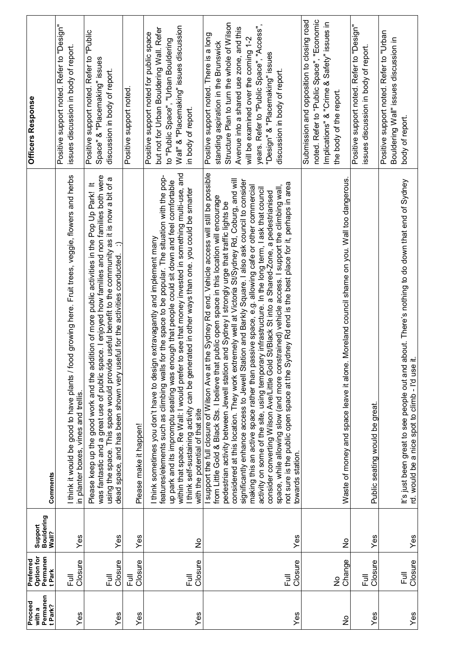| Permanen<br>Proceed<br>t Park?<br>with a | Permanen<br>Option for<br>Preferred<br>t Park | Bouldering<br>Wall?<br>Support | Comments                                                                                                                                                                                                                                                                                                                                                                                                                                                                                                                                                                                                                                                                                                                                                                                                                                                                                                                                                                                                                                           | Officers Response                                                                                                                                                                                                                                                                                                                 |
|------------------------------------------|-----------------------------------------------|--------------------------------|----------------------------------------------------------------------------------------------------------------------------------------------------------------------------------------------------------------------------------------------------------------------------------------------------------------------------------------------------------------------------------------------------------------------------------------------------------------------------------------------------------------------------------------------------------------------------------------------------------------------------------------------------------------------------------------------------------------------------------------------------------------------------------------------------------------------------------------------------------------------------------------------------------------------------------------------------------------------------------------------------------------------------------------------------|-----------------------------------------------------------------------------------------------------------------------------------------------------------------------------------------------------------------------------------------------------------------------------------------------------------------------------------|
| Yes                                      | Closure<br>言                                  | Yes                            | I think it would be good to have plants / food growing here. Fruit trees, veggie, flowers and herbs<br>in planter boxes, vines and trellis                                                                                                                                                                                                                                                                                                                                                                                                                                                                                                                                                                                                                                                                                                                                                                                                                                                                                                         | Positive support noted. Refer to "Design"<br>issues discussion in body of report                                                                                                                                                                                                                                                  |
| Yes                                      | Closure<br>巨                                  | Yes                            | was fantastic and a great use of public space. I enjoyed how families and non families both were<br>using the space. This space would provide useful benefit to the community as it is now a bit of a<br>Please keep up the good work and the addition of more public activities in the Pop Up Park! It<br>$\widehat{\phantom{a}}$<br>dead space, and has been shown very useful for the activities conducted.                                                                                                                                                                                                                                                                                                                                                                                                                                                                                                                                                                                                                                     | Positive support noted. Refer to "Public<br>Space" & "Placemaking" issues<br>discussion in body of report.                                                                                                                                                                                                                        |
| Yes                                      | Closure<br>司                                  | Yes                            | Please make it happen!                                                                                                                                                                                                                                                                                                                                                                                                                                                                                                                                                                                                                                                                                                                                                                                                                                                                                                                                                                                                                             | Positive support noted.                                                                                                                                                                                                                                                                                                           |
| Yes                                      | Closure<br>巨                                  | $\frac{1}{2}$                  | within that space. Re Wall: I would prefer to see that money invested in something multi-use, and<br>features/elements such as climbing walls for the space to be popular. The situation with the pop-<br>up park and its impromptu seating was enough that people could sit down and feel comfortable<br>I think self-sustaining activity can be generated in other ways than one. you could be smarter<br>n extravagantly and implement many<br>I think sometimes you don't have to design<br>with the potential of that site                                                                                                                                                                                                                                                                                                                                                                                                                                                                                                                    | Wall" & "Placemaking" issues discussion<br>but not for Urban Bouldering Wall. Refer<br>Positive support noted for public space<br>to "Public Space", "Urban Bouldering<br>in body of report.                                                                                                                                      |
| Yes                                      | Closure<br>巨                                  | Yes                            | support the full closure of Wilson Ave at the Sydney Rd end. Vehicle access will still be possible<br>considered at this location. They work extremely well at Victoria St/Sydney Rd, Coburg, and will<br>significantly enhance access to Jewell Station and Barkly Square. I also ask council to consider<br>not sure is the public open space at the Sydney Rd end is the best place for it, perhaps in area<br>making this an active space rather than passive space, e.g. allowing cafe or other commercial<br>space, while allowing slow (and more constrained) vehicle access. I support the climbing wall,<br>activity on some of the site, using temporary infrastructure. In the long term, I ask that council<br>St/Black St into a Shared-Zone, a pedestrianised<br>public open space in this location will encourage<br>pedestrian activity between Jewell station and Sydney I strongly urge that traffic lights be<br>consider converting Wilson Ave/Little Gold<br>from Little Gold & Black Sts. I believe that<br>towards station. | Structure Plan to turn the whole of Wilson<br>years. Refer to "Public Space", "Access",<br>Avenue into a shared use zone, and this<br>Positive support noted. There is a long<br>will be examined over the coming 1-2<br>standing aspiration in the Brunswick<br>"Design" & "Placemaking" issues<br>discussion in body of report. |
| $\frac{1}{2}$                            | Change<br>$\frac{1}{2}$                       | $\frac{1}{2}$                  | Moreland council shame on you. Wall too dangerous.<br>Waste of money and space leave it alone.                                                                                                                                                                                                                                                                                                                                                                                                                                                                                                                                                                                                                                                                                                                                                                                                                                                                                                                                                     | noted. Refer to "Public Space", "Economic<br>Submission and opposition to closing road<br>Implications" & "Crime & Safety" issues in<br>the body of the report.                                                                                                                                                                   |
| Yes                                      | Closure<br>$\overline{E}$                     | Yes                            | Public seating would be great.                                                                                                                                                                                                                                                                                                                                                                                                                                                                                                                                                                                                                                                                                                                                                                                                                                                                                                                                                                                                                     | Positive support noted. Refer to "Design"<br>issues discussion in body of report.                                                                                                                                                                                                                                                 |
| Yes                                      | Closure<br>己<br>上                             | Yes                            | It's just been great to see people out and about. There's nothing to do down that end of Sydney<br>rd. would be a nice spot to climb - I'd use it.                                                                                                                                                                                                                                                                                                                                                                                                                                                                                                                                                                                                                                                                                                                                                                                                                                                                                                 | Positive support noted. Refer to "Urban<br>Bouldering Wall" issues discussion in<br>body of report.                                                                                                                                                                                                                               |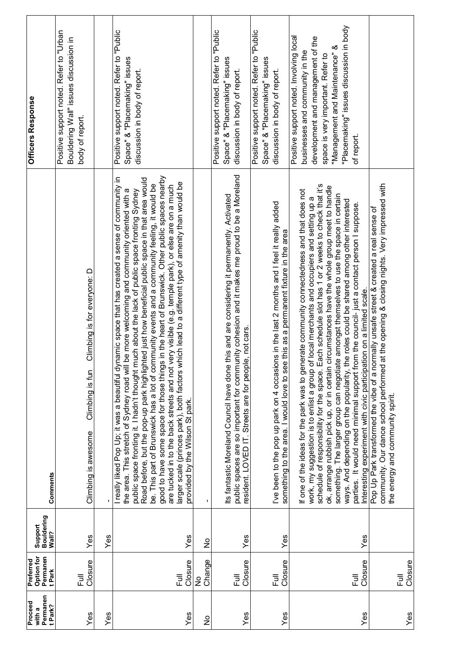| Permanen<br>Proceed<br>t Park?<br>with a | <b>Option for</b><br>Permanen<br>Preferred<br>t Park | Support<br>Bouldering<br>Wall? | Comments                                                                                                                                                                                                                                                                                                                                                                                                                                                                                                                                                                                                                                                                                                                                                                                                                                             | Officers Response                                                                                                                                                                                                                               |
|------------------------------------------|------------------------------------------------------|--------------------------------|------------------------------------------------------------------------------------------------------------------------------------------------------------------------------------------------------------------------------------------------------------------------------------------------------------------------------------------------------------------------------------------------------------------------------------------------------------------------------------------------------------------------------------------------------------------------------------------------------------------------------------------------------------------------------------------------------------------------------------------------------------------------------------------------------------------------------------------------------|-------------------------------------------------------------------------------------------------------------------------------------------------------------------------------------------------------------------------------------------------|
| Yes                                      | Closure<br>言                                         | Yes                            | Climbing is for everyone: D<br>Climbing is fun<br>Climbing is awesome                                                                                                                                                                                                                                                                                                                                                                                                                                                                                                                                                                                                                                                                                                                                                                                | Positive support noted. Refer to "Urban<br>Bouldering Wall" issues discussion in<br>body of report.                                                                                                                                             |
| Yes                                      |                                                      | Yes                            | $\mathbf I$                                                                                                                                                                                                                                                                                                                                                                                                                                                                                                                                                                                                                                                                                                                                                                                                                                          |                                                                                                                                                                                                                                                 |
| Yes                                      | Closure<br>言                                         | Yes                            | good to have some space for those things in the heart of Brunswick. Other public spaces nearby<br>really liked Pop Up; it was a beautiful dynamic space that has created a sense of community in<br>Road before, but the pop-up park highlighted just how beneficial public space in that area would<br>larger scale (princes park), both factors which lead to a different type of amenity than would be<br>be. This part of Brunswick has a lot of community events and a community feeling, it would be<br>are tucked in to the back streets and not very visible (e.g. temple park), or else are on a much<br>public space fronting it. I hadn't thought much about the lack of public space fronting Sydney<br>be more welcoming and community oriented with a<br>the area. This stretch of Sydney road will<br>provided by the Wilson St park. | Positive support noted. Refer to "Public<br>Space" & "Placemaking" issues<br>discussion in body of report.                                                                                                                                      |
| $\frac{1}{2}$                            | Change<br>$\frac{1}{2}$                              | $\frac{1}{2}$                  | $\mathbf{I}$                                                                                                                                                                                                                                                                                                                                                                                                                                                                                                                                                                                                                                                                                                                                                                                                                                         |                                                                                                                                                                                                                                                 |
| Yes                                      | Closure<br>言                                         | Yes                            | public spaces are so important for community cohesion and it makes me proud to be a Moreland<br>Its fantastic Moreland Council have done this and are considering it permanently. Activated<br>resident. LOVED IT. Streets are for people, not cars.                                                                                                                                                                                                                                                                                                                                                                                                                                                                                                                                                                                                 | Positive support noted. Refer to "Public<br>Space" & "Placemaking" issues<br>discussion in body of report.                                                                                                                                      |
| Yes                                      | Closure<br>言                                         | Yes                            | I've been to the pop up park on 4 occasions in the last 2 months and I feel it really added<br>something to the area. I would love to see this as a permanent fixture in the area                                                                                                                                                                                                                                                                                                                                                                                                                                                                                                                                                                                                                                                                    | Positive support noted. Refer to "Public<br>Space" & "Placemaking" issues<br>discussion in body of report.                                                                                                                                      |
| Yes                                      | Closure<br>言                                         | Yes                            | schedule of responsibility for the space. Each schedule slot has 1 or 2 weeks to check that it's<br>ok, arrange rubbish pick up, or in certain circumstances have the whole group meet to handle<br>If one of the ideas for the park was to generate community connectedness and that does not<br>something. The larger group can negotiate amongst themselves to use the space in certain<br>work, my suggestion is to enlist a group of local merchants and occupiers and setting up a<br>ways. And depending on the popularity, the roles could be shared among other interested<br>parties. It would need minimal support from the council- just a contact person I suppose.<br>Interesting experiment with civic participation on a limited scale.                                                                                              | "Placemaking" issues discussion in body<br>Positive support noted. Involving local<br>development and management of the<br>"Management and Maintenance" &<br>businesses and community in the<br>space is very important. Refer to<br>of report. |
| Yes                                      | Closure<br>豆                                         |                                | at the opening & closing nights. Very impressed with<br>Pop Up Park transformed the vibe of a normally unsafe street & created a real sense of<br>community. Our dance school performed<br>the energy and community spirit.                                                                                                                                                                                                                                                                                                                                                                                                                                                                                                                                                                                                                          |                                                                                                                                                                                                                                                 |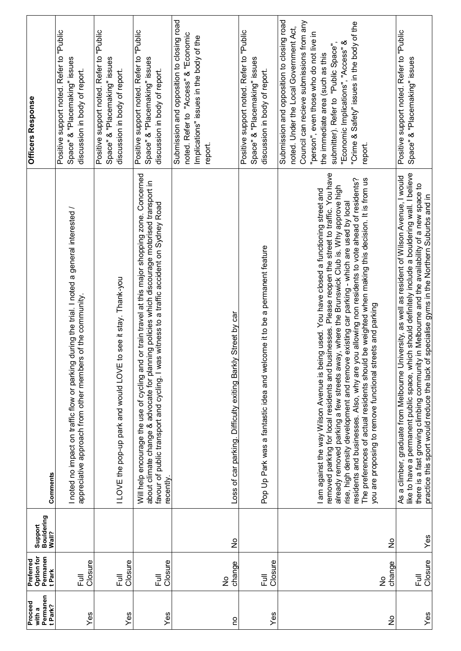| Permanen<br>Proceed<br>t Park?<br>with a | Option for<br>Permanen<br>Preterred<br>t Park | Support<br>Bouldering<br>Wall? | Comments                                                                                                                                                                                                                                                                                                                                                                                                                                                                                                                                                                                                                                                    | Officers Response                                                                                                                                                                                                                                                                                                                                      |
|------------------------------------------|-----------------------------------------------|--------------------------------|-------------------------------------------------------------------------------------------------------------------------------------------------------------------------------------------------------------------------------------------------------------------------------------------------------------------------------------------------------------------------------------------------------------------------------------------------------------------------------------------------------------------------------------------------------------------------------------------------------------------------------------------------------------|--------------------------------------------------------------------------------------------------------------------------------------------------------------------------------------------------------------------------------------------------------------------------------------------------------------------------------------------------------|
| Yes                                      | Closure<br>卮                                  |                                | I noted no impact on traffic flow or parking during the trial. I noted a general interested /<br>appreciative approach from other members of the community.                                                                                                                                                                                                                                                                                                                                                                                                                                                                                                 | Positive support noted. Refer to "Public<br>Space" & "Placemaking" issues<br>discussion in body of report.                                                                                                                                                                                                                                             |
| Yes                                      | Closure<br>巨                                  |                                | to see it stay. Thank-you<br>I LOVE the pop-up park and would LOVE                                                                                                                                                                                                                                                                                                                                                                                                                                                                                                                                                                                          | Positive support noted. Refer to "Public<br>Space" & "Placemaking" issues<br>discussion in body of report.                                                                                                                                                                                                                                             |
| Yes                                      | Closure<br>$\bar{p}$                          |                                | or train travel at this major shopping zone. Concerned<br>about climate change & advocate for planning policies which discourage motorised transport in<br>favour of public transport and cycling. I was witness to a traffic accident on Sydney Road<br>Will help encourage the use of cycling and<br>recently.                                                                                                                                                                                                                                                                                                                                            | Positive support noted. Refer to "Public<br>Space" & "Placemaking" issues<br>discussion in body of report.                                                                                                                                                                                                                                             |
| o                                        | change<br>$\frac{1}{2}$                       | $\frac{1}{2}$                  | Loss of car parking. Difficulty exiting Barkly Street by car                                                                                                                                                                                                                                                                                                                                                                                                                                                                                                                                                                                                | Submission and opposition to closing road<br>noted. Refer to "Access" & "Economic<br>Implications" issues in the body of the<br>report.                                                                                                                                                                                                                |
| Yes                                      | Closure<br>豆                                  |                                | Pop Up Park was a fantastic idea and welcome it to be a permanent feature                                                                                                                                                                                                                                                                                                                                                                                                                                                                                                                                                                                   | Positive support noted. Refer to "Public<br>Space" & "Placemaking" issues<br>discussion in body of report.                                                                                                                                                                                                                                             |
|                                          | $\frac{1}{2}$                                 |                                | removed parking for local residents and businesses. Please reopen the street to traffic. You have<br>rise, high density development and remove existing car parking - which are used by local<br>residents and businesses. Also, why are you allowing non residents to vote ahead of residents?<br>The preferences of actual residents should be weighted when making this decision. It is from us<br>already removed parking a few streets away, where the Brunswick Club is. Why approve high<br>I am against the way Wilson Avenue is being used. You have closed a functioning street and<br>you are proposing to remove functional streets and parking | Submission and opposition to closing road<br>Council can recieve submissions from any<br>"Crime & Safety" issues in the body of the<br>noted. Under the Local Government Act,<br>"person", even those who do not live in<br>"Economic Implications", "Access" &<br>submitter). Refer to "Public Space",<br>the immediate area (such as this<br>report. |
| $\frac{1}{2}$                            | change                                        | $\frac{1}{2}$                  |                                                                                                                                                                                                                                                                                                                                                                                                                                                                                                                                                                                                                                                             |                                                                                                                                                                                                                                                                                                                                                        |
| Yes                                      | Closure<br>ラ<br>L                             | Yes                            | like to have a permanent public space, which should definitely include a bouldering wall. I believe<br>As a climber, graduate from Melbourne University, as well as resident of Wilson Avenue, I would<br>there is a fast growing climbing community in Melbourne and the availability of a new space to<br>practice this sport would reduce the lack of specialise gyms in the Northern Suburbs and in                                                                                                                                                                                                                                                     | Positive support noted. Refer to "Public<br>Space" & "Placemaking" issues                                                                                                                                                                                                                                                                              |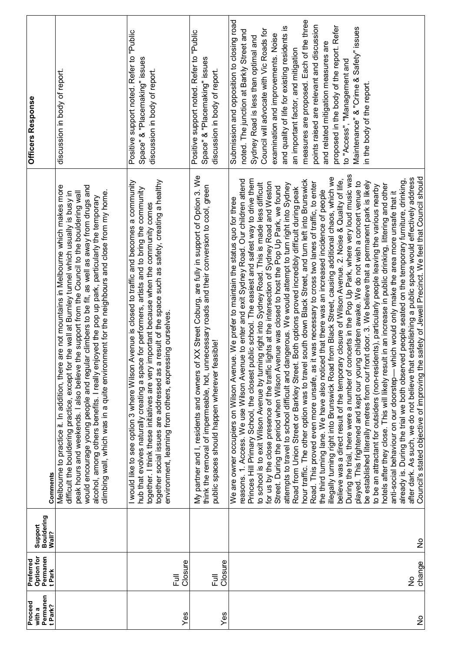| Permanen<br>Proceed<br>t Park?<br>with a | Option for<br>Permanen<br>Preferred<br>t Park | Support<br>Bouldering<br>Wall? | Comments                                                                                                                                                                                                                                                                                                                                                                                                                                                                                                                                                                                                                                                                                                                                                                                                                                                                                                                                                                                                                                                                                                                                                                                                                                                                                                                                                                                                                                                                                                                                                                                                                                                                                                                                                                                                                                                                                                                                                                                                                                                                                                                                                                                                                                                                     | Officers Response                                                                                                                                                                                                                                                                                                                                                                                                                                                                                                                                                                             |
|------------------------------------------|-----------------------------------------------|--------------------------------|------------------------------------------------------------------------------------------------------------------------------------------------------------------------------------------------------------------------------------------------------------------------------------------------------------------------------------------------------------------------------------------------------------------------------------------------------------------------------------------------------------------------------------------------------------------------------------------------------------------------------------------------------------------------------------------------------------------------------------------------------------------------------------------------------------------------------------------------------------------------------------------------------------------------------------------------------------------------------------------------------------------------------------------------------------------------------------------------------------------------------------------------------------------------------------------------------------------------------------------------------------------------------------------------------------------------------------------------------------------------------------------------------------------------------------------------------------------------------------------------------------------------------------------------------------------------------------------------------------------------------------------------------------------------------------------------------------------------------------------------------------------------------------------------------------------------------------------------------------------------------------------------------------------------------------------------------------------------------------------------------------------------------------------------------------------------------------------------------------------------------------------------------------------------------------------------------------------------------------------------------------------------------|-----------------------------------------------------------------------------------------------------------------------------------------------------------------------------------------------------------------------------------------------------------------------------------------------------------------------------------------------------------------------------------------------------------------------------------------------------------------------------------------------------------------------------------------------------------------------------------------------|
|                                          |                                               |                                | are not mountains in Melbourne which makes more<br>would encourage young people and regular climbers to be fit, as well as away from drugs and<br>peak hours and weekends. I also believe the support from the Council to the bouldering wall<br>climbing wall, which was in a quite environment for the neighbours and close from my home<br>difficult the bouldering practice, except for the wall at Burnley tunnel which usually is busy in<br>alcohol, among others benefits. I really enjoyed the pop up park, particularly the temporary<br>Melbourne to practice it. In addition, there                                                                                                                                                                                                                                                                                                                                                                                                                                                                                                                                                                                                                                                                                                                                                                                                                                                                                                                                                                                                                                                                                                                                                                                                                                                                                                                                                                                                                                                                                                                                                                                                                                                                              | discussion in body of report.                                                                                                                                                                                                                                                                                                                                                                                                                                                                                                                                                                 |
| Yes                                      | Closure<br>巨                                  |                                | together social issues are addressed as a result of the space such as safety, creating a healthy<br>I would like to see option 3 where Wilson Avenue is closed to traffic and becomes a community<br>hub that evolves naturally creating a space for performers, artists and to bring the community<br>together. I think these initiatives are very important because when the community comes<br>environment, learning from others, expressing ourselves.                                                                                                                                                                                                                                                                                                                                                                                                                                                                                                                                                                                                                                                                                                                                                                                                                                                                                                                                                                                                                                                                                                                                                                                                                                                                                                                                                                                                                                                                                                                                                                                                                                                                                                                                                                                                                   | Positive support noted. Refer to "Public<br>Space" & "Placemaking" issues<br>discussion in body of report                                                                                                                                                                                                                                                                                                                                                                                                                                                                                     |
| Yes                                      | Closure<br>豆                                  |                                | My partner and I, residents and owners of XX Street Coburg, are fully in support of Option 3. We<br>think the removal of impermeable, hot, unnecessary roads and their conversion to cool, green<br>public spaces should happen wherever feasible!                                                                                                                                                                                                                                                                                                                                                                                                                                                                                                                                                                                                                                                                                                                                                                                                                                                                                                                                                                                                                                                                                                                                                                                                                                                                                                                                                                                                                                                                                                                                                                                                                                                                                                                                                                                                                                                                                                                                                                                                                           | Positive support noted. Refer to "Public<br>Space" & "Placemaking" issues<br>discussion in body of report.                                                                                                                                                                                                                                                                                                                                                                                                                                                                                    |
| $\frac{1}{2}$                            | change<br>$\frac{1}{2}$                       | $\frac{1}{2}$                  | During the trial, there were a number of concerts in the Pop Up Park, where very loud music was<br>illegally turning right into Brunswick Road from Black Street, causing additional chaos, which we<br>safety of Jewell Precinct. We feel that Council should<br>establishing a public space would effectively address<br>believe was a direct result of the temporary closure of Wilson Avenue. 2. Noise & Quality of life,<br>reasons. 1. Access. We use Wilson Avenue to enter and exit Sydney Road. Our children attend<br>Princes Hill Primary School, the closest public school. The easiest and safest way to drive them<br>already is. During the trial we both observed people seated on the temporary furniture, drinking,<br>south down Black Street, and turn left into Brunswick<br>be established literally metres from our front door. 3. We believe that a permanent park is likely<br>played. This frightened and kept our young children awake. We do not wish a concert venue to<br>Road. This proved even more unsafe, as it was necessary to cross two lanes of traffic, to enter<br>for us by the close presence of the traffic lights at the intersection of Sydney Road and Weston<br>to school is to exit Wilson Avenue by turning right into Sydney Road. This is made less difficult<br>attempts to travel to school difficult and dangerous. We would attempt to turn right into Sydney<br>hotels after they close. This will likely result in an increase in public drinking, littering and other<br>to be an attractant for outsiders (non-residents), particularly people leaving the various nearby<br>Street. During the period when Wilson Avenue was closed to host the Pop Up Park, we found<br>Both options proved incredibly difficult during peak<br>the third turning lane. We have also noticed that there was an increased incidence of people<br>anti-social behaviour on our doorstep— which would only make the area more unsafe that it<br>We are owner occupiers on Wilson Avenue. We prefer to maintain the status quo for three<br>after dark. As such, we do not believe that<br>Council's stated objective of improving the<br>Road from Union Street or Barkley Street.<br>hour traffic. The other option was to travel | Submission and opposition to closing road<br>measures are proposed. Each of the three<br>points raised are relevant and discussion<br>proposed in the body of the report. Refer<br>and quality of life for existing residents is<br>Maintenance" & "Crime & Safety" issues<br>Council will advocate with Vic Roads for<br>noted. The junction at Barkly Street and<br>examination and improvements. Noise<br>Sydney Road is less than optimal and<br>and related mitigation measures are<br>an important factor, and mitigation<br>to "Access", "Management and<br>in the body of the report. |